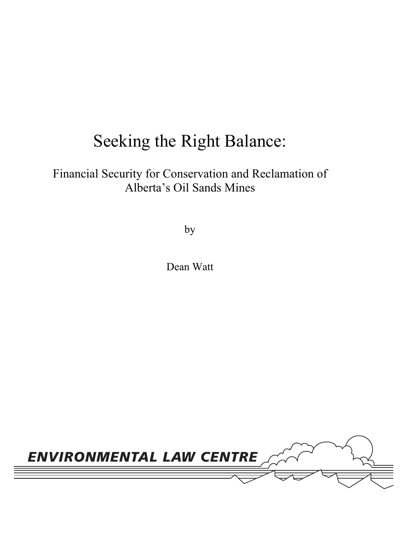# Seeking the Right Balance:

# Financial Security for Conservation and Reclamation of Alberta's Oil Sands Mines

by

Dean Watt

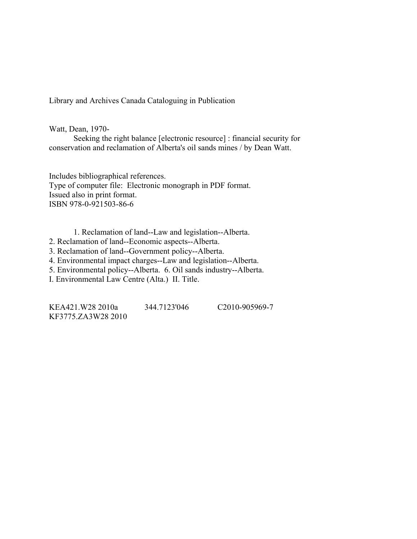Library and Archives Canada Cataloguing in Publication

Watt, Dean, 1970-

Seeking the right balance [electronic resource] : financial security for conservation and reclamation of Alberta's oil sands mines / by Dean Watt.

Includes bibliographical references. Type of computer file: Electronic monograph in PDF format. Issued also in print format. ISBN 978-0-921503-86-6

1. Reclamation of land--Law and legislation--Alberta.

2. Reclamation of land--Economic aspects--Alberta.

3. Reclamation of land--Government policy--Alberta.

4. Environmental impact charges--Law and legislation--Alberta.

5. Environmental policy--Alberta. 6. Oil sands industry--Alberta.

I. Environmental Law Centre (Alta.) II. Title.

KEA421.W28 2010a 344.7123'046 C2010-905969-7 KF3775.ZA3W28 2010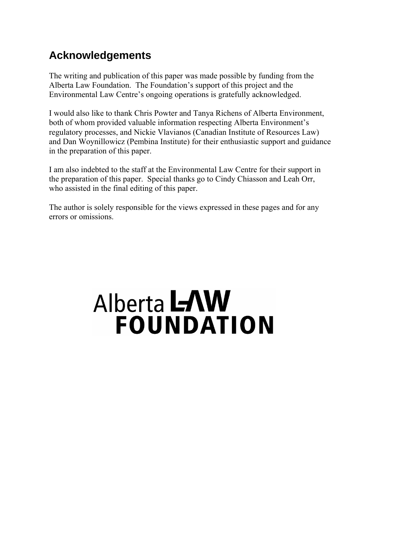#### **Acknowledgements**

The writing and publication of this paper was made possible by funding from the Alberta Law Foundation. The Foundation's support of this project and the Environmental Law Centre's ongoing operations is gratefully acknowledged.

I would also like to thank Chris Powter and Tanya Richens of Alberta Environment, both of whom provided valuable information respecting Alberta Environment's regulatory processes, and Nickie Vlavianos (Canadian Institute of Resources Law) and Dan Woynillowicz (Pembina Institute) for their enthusiastic support and guidance in the preparation of this paper.

I am also indebted to the staff at the Environmental Law Centre for their support in the preparation of this paper. Special thanks go to Cindy Chiasson and Leah Orr, who assisted in the final editing of this paper.

The author is solely responsible for the views expressed in these pages and for any errors or omissions.

# Alberta LAW **FOUNDATION**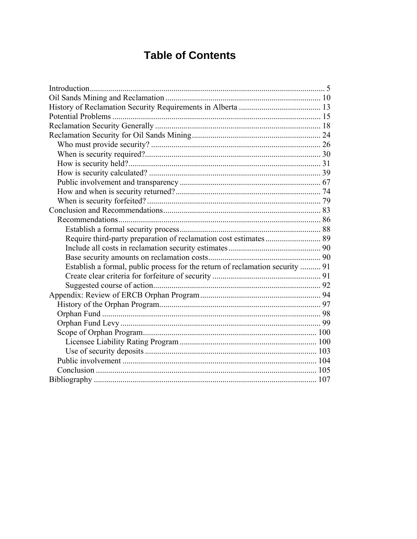# **Table of Contents**

| Establish a formal, public process for the return of reclamation security  91 |  |
|-------------------------------------------------------------------------------|--|
|                                                                               |  |
|                                                                               |  |
|                                                                               |  |
|                                                                               |  |
|                                                                               |  |
|                                                                               |  |
|                                                                               |  |
|                                                                               |  |
|                                                                               |  |
|                                                                               |  |
|                                                                               |  |
|                                                                               |  |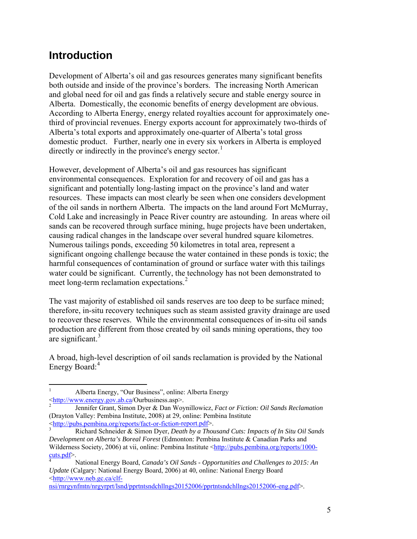#### <span id="page-4-0"></span>**Introduction**

Development of Alberta's oil and gas resources generates many significant benefits both outside and inside of the province's borders. The increasing North American and global need for oil and gas finds a relatively secure and stable energy source in Alberta. Domestically, the economic benefits of energy development are obvious. According to Alberta Energy, energy related royalties account for approximately onethird of provincial revenues. Energy exports account for approximately two-thirds of Alberta's total exports and approximately one-quarter of Alberta's total gross domestic product. Further, nearly one in every six workers in Alberta is employed directly or indirectly in the province's energy sector.<sup>[1](#page-4-1)</sup>

However, development of Alberta's oil and gas resources has significant environmental consequences. Exploration for and recovery of oil and gas has a significant and potentially long-lasting impact on the province's land and water resources. These impacts can most clearly be seen when one considers development of the oil sands in northern Alberta. The impacts on the land around Fort McMurray, Cold Lake and increasingly in Peace River country are astounding. In areas where oil sands can be recovered through surface mining, huge projects have been undertaken, causing radical changes in the landscape over several hundred square kilometres. Numerous tailings ponds, exceeding 50 kilometres in total area, represent a significant ongoing challenge because the water contained in these ponds is toxic; the harmful consequences of contamination of ground or surface water with this tailings water could be significant. Currently, the technology has not been demonstrated to meet long-term reclamation expectations.<sup>[2](#page-4-2)</sup>

The vast majority of established oil sands reserves are too deep to be surface mined; therefore, in-situ recovery techniques such as steam assisted gravity drainage are used to recover these reserves. While the environmental consequences of in-situ oil sands production are different from those created by oil sands mining operations, they too are significant.<sup>[3](#page-4-3)</sup>

A broad, high-level description of oil sands reclamation is provided by the National Energy Board:<sup>[4](#page-4-4)</sup>

<span id="page-4-4"></span> National Energy Board, *Canada's Oil Sands - Opportunities and Challenges to 2015: An Update* (Calgary: National Energy Board, 2006) at 40, online: National Energy Board <[http://www.neb.gc.ca/clf-](http://www.neb.gc.ca/clf-nsi/rnrgynfmtn/nrgyrprt/lsnd/pprtntsndchllngs20152006/pprtntsndchllngs20152006-eng.pdf)

[nsi/rnrgynfmtn/nrgyrprt/lsnd/pprtntsndchllngs20152006/pprtntsndchllngs20152006-eng.pdf](http://www.neb.gc.ca/clf-nsi/rnrgynfmtn/nrgyrprt/lsnd/pprtntsndchllngs20152006/pprtntsndchllngs20152006-eng.pdf)>.

<span id="page-4-1"></span> $\frac{1}{1}$  Alberta Energy, "Our Business", online: Alberta Energy <<http://www.energy.gov.ab.ca/>Ourbusiness.asp>. 2

<span id="page-4-2"></span>Jennifer Grant, Simon Dyer & Dan Woynillowicz, *Fact or Fiction: Oil Sands Reclamation* (Drayton Valley: Pembina Institute, 2008) at 29, online: Pembina Institute <[http://pubs.pembina.org/reports/fact-or-fiction-report.pdf>](http://pubs.pembina.org/reports/fact-or-fiction-report.pdf).

<span id="page-4-3"></span><sup>3</sup> Richard Schneider & Simon Dyer, *Death by a Thousand Cuts: Impacts of In Situ Oil Sands Development on Alberta's Boreal Forest* (Edmonton: Pembina Institute & Canadian Parks and Wilderness Society, 2006) at vii, online: Pembina Institute [<http://pubs.pembina.org/reports/1000](http://pubs.pembina.org/reports/1000-cuts.pdf)  $cuts.pdf$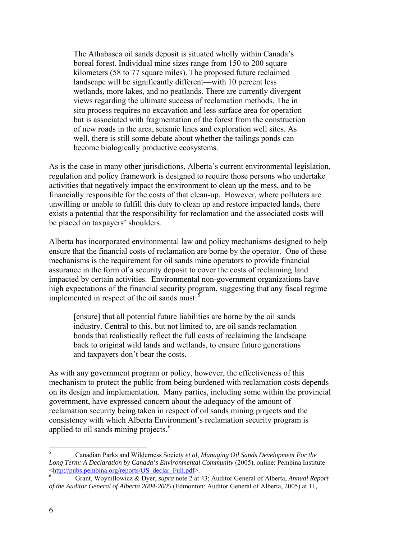The Athabasca oil sands deposit is situated wholly within Canada's boreal forest. Individual mine sizes range from 150 to 200 square kilometers (58 to 77 square miles). The proposed future reclaimed landscape will be significantly different—with 10 percent less wetlands, more lakes, and no peatlands. There are currently divergent views regarding the ultimate success of reclamation methods. The in situ process requires no excavation and less surface area for operation but is associated with fragmentation of the forest from the construction of new roads in the area, seismic lines and exploration well sites. As well, there is still some debate about whether the tailings ponds can become biologically productive ecosystems.

As is the case in many other jurisdictions, Alberta's current environmental legislation, regulation and policy framework is designed to require those persons who undertake activities that negatively impact the environment to clean up the mess, and to be financially responsible for the costs of that clean-up. However, where polluters are unwilling or unable to fulfill this duty to clean up and restore impacted lands, there exists a potential that the responsibility for reclamation and the associated costs will be placed on taxpayers' shoulders.

Alberta has incorporated environmental law and policy mechanisms designed to help ensure that the financial costs of reclamation are borne by the operator. One of these mechanisms is the requirement for oil sands mine operators to provide financial assurance in the form of a security deposit to cover the costs of reclaiming land impacted by certain activities. Environmental non-government organizations have high expectations of the financial security program, suggesting that any fiscal regime implemented in respect of the oil sands must:<sup>[5](#page-5-0)</sup>

[ensure] that all potential future liabilities are borne by the oil sands industry. Central to this, but not limited to, are oil sands reclamation bonds that realistically reflect the full costs of reclaiming the landscape back to original wild lands and wetlands, to ensure future generations and taxpayers don't bear the costs.

As with any government program or policy, however, the effectiveness of this mechanism to protect the public from being burdened with reclamation costs depends on its design and implementation. Many parties, including some within the provincial government, have expressed concern about the adequacy of the amount of reclamation security being taken in respect of oil sands mining projects and the consistency with which Alberta Environment's reclamation security program is applied to oil sands mining projects.<sup>[6](#page-5-1)</sup>

<span id="page-5-0"></span> $\overline{a}$ 5 Canadian Parks and Wilderness Society *et al*, *Managing Oil Sands Development For the Long Term: A Declaration by Canada's Environmental Community* (2005), online: Pembina Institute <[http://pubs.pembina.org/reports/OS\\_declar\\_Full.pdf>](http://pubs.pembina.org/reports/OS_declar_Full.pdf).

<span id="page-5-1"></span><sup>6</sup> Grant, Woynillowicz & Dyer, *supra* note 2 at 43; Auditor General of Alberta, *Annual Report of the Auditor General of Alberta 2004-2005* (Edmonton: Auditor General of Alberta, 2005) at 11,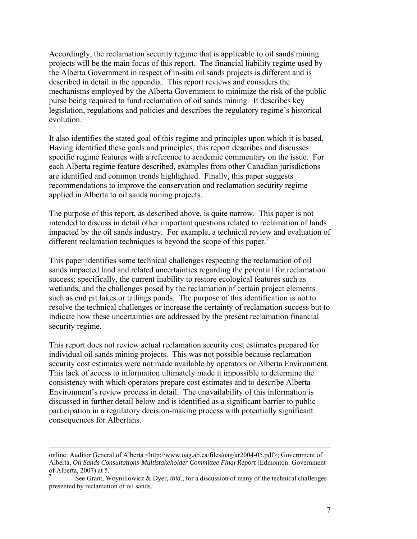Accordingly, the reclamation security regime that is applicable to oil sands mining projects will be the main focus of this report. The financial liability regime used by the Alberta Government in respect of in-situ oil sands projects is different and is described in detail in the appendix. This report reviews and considers the mechanisms employed by the Alberta Government to minimize the risk of the public purse being required to fund reclamation of oil sands mining. It describes key legislation, regulations and policies and describes the regulatory regime's historical evolution.

It also identifies the stated goal of this regime and principles upon which it is based. Having identified these goals and principles, this report describes and discusses specific regime features with a reference to academic commentary on the issue. For each Alberta regime feature described, examples from other Canadian jurisdictions are identified and common trends highlighted. Finally, this paper suggests recommendations to improve the conservation and reclamation security regime applied in Alberta to oil sands mining projects.

The purpose of this report, as described above, is quite narrow. This paper is not intended to discuss in detail other important questions related to reclamation of lands impacted by the oil sands industry. For example, a technical review and evaluation of different reclamation techniques is beyond the scope of this paper.<sup>[7](#page-6-0)</sup>

This paper identifies some technical challenges respecting the reclamation of oil sands impacted land and related uncertainties regarding the potential for reclamation success; specifically, the current inability to restore ecological features such as wetlands, and the challenges posed by the reclamation of certain project elements such as end pit lakes or tailings ponds. The purpose of this identification is not to resolve the technical challenges or increase the certainty of reclamation success but to indicate how these uncertainties are addressed by the present reclamation financial security regime.

This report does not review actual reclamation security cost estimates prepared for individual oil sands mining projects. This was not possible because reclamation security cost estimates were not made available by operators or Alberta Environment. This lack of access to information ultimately made it impossible to determine the consistency with which operators prepare cost estimates and to describe Alberta Environment's review process in detail. The unavailability of this information is discussed in further detail below and is identified as a significant barrier to public participation in a regulatory decision-making process with potentially significant consequences for Albertans.

online: Auditor General of Alberta <http://www.oag.ab.ca/files/oag/ar2004-05.pdf>; Government of Alberta, *Oil Sands Consultations-Multistakeholder Committee Final Report* (Edmonton: Government of Alberta, 2007) at 5.

<span id="page-6-0"></span><sup>7</sup> See Grant, Woynillowicz & Dyer, *ibid*., for a discussion of many of the technical challenges presented by reclamation of oil sands.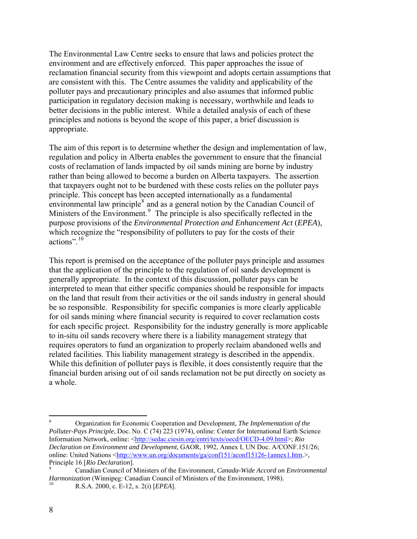The Environmental Law Centre seeks to ensure that laws and policies protect the environment and are effectively enforced. This paper approaches the issue of reclamation financial security from this viewpoint and adopts certain assumptions that are consistent with this. The Centre assumes the validity and applicability of the polluter pays and precautionary principles and also assumes that informed public participation in regulatory decision making is necessary, worthwhile and leads to better decisions in the public interest. While a detailed analysis of each of these principles and notions is beyond the scope of this paper, a brief discussion is appropriate.

The aim of this report is to determine whether the design and implementation of law, regulation and policy in Alberta enables the government to ensure that the financial costs of reclamation of lands impacted by oil sands mining are borne by industry rather than being allowed to become a burden on Alberta taxpayers. The assertion that taxpayers ought not to be burdened with these costs relies on the polluter pays principle. This concept has been accepted internationally as a fundamental environmental law principle $8$  and as a general notion by the Canadian Council of Ministers of the Environment.<sup>[9](#page-7-1)</sup> The principle is also specifically reflected in the purpose provisions of the *Environmental Protection and Enhancement Act* (*EPEA*), which recognize the "responsibility of polluters to pay for the costs of their actions".<sup>10</sup>

This report is premised on the acceptance of the polluter pays principle and assumes that the application of the principle to the regulation of oil sands development is for each specific project. Responsibility for the industry generally is more applicable financial burden arising out of oil sands reclamation not be put directly on society as whole. a generally appropriate. In the context of this discussion, polluter pays can be interpreted to mean that either specific companies should be responsible for impacts on the land that result from their activities or the oil sands industry in general should be so responsible. Responsibility for specific companies is more clearly applicable for oil sands mining where financial security is required to cover reclamation costs to in-situ oil sands recovery where there is a liability management strategy that requires operators to fund an organization to properly reclaim abandoned wells and related facilities. This liability management strategy is described in the appendix. While this definition of polluter pays is flexible, it does consistently require that the

<span id="page-7-0"></span> $\overline{a}$ 8 Organization for Economic Cooperation and Development, *The Implementation of the Polluter-Pays Principle*, Doc. No. C (74) 223 (1974), online: Center for International Earth Science Information Network, online: [<http://sedac.ciesin.org/entri/texts/oecd/OECD-4.09.html>](http://sedac.ciesin.org/entri/texts/oecd/OECD-4.09.html); *Rio Declaration on Environment and Development*, GAOR, 1992, Annex I, UN Doc. A/CONF.151/26; online: United Nations [<http://www.un.org/documents/ga/conf151/aconf15126-1annex1.htm](http://www.un.org/documents/ga/conf151/aconf15126-1annex1.htm).>, Principle 16 [*Rio Declaration*].

<span id="page-7-1"></span><sup>9</sup> Canadian Council of Ministers of the Environment, *Canada-Wide Accord on Environmental Harmonization* (Winnipeg: Canadian Council of Ministers of the Environment, 1998).

<sup>10</sup> R.S.A. 2000, c. E-12, s. 2(i) [*EPEA*].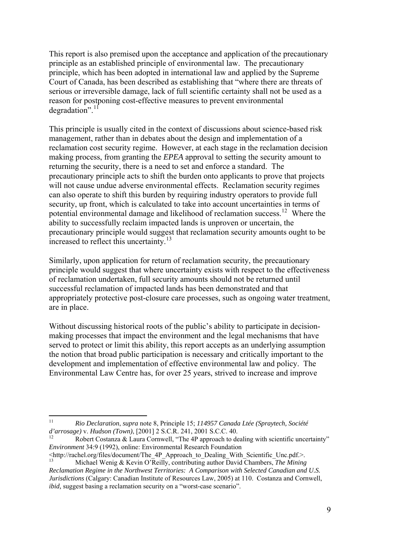This report is also premised upon the acceptance and application of the precautionar y principle as an established principle of environmental law. The precautionary principle, which has been adopted in international law and applied by the Supreme Court of Canada, has been described as establishing that "where there are threats of serious or irrever sible damage, lack of full scientific certainty shall not be used as a reason for postponing cost-effective measures to prevent environmental degradation".<sup>[11](#page-8-0)</sup>

reclamation cost security regime. However, at each stage in the reclamation decision precautionary principle acts to shift the burden onto applicants to prove that projects security, up front, which is calculated to take into account uncertainties in terms of ability to successfully reclaim impacted lands is unproven or uncertain, the precautionary principle would suggest that reclamation security amounts ought to be This principle is usually cited in the context of discussions about science-based risk management, rather than in debates about the design and implementation of a making process, from granting the *EPEA* approval to setting the security amount to returning the security, there is a need to set and enforce a standard. The will not cause undue adverse environmental effects. Reclamation security regimes can also operate to shift this burden by requiring industry operators to provide full potential environmental damage and likelihood of reclamation success.<sup>[12](#page-8-1)</sup> Where the increased to reflect this uncertainty.<sup>13</sup>

Similarly, upon application for return of reclamation security, the precautionary principle would suggest that where uncertainty exists with respect to the effectiveness successful reclamation of impacted lands has been demonstrated and that ppropriately protective post-closure care processes, such as ongoing water treatment, a of reclamation undertaken, full security amounts should not be returned until are in place.

served to protect or limit this ability, this report accepts as an underlying assumption Environmental Law Centre has, for over 25 years, strived to increase and improve Without discussing historical roots of the public's ability to participate in decisionmaking processes that impact the environment and the legal mechanisms that have the notion that broad public participation is necessary and critically important to the development and implementation of effective environmental law and policy. The

 $11$ 11 *Rio Declaration*, *supra* note 8, Principle 15; *114957 Canada Ltée (Spraytech, Société*  d'arrosage) v. Hudson (Town), [2001] 2 S.C.R. 241, 2001 S.C.C. 40.

<span id="page-8-0"></span>*d'arrosage*) v. *Hudson (Town)*, [2001] 2 S.C.R. 241, 2001 S.C.C. 40.<br><sup>12</sup> Robert Costanza & Laura Cornwell, "The 4P approach to dealing with scientific uncertainty" *Environment* 34:9 (1992), online: Environmental Research Foundation

 $\lt$ http://rachel.org/files/document/The\_4P\_Approach\_to\_Dealing\_With\_Scientific\_Unc.pdf.>. 13 Michael Wenig & Kevin O'Reilly, contributing author David Chambers, *The Mining* 

<span id="page-8-1"></span>Jurisdictions (Calgary: Canadian Institute of Resources Law, 2005) at 110. Costanza and Cornwell, *Reclamation Regime in the Northwest Territories: A Comparison with Selected Canadian and U.S. ibid*, suggest basing a reclamation security on a "worst-case scenario".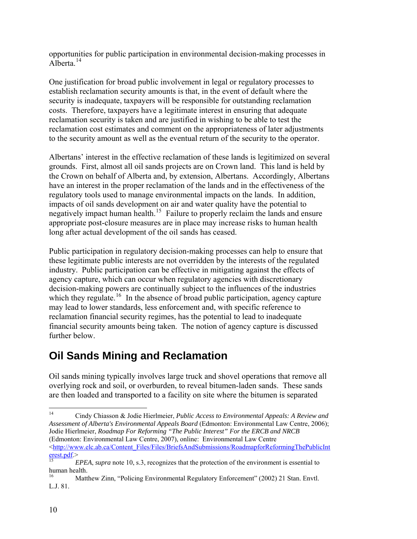opportunities for public participation in environmental decision-making processes in Alberta $14$ 

One justification for broad public involvement in legal or regulatory processes to establish reclamation security amounts is that, in the event of default where the security is inadequate, taxpayers will be responsible for outstanding reclamatio n costs. Therefore, taxpayers have a legitimate interest in ensuring that adequate reclamation security is taken and are justified in wishing to be able to test the reclamation cost estimates and comment on the appropriateness of later adjustments to the security amount as well as the eventual return of the security to the operator.

the Crown on behalf of Alberta and, by extension, Albertans. Accordingly, Albertans have an interest in the proper reclamation of the lands and in the effectiveness of the negatively impact human health.<sup>15</sup> Failure to properly reclaim the lands and ensure ppropriate post-closure measures are in place may increase risks to human health a Albertans' interest in the effective reclamation of these lands is legitimized on several grounds. First, almost all oil sands projects are on Crown land. This land is held by regulatory tools used to manage environmental impacts on the lands. In addition, impacts of oil sands developme[nt o](#page-9-1)n air and water quality have the potential to long after actual development of the oil sands has ceased.

Public participation in regulatory decision-making processes can help to ensure that these legitimate public interests are not overridden by the interests of the regulated decision-making po[we](#page-9-2)rs are continually subject to the influences of the industries which they regulate.<sup>16</sup> In the absence of broad public participation, agency capture reclamation financial security regimes, has the potential to lead to inadequate financial security amounts being taken. The notion of agency capture is discussed industry. Public participation can be effective in mitigating against the effects of agency capture, which can occur when regulatory agencies with discretionary may lead to lower standards, less enforcement and, with specific reference to further below.

# <span id="page-9-0"></span>**Oil Sands Mining and Reclamation**

Oil sands mining typically involves large truck and shovel operations that remove all overlying rock and soil, or overburden, to reveal bitumen-laden sands. These sands are then loaded and transported to a facility on site where the bitumen is separated

 $14$ 14 Cindy Chiasson & Jodie Hierlmeier, *Public Access to Environmental Appeals: A Review and Assessment of Alberta's Environmental Appeals Board* (Edmonton: Environmental Law Centre, 2006); Jodie Hierlmeier, *Roadmap For Reforming "The Public Interest" For the ERCB and NRCB* (Edmonton: Environmental Law Centre, 2007), online: Environmental Law Centre <[http://www.elc.ab.ca/Content\\_Files/Files/BriefsAndSubmissions/RoadmapforReformingThePublicInt](http://www.elc.ab.ca/Content_Files/Files/BriefsAndSubmissions/RoadmapforReformingThePublicInterest.pdf)  $\frac{\text{erest.pdf}}{\text{15}}$ 

<span id="page-9-1"></span><sup>15</sup> *EPEA*, *supra* note 10, s.3, recognizes that the protection of the environment is essential to human health.<br> $\frac{16}{\text{Mott}}$ 

<span id="page-9-2"></span>Matthew Zinn, "Policing Environmental Regulatory Enforcement" (2002) 21 Stan. Envtl. L.J. 81.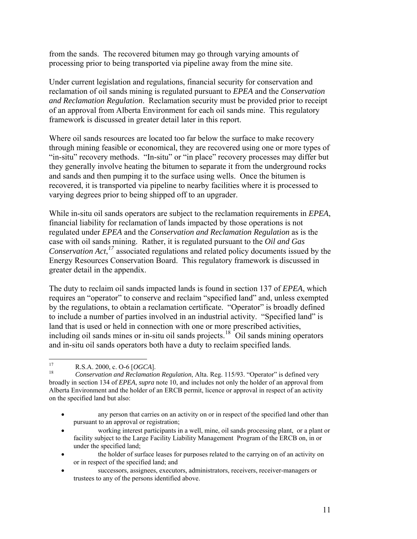from the sands. The recovered bitumen may go through varying amounts of processing prior to being transported via pipeline away from the mine site.

Under current legislation and regulations, financial security for conservation and reclamation of oil sands mining is regulated pursuant to *EPEA* and the *Conservation and Reclamation Regulation*. Reclamation security must be provided prior to receipt of an approval from Alberta Environment for each oil sands mine. This regulatory framework is discussed in greater detail later in this report.

Where oil sands resources are located too far below the surface to make recovery through mining feasible or economical, they are recovered using one or more types of they generally involve heating the bitumen to separate it from the underground rocks recovered, it is transported via pipeline to nearby facilities where it is processed to "in-situ" recovery methods. "In-situ" or "in place" recovery processes may differ but and sands and then pumping it to the surface using wells. Once the bitumen is varying degrees prior to being shipped off to an upgrader.

While in-situ oil sands operators are subject to the reclamation requirements in *EPEA*, financial liability for reclamation of lands impacted by those operations is not regulated under *EPEA* and the *Conservation and Reclamation Regulation* as is the case with oil sands mining. Rather, it is regulated pursuant to the *Oil and Gas Conservation Act*, *[17](#page-10-0)* associated regulations and related policy documents issued by the Energy Resources Conservation Board. This regulatory framework is discussed in greater detail in the appendix.

The duty to reclaim oil sands impacted lands is found in section 137 of *EPEA*, which requires an "operator" to conserve and reclaim "specified land" and, unless exempted land that is used or held in connection with one or more prescribed activities, including oil sands mines or in-situ oil sands projects.<sup>18</sup> Oil sands mining operators by the regulations, to obtain a reclamation certificate. "Operator" is broadly defined to include a number of parties involved in an industrial activity. "Specified land" is and in-situ oil sands operators both have a duty to reclaim specified lands.

- any person that carries on an activity on or in respect of the specified land other than pursuant to an approval or registration;
- working interest participants in a well, mine, oil sands processing plant, or a plant or facility subject to the Large Facility Liability Management Program of the ERCB on, in or under the specified land;
- the holder of surface leases for purposes related to the carrying on of an activity on or in respect of the specified land; and
- successors, assignees, executors, administrators, receivers, receiver-managers or trustees to any of the persons identified above.

 $17\,$ 17 R.S.A. 2000, c. O-6 [*OGCA*].

<span id="page-10-0"></span>*Conservation and Reclamation Regulation*, Alta. Reg. 115/93. "Operator" is defined very Alberta Environment and the holder of an ERCB permit, licence or approval in respect of an activity 18 broadly in section 134 of *EPEA*, *supra* note 10, and includes not only the holder of an approval from on the specified land but also: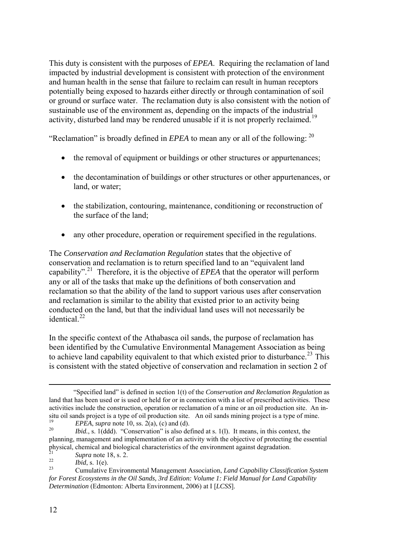This duty is consistent with the purposes of *EPEA*. Requiring the reclamation of land impacted by industrial development is consistent with protection of the environment and human health in the sense that failure to reclaim can result in human receptors potentially being exposed to hazards either directly or through contamination of soil or ground or surface water. The reclamation duty is also consistent with the notion of activity, disturbed land may be rendered unusable if it is not properly reclaimed.<sup>19</sup> sustainable use of the environment as, depending on the impacts of the industrial

"Reclamation" is broadly defined in  $EPEA$  to mean any or all of the following:  $20$ 

- the removal of equipment or buildings or other structures or appurtenances;
- the decontamination of buildings or other structures or other appurtenances, or land, or water;
- the stabilization, contouring, maintenance, conditioning or reconstruction of the surface of the land;
- any other procedure, operation or requirement specified in the regulations.

reclamation so that the ability of the land to support various uses after conservation and reclamation is similar to the ability that existed prior to an activity being The *Conservation and Reclamation Regulation* states that the objective of conservation and reclamation is to return specified land to an "equivalent land capability".[21](#page-11-0) Therefore, it is the objective of *EPEA* that the operator will perform any or all of the tasks that make up the definitions of both conservation and conducted on the land, but that the individual land uses will not necessarily be [i](#page-11-1)dentical $22$ 

is consistent with the stated objective of conservation and reclamation in section 2 of [In the specific context of the Athabasca oil sands, the purpose of reclamation has](#page-11-1)  [been identified by the Cumulative Environmental Management Association as being](#page-11-1)  [to achieve land capability equivalent to that which existed prior to disturbance.](#page-11-1)<sup>23</sup> This

 $\overline{a}$ 

 $\overline{a}$ 

 <sup>&</sup>quot;Specified land" is defined in section 1(t) of the *Conservation and Reclamation Regulation* as land that has been used or is used or held for or in connection with a list of prescribed activities. These activities include the construction, operation or reclamation of a mine or an oil production site. An insitu oil sands project is a type of oil production site. An oil sands mining project is a type of mine. <sup>19</sup> *EPEA*, *supra* note 10, ss. 2(a), (c) and (d).

<sup>&</sup>lt;sup>20</sup> *Ibid.*, s. 1(ddd). "Conservation" is also defined at s. 1(l). It means, in this context, the planning, management and implementation of an activity with the objective of protecting the essential physical, chemical and biological characteristics of the environment against degradation.

<span id="page-11-0"></span><sup>21</sup>*Supra* note 18, s. 2. 22 *Ibid*, s. 1(e).

<span id="page-11-1"></span><sup>&</sup>lt;sup>23</sup> Cumulative Environmental Management Association, *Land Capability Classification System* for Forest Ecosystems in the Oil Sands, 3rd Edition: Volume 1: Field Manual for Land Capability *Determination* (Edmonton: Alberta Environment, 2006) at I [*LCSS*].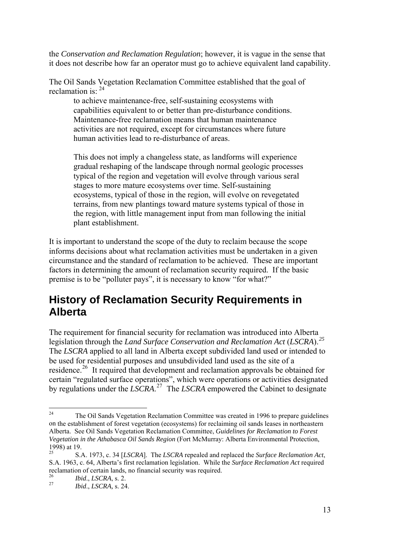the *Conservation and Reclamation Regulation*; however, it is vague in the sense that it does not describe how far an operator must go to achieve equivalent land capability.

The Oil Sands Vegetation Reclamation Committee established that the goal of reclamation is: <sup>24</sup>

to achieve maintenance-free, self-sustaining ecosystems with capabilities equivalent to or better than pre-disturbance conditions. Maintenance-free reclamation means that human maintenance activities are not required, except for circumstances where future human activities lead to re-disturbance of areas.

typical of the region and vegetation will evolve through various seral stages to more mature ecosystems over time. Self-sustaining This does not imply a changeless state, as landforms will experience gradual reshaping of the landscape through normal geologic processes ecosystems, typical of those in the region, will evolve on revegetated terrains, from new plantings toward mature systems typical of those in the region, with little management input from man following the initial plant establishment.

It is important to understand the scope of the duty to reclaim because the scope informs decisions about what reclamation activities must be undertaken in a given circumstance and the standard of reclamation to be achieved. These are important factors in determining the amount of reclamation security required. If the basic premise is to be "polluter pays", it is necessary to know "for what?"

#### <span id="page-12-0"></span>**History of Reclamation Security Requirements in Alberta**

The LSCRA applied to all land in Alberta except subdivided land used or intended to residence.<sup>[26](#page-12-2)</sup> It required that development and reclamation approvals be obtained for certain "regulated surface operations", which were operations or activities designated by regulations under the  $LSCRA$ .<sup>27</sup> The *LSCRA* empowered the Cabinet to designate The requirement for financial security for reclamation was introduced into Alberta legislation through the *Land Surface Conservation and Reclamation Act* (*LSCRA*).*[25](#page-12-1)* be used for residential purposes and unsubdivided land used as the site of a

<sup>24</sup> The Oil Sands Vegetation Reclamation Committee was created in 1996 to prepare guidelines on the establishment of forest vegetation (ecosystems) for reclaiming oil sands leases in northeastern Vegetation in the Athabasca Oil Sands Region (Fort McMurray: Alberta Environmental Protection, Alberta. See Oil Sands Vegetation Reclamation Committee, *Guidelines for Reclamation to Forest*  1998) at 19.

<span id="page-12-1"></span><sup>&</sup>lt;sup>25</sup> S.A. 1973, c. 34 [*LSCRA*]. The *LSCRA* repealed and replaced the *Surface Reclamation Act*, S.A. 1963, c. 64, Alberta's first reclamation legislation. While the *Surface Reclamation Act* required reclamation of certain lands, no financial security was required.

<sup>26</sup> *Ibid*., *LSCRA*, s. 2.

<span id="page-12-2"></span>*Ibid*., *LSCRA,* s. 24. 27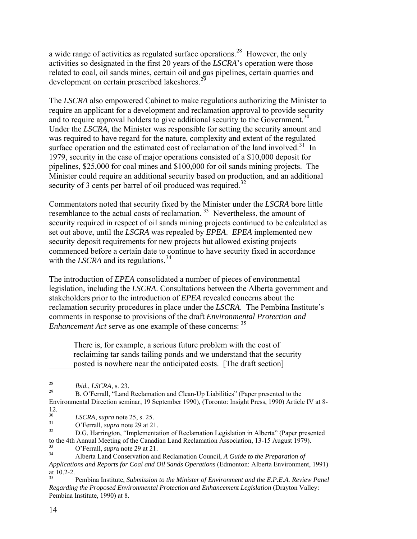a wide range of activities as regulated surface operations.[28](#page-13-0) However, the only activities so designated in the first 20 years of the *LSCRA*'s operation were those related to coal, oil sands mines, certain oil and gas pipelines, certain quarries and development on certain prescribed lakeshores.<sup>2</sup>

The *LSCRA* also empowered Cabinet to make regulations authorizing the Minister to require an applicant for a development and reclamation approval to provide s[ecu](#page-13-2)rity and to require approval holders to give additional security to the Government.<sup>30</sup> surface operation and the estimated cost of reclamation of the land involved.<sup>31</sup> In 1979, security in the case of major operations consisted of a \$10,000 deposit for Minister could require an additional security based on pro[duc](#page-13-3)tion, and an additional Under the *LSCRA*, the Minister was responsible for setting the security amount and was required to have regard for the nature, complexity and extent of the regulated pipelines, \$25,000 for coal mines and \$100,000 for oil sands mining projects. The [security of 3 cents per barrel of oil produced was required.](#page-13-3)<sup>32</sup>

[Commentators noted that security fixed by the](#page-13-3) [Minister under the](#page-13-4) *LSCRA* bore little security required in respect of oil sands mining projects continued to be calculated as set out above, until the LSCRA was repealed by EPEA. EPEA implemented new [resemblance to the actual costs of reclam](#page-13-4)ation.<sup>33</sup> Nevertheless, the amount of security deposit requirements for new projects but allowed existing projects commenced before a certain date to [co](#page-13-5)ntinue to have security fixed in accordance with the *LSCRA* and its regulations.<sup>34</sup>

legislation, including the LSCRA. Consultations between the Alberta government and stakeholders prior to the introduction of EPEA revealed concerns about the reclamation security procedures in place under the *LSCRA*. The Pembina Institute's comme nts in response to provisions of the draft *Environmental Protection and Enhancement Act* serve as one example of these concerns: <sup>35</sup> The introduction of *EPEA* consolidated a number of pieces of environmental

reclaiming tar sands tailing ponds and we understand that the security posted is nowhere near the anticipated costs. [The draft section] There is, for example, a serious future problem with the cost of

<span id="page-13-4"></span><sup>33</sup> O'Ferrall, *supra* note 29 at 21.

<sup>28</sup> *Ibid.*, *LSCRA,* s. 23.

<sup>29</sup> B. O'Ferrall, "Land Reclamation and Clean-Up Liabilities" (Paper presented to the Environmental Direction seminar, 19 September 1990), (Toronto: Insight Press, 1990) Article IV at 8-  $\frac{12}{30}$ .

<span id="page-13-1"></span><span id="page-13-0"></span> $^{30}$  *LSCRA*, *supra* note 25, s. 25.

<span id="page-13-2"></span> $^{31}$  O'Ferrall, *supra* note 29 at 21.<br>D.G. Harrington "Implementa"

<span id="page-13-3"></span><sup>32</sup> D.G. Harrington, "Implementation of Reclamation Legislation in Alberta" (Paper presented to the 4th Annual Meeting of the Canadian Land Reclamation Association, 13-15 August 1979).

<sup>34</sup> Alberta Land Conservation and Reclamation Council, *A Guide to the Preparation of Applications and Reports for Coal and Oil Sands Operations* (Edmonton: Alberta Environment, 1991) at  $10.2-2$ .

<span id="page-13-5"></span><sup>35</sup> Pembina Institute, *Submission to the Minister of Environment and the E.P.E.A. Review Panel Regarding the Proposed Environmental Protection and Enhancement Legislation* (Drayton Valley: Pembina Institute, 1990) at 8.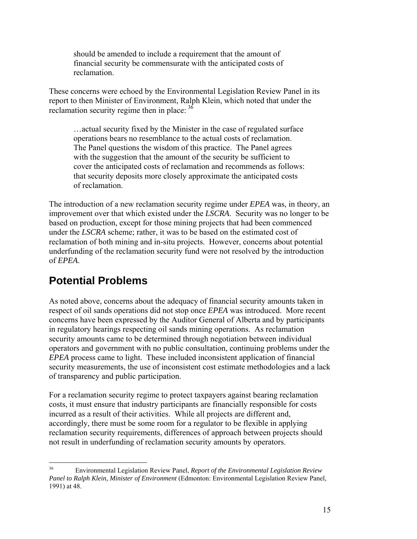should be amended to include a requirement that the amount of financial security be commensurate with the anticipated costs of reclamation.

These concerns were echoed by the Environmental Legislation Review Panel in its report to then Minister of Environment, Ralph Klein, which noted that under the reclamation security regime then in place:  $36$ 

The Panel questions the wisdom of this practice. The Panel agrees with the suggestion that the amount of the security be sufficient to …actual security fixed by the Minister in the case of regulated surface operations bears no resemblance to the actual costs of reclamation. cover the anticipated costs of reclamation and recommends as follows: that security deposits more closely approximate the anticipated costs of reclamation.

based on production, except for those mining projects that had been commenced under the *LSCRA* scheme; rather, it was to be based on the estimated cost of reclamation of both mining and in-situ projects. However, concerns about potential underfunding of the reclamation security fund were not resolved by the introduction The introduction of a new reclamation security regime under *EPEA* was, in theory, an improvement over that which existed under the *LSCRA*. Security was no longer to be of *EPEA*.

#### <span id="page-14-0"></span>**Potential Problems**

As noted above, concerns about the adequacy of financial security amounts taken in concerns have been expressed by the Auditor General of Alberta and by participants security amounts came to be determined through negotiation between individual operators and government with no public consultation, continuing problems under the security measurements, the use of inconsistent cost estimate methodologies and a lack respect of oil sands operations did not stop once *EPEA* was introduced. More recent in regulatory hearings respecting oil sands mining operations. As reclamation *EPEA* process came to light. These included inconsistent application of financial of transparency and public participation.

costs, it must ensure that industry participants are financially responsible for costs incurred as a result of their activities. While all projects are different and, reclamation security requirements, differences of approach between projects should For a reclamation security regime to protect taxpayers against bearing reclamation accordingly, there must be some room for a regulator to be flexible in applying not result in underfunding of reclamation security amounts by operators.

<sup>36</sup> 36 Environmental Legislation Review Panel, *Report of the Environmental Legislation Review Panel to Ralph Klein, Minister of Environment* (Edmonton: Environmental Legislation Review Panel, 1991) at 48.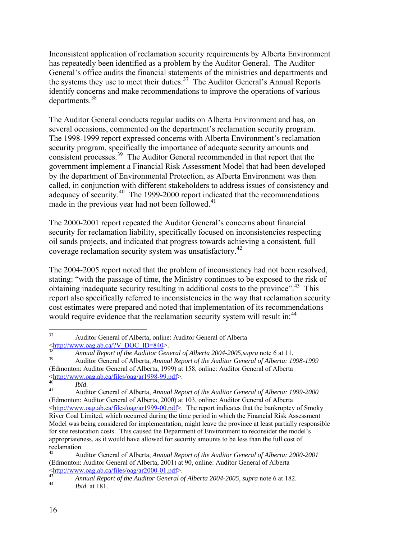Inconsistent application of reclamation security requirements by Alberta Environme nt has repeatedly been identified as a problem by the Auditor General. The Auditor General's office audits the financial statements of the ministries and departments and the systems they use to meet their duties.<sup>37</sup> The Auditor General's Annual Reports identify concerns and make recommendations to improve the operations of various [d](#page-15-0)epartments.[38](#page-15-0)

[by the department of Environmental Protection, as Al](#page-15-1)berta Environment was then called, in conjunction with different stakeholders to address issues of consistency and adequacy of security.<sup>[40](#page-15-2)</sup> The 1999-2000 report indicated that the recommendations [The Auditor General conducts regular audits on Alberta Environment and has, on](#page-15-0) [several occasions, commented on the department's reclamation security program.](#page-15-0)  [The 1998-1999 report expressed concerns with Alberta Environment's reclamation](#page-15-0)  [security program, specifically the importance of adequate security amounts and](#page-15-0)  [consistent processes.](#page-15-0)39 [The Auditor General recommended in that report that the](#page-15-1)  [government implement a Financial Risk Assessment Model that had been developed](#page-15-1) made in the previous year had not been followed.<sup>[41](#page-15-2)</sup>

The 2000-2001 report repeated the Auditor General's concerns about financial security for reclamation liability, specifically focused on inconsistencies respecting oil sands projects, and indicated that progress towards achieving a consistent, full [c](#page-15-3)overage reclamation security system was unsatisfactory.<sup>[42](#page-15-3)</sup>

report also specifically referred to inconsistencies in the way that reclamation security cost estimates were prepared and noted that implementation of its recommendations would require evidence that the reclamation security system will result in:<sup>44</sup> [The 2004-2005 report noted that the problem of inconsistency had not been resolved,](#page-15-3)  [stating: "with the passage of time, the Ministry continues to be exposed to the risk of](#page-15-3)  [obtaining inadequate security resulting in additional costs to the province".](#page-15-3)<sup>43</sup> This

<sup>37</sup> 37 Auditor General of Alberta, online: Auditor General of Alberta <[http://www.oag.ab.ca/?V\\_DOC\\_ID=840](http://www.oag.ab.ca/?V_DOC_ID=840)>.

<sup>&</sup>lt;sup>38</sup> *Annual Report of the Auditor General of Alberta 2004-2005, supra* note 6 at 11.

<span id="page-15-0"></span><sup>39</sup> Auditor General of Alberta, *Annual Report of the Auditor General of Alberta: 1998-1999* (Edmonton: Auditor General of Alberta, 1999) at 158, online: Auditor General of Alberta <<http://www.oag.ab.ca/files/oag/ar1998-99.pdf>>.

<span id="page-15-1"></span><sup>40</sup>*Ibid*. 41 Auditor General of Alberta, *Annual Report of the Auditor General of Alberta: 1999-2000* (Edmonton: Auditor General of Alberta, 2000) at 103, online: Auditor General of Alberta <<http://www.oag.ab.ca/files/oag/ar1999-00.pdf>>. The report indicates that the bankruptcy of Smoky River Coal Limited, which occurred during the time period in which the Financial Risk Assessment Model was being considered for implementation, might leave the province at least partially responsible for site restoration costs. This caused the Department of Environment to reconsider the model's appropriateness, as it would have allowed for security amounts to be less than the full cost of reclamation.

<span id="page-15-2"></span><sup>42</sup> Auditor General of Alberta, *Annual Report of the Auditor General of Alberta: 2000-2001* (Edmonton: Auditor General of Alberta, 2001) at 90, online: Auditor General of Alberta  $\frac{\text{http://www.oag.ab.ca/files/oaq/ar2000-01.pdf}}{\text{A3}}$ 

<span id="page-15-4"></span><span id="page-15-3"></span><sup>43</sup>*Annual Report of the Auditor General of Alberta 2004-2005, supra* note 6 at 182. 44 *Ibid.* at 181.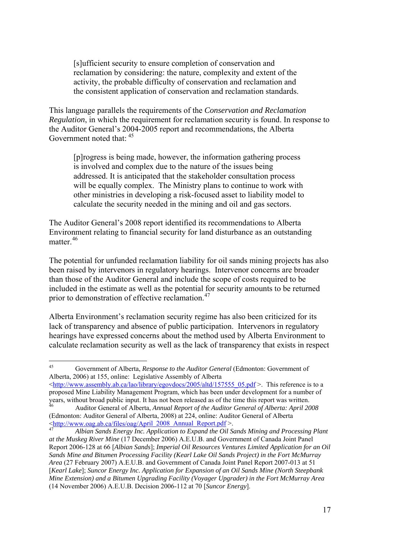reclamation by considering: the nature, complexity and extent of the [s]ufficient security to ensure completion of conservation and activity, the probable difficulty of conservation and reclamation and the consistent application of conservation and reclamation standards.

This language parallels the requirements of the *Conservation and Reclamation egulation*, in which the requirement for reclamation security is found. In response to *R* the Aud itor General's 2004-2005 report and recommendations, the Alberta Government noted that:  $45$ 

will be equally complex. The Ministry plans to continue to work with [p]rogress is being made, however, the information gathering process is involved and complex due to the nature of the issues being addressed. It is anticipated that the stakeholder consultation process other ministries in developing a risk-focused asset to liability model to calculate the security needed in the mining and oil and gas sectors.

The Auditor General's 2008 report identified its recommendations to Alberta Environment relating to financial security for land disturbance as an outstanding [m](#page-16-0)atter.<sup>[46](#page-16-0)</sup>

[The potential for unfunded reclamation liability for oil sands mining projects has als](#page-16-0)o [been raised by intervenors in regulatory hearings.](#page-16-0) Intervenor concerns are broader than those of the Auditor General and include the scope of costs required to be included in the estimate as well as the potential for security amounts to be returned [p](#page-17-1)rior to demonstration of effective reclamation.<sup>[47](#page-17-1)</sup>

calculate reclamation security as well as the lack of transparency that exists in respect [Alberta Environment's reclamation security regime has also been criticized for its](#page-17-1)  [lack of transparency and absence of public participation. Intervenors in regulatory](#page-17-1)  [hearings have expressed concerns about the method used by Alberta Environment to](#page-17-1)

<sup>45</sup> 45 Government of Alberta, *Response to the Auditor Genera l* (Edmonton: Government of Alberta, 2006) at 155, online: Legislative Assembly of Alberta

<sup>&</sup>lt; [http://www.assembly.ab.ca/lao/library/egovdocs/2005/altd/157555\\_05.pdf](http://www.assembly.ab.ca/lao/library/egovdocs/2005/altd/157555_05.pdf) >. This reference is to a proposed Mine Liability Management Program, which has been under development for a number of years, without broad public input. It has not been released as of the time this report was written.

<sup>&</sup>lt;sup>46</sup> Auditor General of Alberta, *Annual Report of the Auditor General of Alberta: April 2008* (Edmonton: Auditor General of Alberta, 2008) at 224, online: Auditor General of Alberta <http://www.oag.ab.ca/files/oag/April\_2008\_Annual\_Report.pdf >.

<span id="page-16-0"></span><sup>47</sup> *Albian Sands Energy Inc. Application to Expand the Oil Sands Mining and Processing P lant at the Muskeg River Mine* (17 December 2006) A.E.U.B. and Government of Canada Joint Panel Report 2006-128 at 66 [*Albian Sands*]; *Imperial Oil Resources Ventures Limited Application for an Oi l Sands Mine and Bitumen Processing Facility (Kearl Lake Oil Sands Project) in the Fort McMurray Area* (27 February 2007) A.E.U.B. and Government of Canada Joint Panel Report 2007-013 at 51 [*Kearl Lake*]; *Suncor Energy Inc. Application for Expansion of an Oil Sands Mine (North Steepbank Mine Extension) and a Bitumen Upgrading Facility (Voyager Upgrader) in the Fort McMurray Area* (14 November 2006) A.E.U.B. Decision 2006-112 at 70 [*Suncor Energy*].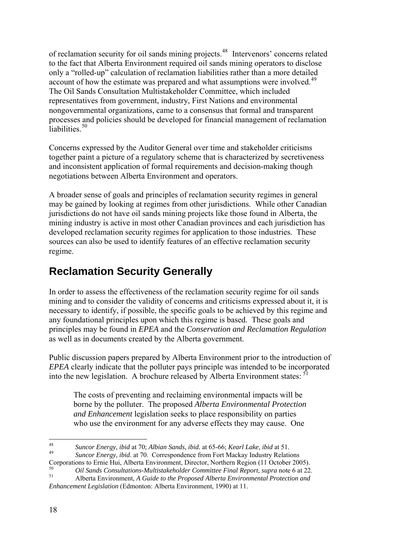[of reclamation security for oil sands mining projects.](#page-17-1)<sup>48</sup> [Intervenors' concerns relate](#page-17-2)d [to the fact that Alberta Environment required oil sands mining operators to disclose](#page-17-2)  [only a "rolled-up" calculation of reclamation liabilities rather than a more d](#page-17-2) etailed [account of how the estimate was prepared and what assumptions were involv](#page-17-2)ed.<sup>49</sup> [The Oil Sands Consultation Multistakeholder Committee, which included](#page-17-2)  [representatives from government, industry, First Nations and environmental](#page-17-2)  [nongovernme](#page-17-2) ntal organizations, came to a consensus that formal and transparent processes and policies should be developed for financial management of reclamation liabilities $^{50}$ 

together paint a picture of a regulatory scheme that is characterized by secretiveness and inconsistent application of formal requirements and decision-making though Concerns expressed by the Auditor General over time and stakeholder criticisms negotiations between Alberta Environment and operators.

mining industry is active in most other Canadian provinces and each jurisdiction has developed reclamation security regimes for application to those industries. These sources can also be used to identify features of an effective reclamation security A broader sense of goals and principles of reclamation security regimes in general may be gained by looking at regimes from other jurisdictions. While other Canadian jurisdictions do not have oil sands mining projects like those found in Alberta, the regime.

#### <span id="page-17-0"></span>**Reclamation Security Generally**

mining and to consider the validity of concerns and criticisms expressed about it, it is any foundational principles upon which this regime is based. These goals and rinciples may be found in *EPEA* and the *Conservation and Reclamation Regulation* p In order to assess the effectiveness of the reclamation security regime for oil sands necessary to identify, if possible, the specific goals to be achieved by this regime and as well as in documents created by the Alberta government.

Public discussion papers prepared by Alberta Environment prior to the introduction of *PEA* clearly indicate that the polluter pays principle was intended to be incorporated *E* into the new legislation. A brochure released by Alberta Environment states:  $51$ 

who use the environment for any adverse effects they may cause. One The costs of preventing and reclaiming environmental impacts will be borne by the polluter. The proposed *Alberta Environmental Protection and Enhancement* legislation seeks to place responsibility on parties

<span id="page-17-1"></span><sup>48</sup> 48 *Suncor Energy*, *ibid* at 70; *Albian Sands*, *ibid.* at 65-66; *Kearl Lake*, *ibid* at 51.

<span id="page-17-2"></span><sup>49</sup> *Suncor Energy*, *ibid*. at 70. Correspondence from Fort Mackay Industry Relations Corporations to Ernie Hui, Alberta Environment, Director, Northern Region (11 October 2005).

<sup>&</sup>lt;sup>50</sup> *Oil Sands Consultations-Multistakeholder Committee Final Report, supra* note 6 at 22.<br>Alberta Environment A Cuide to the Proposed Alberta Environmental Protection and

<sup>51</sup> Alberta Environment, *A Guide to the Proposed Alberta Environmental Protection and Enhancement Legislation* (Edmonton: Alberta Environment, 1990) at 11.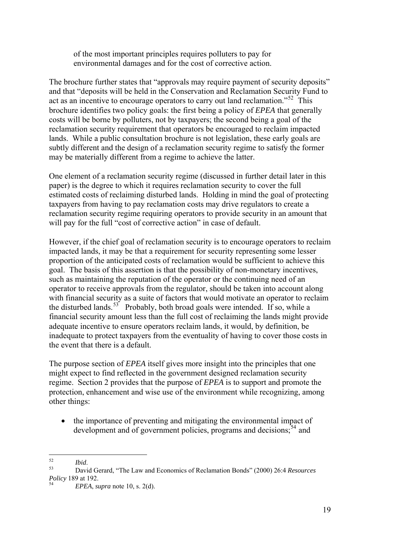of the most important principles requires polluters to pay for environmental damages and for the cost of corrective action.

The brochure further states that "approvals may require payment of security deposits " and that "deposits will be held in the Conservation and Reclamation Security Fun d to act as an incentive to encourage operators to carry out land reclamation."<sup>[52](#page-18-0)</sup> This reclamation security requirement that operators be encouraged to reclaim impacted lands. While a public consultation brochure is not legislation, these early goals are brochure identifies two policy goals: the first being a policy of *EPEA* that generally costs will be borne by polluters, not by taxpayers; the second being a goal of the subtly different and the design of a reclamation security regime to satisfy the former may be materially different from a regime to achieve the latter.

One element of a reclamation security regime (discussed in further detail later in this estimated costs of reclaiming disturbed lands. Holding in mind the goal of protecting taxpayers from having to pay reclamation costs may drive regulators to create a paper) is the degree to which it requires reclamation security to cover the full reclamation security regime requiring operators to provide security in an amount that will pay for the full "cost of corrective action" in case of default.

However, if the chief goal of reclamation security is to encourage operators to reclaim impacted lands, it may be that a requirement for security representing some lesser with financial security as a suite of factors that would motivate an operator to reclaim financial security amount less than the full cost of reclaiming the lands might provide dequate incentive to ensure operators reclaim lands, it would, by definition, be a inadequate to protect taxpayers from the eventuality of having to cover those costs in proportion of the anticipated costs of reclamation would be sufficient to achieve this goal. The basis of this assertion is that the possibility of non-monetary incentives, such as maintaining the reputation of the operator or the continuing need of an operator to receive approvals from the regulator, should be taken into account along the disturbed lands.<sup>[53](#page-18-1)</sup> Probably, both broad goals were intended. If so, while a the event that there is a default.

might expect to find reflected in the government designed reclamation security regime. Section 2 provides that the purpose of *EPEA* is to support and promote the protection, enhancement and wise use of the environment while recognizing, among The purpose section of *EPEA* itself gives more insight into the principles that one other things:

• the importance of preventing and mitigating the environmental impact of development and of government policies, programs and decisions;  $54$  and

 $\overline{a}$ 

 $52$ 

<span id="page-18-1"></span><span id="page-18-0"></span><sup>&</sup>lt;sup>52</sup> *Ibid.*<br>David Gerard, "The Law and Economics of Reclamation Bonds" (2000) 26:4 *Resources Policy* 189 at 192.

note 10, s. 2(d). 54 *EPEA*, *supra*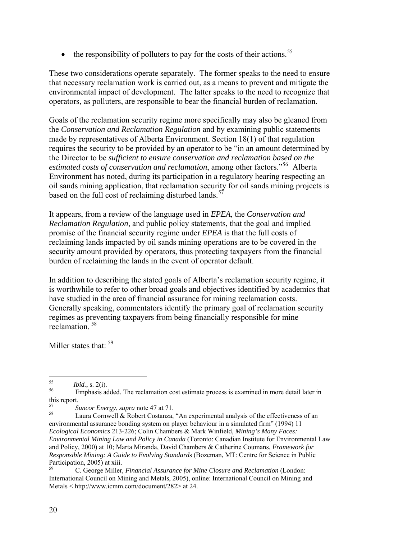$\bullet$  the responsibility of polluters to pay for the costs of their actions.<sup>55</sup>

These two considerations operate separately. The former speaks to the need to ensure that necessary reclamation work is carried out, as a means to prevent and mitigate the environmental impact of development. The latter speaks to the need to recognize that operators, as polluters, are responsible to bear the financial burden of reclamation.

Goals of the reclamation security regime more specifically may also be gleaned from requires the security to be provided by an operator to be "in an amount determined by Environment has noted, during its participation in a regulatory hearing respecting an oil sands mining application, that reclamation security for oil sands mining projects is the *Conservation and Reclamation Regulation* and by examining public statements made by representatives of Alberta Environment. Section 18(1) of that regulation the Director to be *sufficient to ensure conservation and reclamation based on the estimated costs of conservation and reclamation*, among other factors."[56](#page-19-0) Alberta based on the full cost of reclaiming disturbed lands.<sup>57</sup>

It appears, from a review of the language used in *EPEA*, the *Conservation and* reclaiming lands impacted by oil sands mining operations are to be covered in the security amount provided by operators, thus protecting taxpayers from the financial *Reclamation Regulation*, and public policy statements, that the goal and implied promise of the financial security regime under *EPEA* is that the full costs of burden of reclaiming the lands in the event of operator default.

In addition to describing the stated goals of Alberta's reclamation security regime, it is worthwhile to refer to other broad goals and objectives identified by academics that Generally speaking, commentators identify the primary goal of reclamation security regimes as preventing taxpayers from being financially responsible for mine have studied in the area of financial assurance for mining reclamation costs. reclamation. [58](#page-19-1)

Miller states that: <sup>59</sup>

<sup>55</sup>  $\frac{55}{56}$  *Ibid.*, s. 2(i).

<span id="page-19-0"></span><sup>56</sup> Emphasis added. The reclamation cost estimate process is examined in more detail later in this report.

<sup>57</sup> *Suncor Energy*, *supra* note 47 at 71.

Laura Cornwell & Robert Costanza, "An experimental analysis of the effectiveness of an environmental assurance bonding system on player behaviour in a simulated firm" (1994) 11 *Ecological Economics* 213-226; Colin Chambers & Mark Winfield, *Mining's Many Faces: Environmental Mining Law and Policy in Canada* (Toronto: Canadian Institute for Environmental Law and Policy, 2000) at 10; Marta Miranda, David Chambers & Catherine Coumans, *Framework for Responsible Mining: A Guide to Evolving Standard*s (Bozeman, MT: Centre for Science in Public Participation, 2005) at xiii.

<span id="page-19-1"></span><sup>59</sup> C. George Miller, *Financial Assurance for Mine Closure and Reclamation* (London: International Council on Mining and Metals, 2005), online: International Council on Mining and Metals < http://www.icmm.com/document/282> at 24.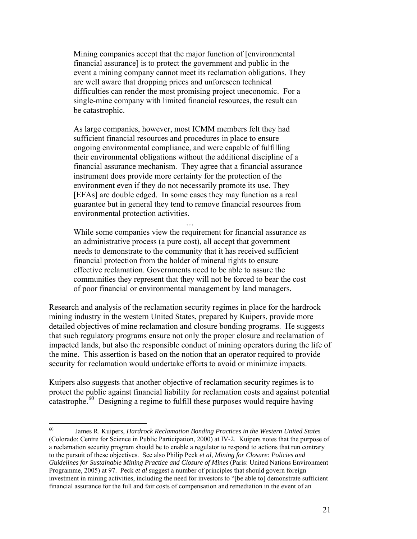Mining companies accept that the major function of [environmental financial assurance] is to protect the government and public in the event a mining company cannot meet its reclamation obligations. They are well aware that dropping prices and unforeseen technical difficulties can render the most promising project uneconomic. For a single-mine company with limited financial resources, the result can be catastrophic.

instrument does provide more certainty for the protection of the environment even if they do not necessarily promote its use. They guarantee but in general they tend to remove financial resources from As large companies, however, most ICMM members felt they had sufficient financial resources and procedures in place to ensure ongoing environmental compliance, and were capable of fulfilling their environmental obligations without the additional discipline of a financial assurance mechanism. They agree that a financial assurance [EFAs] are double edged. In some cases they may function as a real environmental protection activities.

While some companies view the requirement for financial assurance as needs to demonstrate to the community that it has received sufficient financial protection from the holder of mineral rights to ensure an administrative process (a pure cost), all accept that government effective reclamation. Governments need to be able to assure the communities they represent that they will not be forced to bear the cost of poor financial or environmental management by land managers.

…

detailed objectives of mine reclamation and closure bonding programs. He suggests that such regulatory programs ensure not only the proper closure and reclamation of impacted lands, but also the responsible conduct of mining operators during the life of Research and analysis of the reclamation security regimes in place for the hardrock mining industry in the western United States, prepared by Kuipers, provide more the mine. This assertion is based on the notion that an operator required to provide security for reclamation would undertake efforts to avoid or minimize impacts.

protect the public against financial liability for reclamation costs and against potential catastrophe. $60$  Designing a regime to fulfill these purposes would require having Kuipers also suggests that another objective of reclamation security regimes is to

<sup>60</sup> 60 James R. Kuipers, *Hardrock Reclamation Bonding Practices in the Western United States* (Colorado: Centre for Science in Public Participation, 2000) at IV-2. Kuipers notes that the pur pose of a reclamation security program should be to enable a regulator to respond to actions that run contrary to the pursuit of these objectives. See also Philip Peck *et al*, *Mining for Closure: Policies and Guidelines for Sustainable Mining Practice and Closure of Mines* (Paris: United Nations Environment Programme, 2005) at 97. Peck *et al* suggest a number of principles that should govern foreign investment in mining activities, including the need for investors to "[be able to] demonstrate sufficient financial assurance for the full and fair costs of compensation and re mediation in the event of an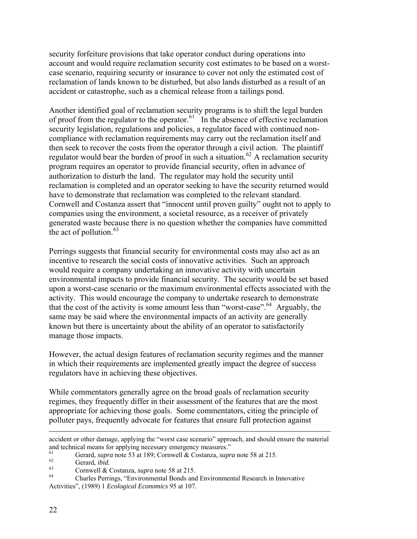security forfeiture provisions that take operator conduct during operations into account and would require reclamation security cost estimates to be based on a worstcase scenario, requiring security or insurance to cover not only the estimated cost of reclamation of lands known to be disturbed, but also lands disturbed as a result of an accident or catastrophe, such as a chemical release from a tailings pond.

compliance with reclamation requirements may carry out the reclamation itself and then seek to recover the costs from the operator through a civil action. The plaintiff reclamation is completed and an operator seeking to have the security returned would Cornwell and Costanza assert that "innocent until proven guilty" ought not to apply to ompanies using the environment, a societal resource, as a receiver of privately c generated waste because there is no question whether the companies have committed Another identified goal of reclamation security programs is to shift the legal burden of proof from the regulator to the operator.  $61$  In the absence of effective reclamation security legislation, regulations and policies, a regulator faced with continued non-regulator would bear the burden of proof in such a situation.<sup>[62](#page-21-1)</sup> A reclamation security program requires an operator to provide financial security, often in advance of authorization to disturb the land. The regulator may hold the security until have to demonstrate that reclamation was completed to the relevant standard. the act of pollution. $63$ 

environmental impacts to provide financial security. The security would be set based upon a worst-case scenario or the maximum environmental effects associated with the activity. This would encourage the company to undertake research to demonstrate that the cost of the activity is some amount less than "worst-case".<sup>64</sup> Arguably, the same may be said where the environmental impacts of an activity are generally Perrings suggests that financial security for environmental costs may also act as an incentive to research the social costs of innovative activities. Such an approach would require a company undertaking an innovative activity with uncertain known but there is uncertainty about the ability of an operator to satisfactorily manage those impacts.

However, the actual design features of reclamation security regimes and the manner in which their requirements are implemented greatly impact the degree of success regulators have in achieving these objectives.

appropriate for achieving those goals. Some commentators, citing the principle of polluter pays, frequently advocate for features that ensure full protection against While commentators generally agree on the broad goals of reclamation security regimes, they frequently differ in their assessment of the features that are the most

 $\overline{a}$ accident or other damage, applying the "worst case scenario" approach, and should ensure the material and technical means for applying necessary emergency measures."

<span id="page-21-0"></span><sup>&</sup>lt;sup>61</sup> Gerard, *supra* note 53 at 189; Cornwell & Costanza, *supra* note 58 at 215.

<span id="page-21-1"></span> $rac{62}{63}$  Gerard, *ibid.* 

<sup>63</sup> Cornwell & Costanza, *supra* note 58 at 215.

<span id="page-21-2"></span><sup>&</sup>lt;sup>64</sup> Charles Perrings, "Environmental Bonds and Environmental Research in Innovative Activities", (1989) 1 *Ecological Economics* 95 at 107.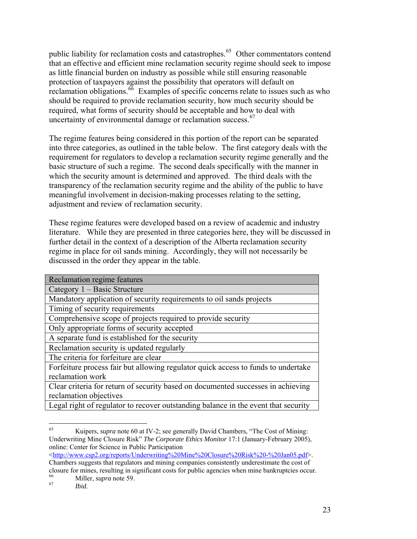public liability for reclamation costs and catastrophes.<sup>[65](#page-22-0)</sup> Other commentators contend that an effective and efficient mine reclamation security regime should seek to im pose as little financial burden on industry as possible while still ensuring reasonab le protection of taxpayers against the possibility that operators will default on reclamation obligations.  $\frac{6}{6}$  Examples of specific concerns relate to issues such as who should be required to provide reclamation security, how much security should be required, what forms of security should be acceptable and how to deal with uncertainty of environmental damage or reclamation success.<sup>67</sup>

requirement for regulators to develop a reclamation security regime generally and the transparency of the reclamation security regime and the ability of the public to have meaningful involvement in decision-making processes relating to the setting, adjustment and review of reclamation security. The regime features being considered in this portion of the report can be separated into three categories, as outlined in the table below. The first category deals with the basic structure of such a regime. The second deals specifically with the manner in which the security amount is determined and approved. The third deals with the

literature. While they are presented in three categories here, they will be discussed in regime in place for oil sands mining. Accordingly, they will not necessarily be discussed in the order they appear in the table. These regime features were developed based on a review of academic and industry further detail in the context of a description of the Alberta reclamation security

| Reclamation regime features                                                        |
|------------------------------------------------------------------------------------|
| Category 1 – Basic Structure                                                       |
| Mandatory application of security requirements to oil sands projects               |
| Timing of security requirements                                                    |
| Comprehensive scope of projects required to provide security                       |
| Only appropriate forms of security accepted                                        |
| A separate fund is established for the security                                    |
| Reclamation security is updated regularly                                          |
| The criteria for forfeiture are clear                                              |
| Forfeiture process fair but allowing regulator quick access to funds to undertake  |
| reclamation work                                                                   |
| Clear criteria for return of security based on documented successes in achieving   |
| reclamation objectives                                                             |
| Legal right of regulator to recover outstanding balance in the event that security |

<span id="page-22-0"></span><sup>65</sup> Kuipers, *supra* note 60 at IV-2; see generally David Chambers, "The Cost of Mining: Underwriting Mine Closure Risk" *The Corporate Ethics Monitor* 17:1 (January-February 2005) , online: Center for Science in Public Participation

<http://www.csp2.org/reports/Underwriting%20Mine%20Closure%20Risk%20-%20Jan05.pdf>. Chambers suggests that regulators and mining companies consistently underestimate the cost of closure for mines, resulting in significant costs for public agencies when mine bankruptcies occur.

<span id="page-22-1"></span><sup>66</sup> Miller, *supra* note 59.

<sup>67</sup> *Ibid*.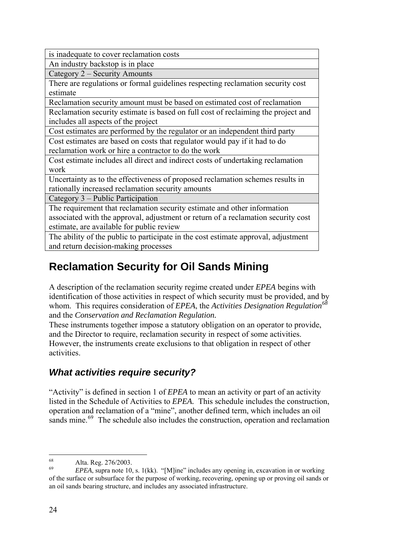is inadequate to cover reclamation costs

An industry backstop is in place

Category 2 – Security Amounts

There are regulations or formal guidelines respecting reclamation security cost estimate

Reclamation security amount must be based on estimated cost of reclamation

Reclamation security estimate is based on full cost of reclaiming the project an d includ es all aspects of the project

Cost estimates are performed by the regulator or an independent third party

Cost estimates are based on costs that regulator would pay if it had to do reclamation work or hire a contractor to do the work

Cost estimate includes all direct and indirect costs of undertaking reclamat ion work

Uncertainty as to the effectiveness of proposed reclamation schemes results in rationally increased reclamation security amounts

Category 3 – Public Participation

The requirement that reclamation security estimate and other information associated with the approval, adjustment or return of a reclamation security cost estimate, are available for public review

The ability of the public to participate in the cost estimate approval, adjustment and return decision-making processes

# <span id="page-23-0"></span>**Reclamation Security for Oil Sands Mining**

A description of the reclamation security regime created under *EPEA* begins with identification of those activities in respect of which security must be provided, and by whom. This requires consideration of *EPEA*, the *Activities Designation Regulation*<sup>68</sup> nd the *Conservation and Reclamation Regulation.*  a

These instruments together impose a statutory obligation on an operator to provide, and the Director to require, reclamation security in respect of some activities. However, the instruments create exclusions to that obligation in respect of other activities.

#### *What activities require security?*

listed in the Schedule of Activities to *EPEA*. This schedule includes the construction, operation and reclamation of a "mine", another defined term, which includes an oil sands mine.<sup>69</sup> The schedule also includes the construction, operation and reclamation "Activity" is defined in section 1 of *EPEA* to mean an activity or part of an activity

<sup>68</sup>  $68$  Alta. Reg. 276/2003.

<sup>69</sup> *EPEA*, supra note 10, s. 1(kk). "[M]ine" includes any opening in, excavation in or working of the surface or subsurface for the purpose of working, recovering, opening up or proving oil sand s or an oil sands bearing structure, and in cludes any associated infrastructure.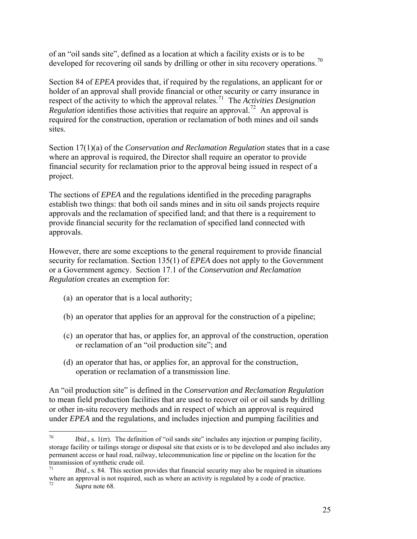of an "oil sands site", defined as a location at which a facility exists or is to be [d](#page-24-0)eveloped for recovering oil sands by drilling or other in situ recovery operations.<sup>[70](#page-24-0)</sup>

Section 84 of *EPEA* [provides that, if required by the regulations, an applicant fo](#page-24-0)r or [holder of an approval shall provide financial or other security or carry insurance in](#page-24-0)  respect [of the activity to which the approval relates.](#page-24-0)<sup>71</sup> The *Activities Designation Regulation* identifies those activities that require an approval.<sup>72</sup> An approval is required for the construction, operation or reclamation of both mines and oil sands sites.

Section 17(1)(a) of the *Conservation and Reclamation Regulation* states that in a case where an approval is required, the Director shall require an operator to provide financial security for reclamation prior to the approval being issued in respect of a project.

The sections of *EPEA* and the regulations identified in the preceding paragraphs establish two things: that both oil sands mines and in situ oil sands projects require pprovals and the reclamation of specified land; and that there is a requirement to a provide financial security for the reclamation of specified land connected with approvals.

However, there are some exceptions to the general requirement to provide financial security for reclamation. Section 135(1) of *EPEA* does not apply to the Government or a Government agency. Section 17.1 of the Conservation and Reclamation Regulation creates an exemption for:

- (a) an operator that is a local authority;
- (b) an operator that applies for an approval for the construction of a pipeline;
- (c) an operator that has, or applies for, an approval of the construction, operation or reclamation of an "oil production site"; and
- (d) an operator that has, or applies for, an approval for the construction, operation or reclamation of a transmission line.

or other in-situ recovery methods and in respect of which an approval is required under *EPEA* and the regulations, and includes injection and pumping facilities and An "oil production site" is defined in the *Conservation and Reclamation Regulation* to mean field production facilities that are used to recover oil or oil sands by drilling

<sup>70</sup> *Ibid.*, s. 1(rr). The definition of "oil sands site" includes any injection or pumping facility, storage facility or tailings storage or disposal site that exists or is to be developed and also includes any permanent access or haul road, railway, telecommunication line or pipeline on the location for the transmission of synthetic crude oil.

<span id="page-24-0"></span> $71$  *Ibid.*, s. 84. This section provides that financial security may also be required in situations where an approval is not required, such as where an activity is regulated by a code of practice.

Supra note 68.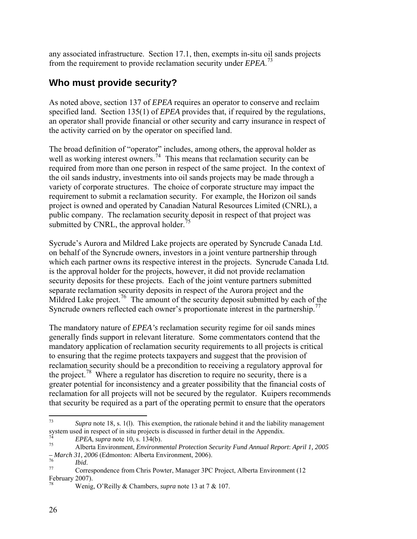any associated infrastructure. Section 17 .1, then, exempts in-situ oil sands projects from the requirement to provide reclamation security under *EPEA*.<sup>73</sup>

#### <span id="page-25-0"></span>**Who must provide security?**

As noted above, section 137 of *EPEA* requires an operator to conserve and reclaim specified land. Section 135(1) of *EPEA* provides that, if required by the regulations, an operator shall provide financial or other security and carry insurance in respect of the activity carried on by the operator on specified land.

required from more than one person in respect of the same project. In the context of requirement to submit a reclamation security. For example, the Horizon oil sands project is owned and operated by Canadian Natural Resources Limited (CNRL), a The broad definition of "operator" includes, among others, the approval holder as well as working interest owners.<sup>[74](#page-25-1)</sup> This means that reclamation security can be the oil sands industry, investments into oil sands projects may be made through a variety of corporate structures. The choice of corporate structure may impact the public company. The reclamation security deposit in respect of that project was submitted by CNRL, the approval holder.<sup>[75](#page-25-2)</sup>

Sycrude's Aurora and Mildred Lake projects are operated by Syncrude Canada Ltd. which each partner owns its respective interest in the projects. Syncrude Canada Ltd. separate reclamation security deposits in respect of the Aurora project and the Mildred Lake project.<sup>[76](#page-25-3)</sup> The amount of the security deposit submitted by each of the on behalf of the Syncrude owners, investors in a joint venture partnership through is the approval holder for the projects, however, it did not provide reclamation security deposits for these projects. Each of the joint venture partners submitted [S](#page-26-0)yncrude owners reflected each owner's proportionate interest in the partnership.<sup>[77](#page-26-0)</sup>

The mandatory nature of *EPEA's* [reclamation security regime for oil sands mine](#page-26-0)s [to ensuring that the regime protects taxpayers and suggest that the provision o](#page-26-0)f [reclamation for all projects will not be](#page-26-0) secured by the regulator. Kuipers recommends that security be required as a part of the operating permit to ensure that the operators [generally finds support in relevant literature. Some commentators contend that the](#page-26-0)  [mandatory application of reclamation security requirements to all projects is critical](#page-26-0)  [reclamation security should be a precondition to receiving a regulatory approval for](#page-26-0)  the project.<sup>78</sup> Where a regulator has discretion to require no security, there is a [greater potential for inconsistency and a greater possibility that the financial costs of](#page-26-0) 

<sup>73</sup>  $^{73}$  *Supra* note 18, s. 1(1). This exemption, the rationale behind it and the liability management system used in respect of in situ projects is discussed in further detail in the Appendix.

<span id="page-25-1"></span><sup>&</sup>lt;sup>74</sup> *EPEA*, *supra* note 10, s. 134(b).<br><sup>75</sup> Alberta Environment, *Environmental Protection Security Fund Annual Report: April 1, 2005* - March 31, 2006 (Edmonton: Alberta Environment, 2006).

<span id="page-25-2"></span><sup>&</sup>lt;sup>76</sup> *Ibid.*<br><sup>77</sup> Correspondence from Chris Powter, Manager 3PC Project, Alberta Environment (12 February 2007).

<span id="page-25-3"></span><sup>78</sup> Wenig, O'Reilly & Chambers, *supra* note 13 at 7 & 107.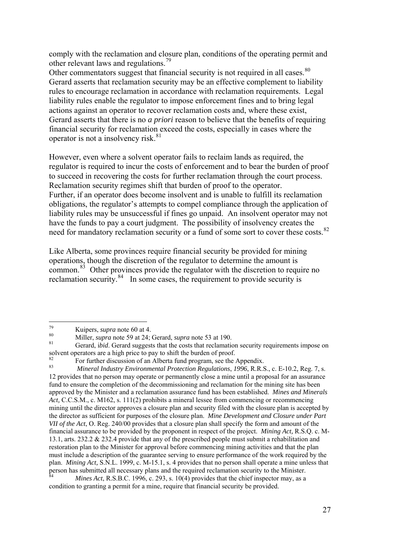comply with the reclamation and closure plan, conditions of the operating permit and other relevant laws and regulations.<sup>[79](#page-26-1)</sup>

[Gerard asserts that reclamation security may be an effective complement to liabilit](#page-26-2)y [rules to encourage reclamation in accordance with reclamation requirements. Le](#page-26-2)gal [Gerard asserts that there is no](#page-26-2) *a priori* reason to believe that the benefits of requiring financial security for reclamation exceed the costs, especially in cases where the [Other commentators suggest that financial security is not required in all cases.](#page-26-1)<sup>80</sup> [liability rules enable the regulator to impose enforcement fines and to bring legal](#page-26-2)  [actions against an operator to recover reclamation costs and, where these exist,](#page-26-2)  operator is not a insolvency risk. $81$ 

regulator is required to incur the costs of enforcement and to bear the burden of proof obligations, the regulator's attempts to compel compliance through the application of have the funds to pay a court judgment. The possibility of insolvency creates the need for mandatory reclamation security or a fund of some sort to cover these costs.<sup>82</sup> However, even where a solvent operator fails to reclaim lands as required, the to succeed in recovering the costs for further reclamation through the court process. Reclamation security regimes shift that burden of proof to the operator. Further, if an operator does become insolvent and is unable to fulfill its reclamation liability rules may be unsuccessful if fines go unpaid. An insolvent operator may not

Like Alberta, some provinces require financial security be provided for mining operations, though the discretion of the regulator to determine the amount is common.<sup>[83](#page-26-3)</sup> Other provinces provide the regulator with the discretion to require no reclamation security. $84$  In some cases, the requirement to provide security is

<span id="page-26-0"></span><sup>79</sup>  $^{79}$  Kuipers, *supra* note 60 at 4.<br><sup>80</sup> Millar suppose to 50 at 24.

<span id="page-26-1"></span><sup>80</sup> Miller, *supra* note 59 at 24; Gerard, *supra* note 53 at 190.

<span id="page-26-2"></span>Gerard, *ibid*. Gerard suggests that the costs that reclamation security requirements impose on solvent operators are a high price to pay to shift the burden of proof.

<sup>&</sup>lt;sup>82</sup> For further discussion of an Alberta fund program, see the Appendix.<br> *Min and Industry Environmental Protection Posulations*,  $1006$ , B, B, C

<span id="page-26-3"></span><sup>83</sup> *Mineral Industry Environmental Protection Regulations*, *1996*, R.R.S., c. E-10.2, Reg. 7, s. 12 provides that no person may operate or permanently close a mine until a proposal for an assuran ce fund to ensure the completion of the decommissioning and reclamation for the mining site has been approved by the Minister and a reclamation assurance fund has been established. *Mines and Minerals Act,* C.C.S.M., c. M162, s. 111(2) prohibits a mineral lessee from commencing or recommencing mining until the director approves a closure plan and security filed with the closure plan is accepted by the director as sufficient for purposes of the closure plan. *Mine Development and Closure under Part VII of the Act*, O. Reg. 240/00 provides that a closure plan shall specify the form and amount of the financial assurance to be provided by the proponent in respect of the project. *Mining Act,* R.S.Q. c. M-13.1, arts. 232.2 & 232.4 provide that any of the prescribed people must submit a rehabilitation and restoration plan to the Minister for approval before commencing mining activities and that the p lan must include a description of the guarantee serving to ensure performance of the work required by the plan. *Mining Act*, S.N.L. 1999, c. M-15.1, s. 4 provides that no person shall operate a mine unless that person has submitted all necessary plans and the required reclamation security to the Minister.

<span id="page-26-4"></span>condition to granting a permit for a mine, require that financial security be provided. *Mines Act*, R.S.B.C. 1996, c. 293, s. 10(4) provides that the chief inspector may, as a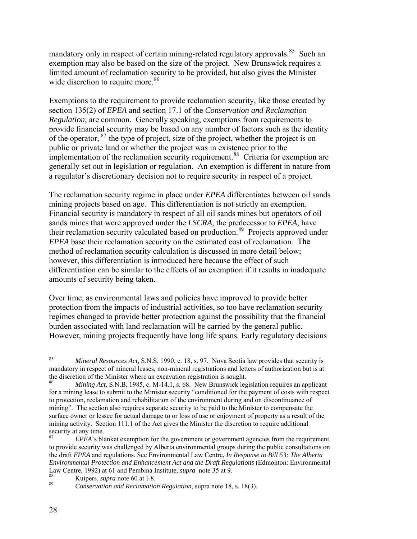mandatory only in respect of certain mining-related regulatory approvals.<sup>[85](#page-27-0)</sup> Such an exemption may also be based on the size of the project. New Brunswick requires a limited amount of reclamation security to be provided, but also gives the Minister wide discretion to require more.<sup>[86](#page-27-1)</sup>

Exemptions to the requirement to provide reclamation security, like those created by provide financial security may be based on any number of factors such as the identity implementation of the reclamation security requirement.<sup>[88](#page-27-2)</sup> Criteria for exemption are generally set out in legislation or regulation. An exemption is different in nature from section 135(2) of *EPEA* and section 17.1 of the *Conservation and Reclamation Regulation*, are common. Generally speaking, exemptions from requirements to of the operator,  $^{87}$  $^{87}$  $^{87}$  the type of project, size of the project, whether the project is on public or private land or whether the project was in existence prior to the a regulator's discretionary decision not to require security in respect of a project.

The reclamation security regime in place under *EPEA* differentiates between oil sands their reclamation security calculated based on production.<sup>[89](#page-27-3)</sup> Projects approved under *EPEA* base their reclamation security on the estimated cost of reclamation. The however, this differentiation is introduced here because the effect of such differentiation can be similar to the effects of an exemption if it results in inadequate mining projects based on age. This differentiation is not strictly an exemption. Financial security is mandatory in respect of all oil sands mines but operators of oil sands mines that were approved under the *LSCRA*, the predecessor to *EPEA,* have method of reclamation security calculation is discussed in more detail below; amounts of security being taken.

protection from the impacts of industrial activities, so too have reclamation security Over time, as environmental laws and policies have improved to provide better regimes changed to provide better protection against the possibility that the financial burden associated with land reclamation will be carried by the general public. However, mining projects frequently have long life spans. Early regulatory decisions

<span id="page-27-0"></span> $rac{1}{85}$ *Mineral Resources Act, S.N.S. 1990, c. 18, s. 97. Nova Scotia law provides that security is* mandatory in respect of mineral leases, non-mineral registrations and letters of authorization but is at the discretion of the Minister where an excavation registration is sought.

*Mining Act,* S.N.B. 1985, c. M-14.1, s. 68. New Brunswick legislation requires an applicant for a mining lease to submit to the Minister security "conditioned for the payment of costs with respect to protection, reclamation and rehabilitation of the environment during and on discontinuance of mining". The section also requires separate security to be paid to the Minister to compensate the surface owner or lessee for actual damage to or loss of use or enjoyment of property as a result of the mining activity. Section 111.1 of the Act gives the Minister the discretion to require additional security at any time.

<span id="page-27-1"></span><sup>87</sup> *EPEA*'s blanket exemption for the government or government agencies from the requirement to provide security was challenged by Alberta environmental groups during the public consultations on the draft *EPEA* and regulations. See Environmental Law Centre, *In Response to Bill 53: The Alberta Environmental Protection and Enhancement Act and the Draft Regulations* (Edmonton: Environmental Law Centre, 1992) at 61 and Pembina Institute, *supra* note 35 at 9.

<span id="page-27-3"></span><span id="page-27-2"></span><sup>&</sup>lt;sup>88</sup> Kuipers, *supra* note 60 at I-8.

<sup>89</sup> *Conservation and Reclamation Regulation*, supra note 18, s. 18(3).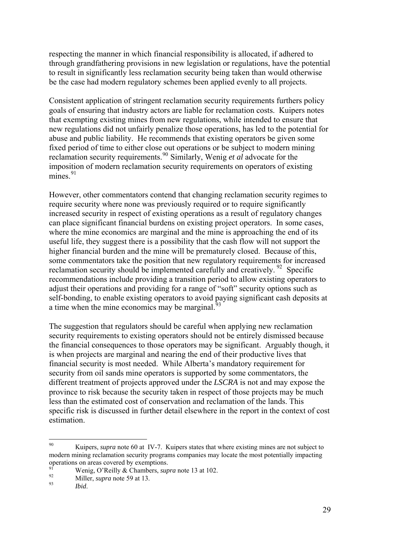respecting the manner in which financial responsibility is allocated, if adhered to through grandfathering provisions in new legislation or regulations, have the potentia l to result in significantly less reclamation security being taken than would otherwise be the case had modern regulatory schemes been applied evenly to all projects.

Consistent application of stringent reclamation security requirements furthers polic y goals of ensuring that industry actors are liable for reclamation costs. Kuiper s notes that exempting existing mines from new regulations, while intended to ensure tha t new regu lations did not unfairly penalize those operations, has led to the potential for abuse and public liability. He recommends that existing operators be given some fixed period of time to either close out operations or be subject to modern mining reclamation security requirements.[90](#page-28-0) Similarly, Wenig *et al* advocate for the imposition of modern reclamation security requirements on operators of existing [m](#page-28-1)ines. $91$ 

[can place significant financial burdens on existing project operators. In some case](#page-28-1)s, [some commentators take the position that new regulato](#page-28-1)ry requirements for increased reclamation security should be implemented carefully and creatively.  $92$  Specific recommendations include providing a transition period to allow existing operators to [However, other commentators contend that changing reclamation security regimes to](#page-28-1) [require security where none was previously required or to require significantly](#page-28-1)  [increased security in respect of existing operations as a result of regulatory changes](#page-28-1)  [where the mine economics are marginal and the mine is approaching the end of its](#page-28-1)  [useful life, they suggest there is a possibility that the cash flow will not support the](#page-28-1) [higher financial burden and the mine will be prematurely closed. Because of this,](#page-28-1)  adjust their operations and providing for a range of "soft" security options such as self-bonding, to enable existing operators to avoid paying significant cash deposits at a time when the mine economics may be marginal. $9<sup>9</sup>$ 

the financial consequences to those operators may be significant. Arguably though, it security from oil sands mine operators is supported by some commentators, the different treatment of projects approved under the *LSCRA* is not and may expose the province to risk because the security taken in respect of those projects may be much less than the estimated cost of conservation and reclamation of the lands. This specific risk is discussed in further detail elsewhere in the report in the context of cost The suggestion that regulators should be careful when applying new reclamation security requirements to existing operators should not be entirely dismissed because is when projects are marginal and nearing the end of their productive lives that financial security is most needed. While Alberta's mandatory requirement for estimation.

<sup>90</sup> 90 Kuipers, *supra* note 60 at IV-7. Kuipers states that where existing mines are not subject to modern mining reclamation security programs companies may locate the most potentially impacting operations on areas covered by exemptions.

<sup>&</sup>lt;sup>91</sup> Wenig, O'Reilly & Chambers, *supra* note 13 at 102.

<span id="page-28-1"></span><span id="page-28-0"></span> $^{92}_{93}$  Miller, *supra* note 59 at 13.

<sup>93</sup> *Ibid*.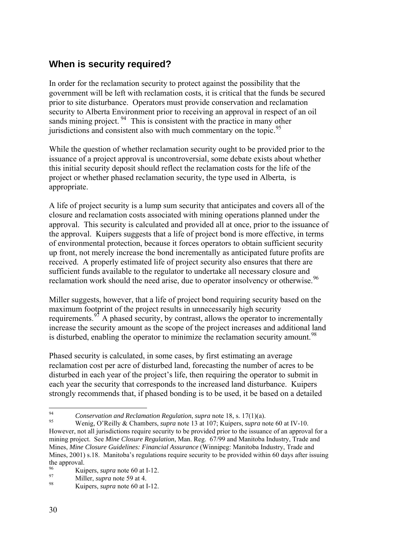#### <span id="page-29-0"></span>**When is security required?**

In order for the reclamation security to protect against the possibility that the government will be left with reclamation costs, it is critical that the funds be secured prior to site disturbance. Operators must provide conservation and reclamation security to Alberta Environment prior to receiving an approval in respect of an oil sands mining project.<sup>94</sup> This is consistent with the practice in many other jurisdictions and consistent also with much commentary on the topic.<sup>95</sup>

While the question of whether reclamation security ought to be provided prior to the issuance of a project approval is uncontroversial, some debate exists about whether this initial security deposit should reflect the reclamation costs for the life of the project or whether phased reclamation security, the type used in Alberta, is appropriate.

e closure and reclamation costs associated with mining operations planned under th approval. This security is calculated and provided all at once, prior to the issuance of of environmental protection, because it forces operators to obtain sufficient security received. A properly estimated life of project security also ensures that there are A life of project security is a lump sum security that anticipates and covers all of the the approval. Kuipers suggests that a life of project bond is more effective, in terms up front, not merely increase the bond incrementally as anticipated future profits are sufficient funds available to the regulator to undertake all necessary closure and reclamation work should the need arise, due to operator insolvency or otherwise.<sup>[96](#page-29-1)</sup>

Miller suggests, however, that a life of project bond requiring security based on the requirements.<sup>[97](#page-30-1)</sup> A phased security, by contrast, allows the operator to incrementally increase the security amount as the scope of the project increases and additional land maximum footprint of the project results in unnecessarily high security is disturbed, enabling the operator to minimize the reclamation security amount.<sup>[98](#page-30-2)</sup>

strongly recommends that, if phased bonding is to be used, it be based on a detailed Phased security is calculated, in some cases, by first estimating an average reclamation cost per acre of disturbed land, forecasting the number of acres to be disturbed in each year of the project's life, then requiring the operator to submit in each year the security that corresponds to the increased land disturbance. Kuipers

<sup>94</sup> 94 *Conservation and Reclamation Regulation*, *supra* note 18, s. 17(1)(a).

<sup>95</sup> Wenig, O'Reilly & Chambers, *supra* note 13 at 107; Kuipers, *supra* note 60 at IV-10. However, not all jurisdictions require security to be provided prior to the issuance of an approval for a mining project. See *Mine Closure Regulation*, Man. Reg. 67/99 and Manitoba Industry, Trade and Mines, *Mine Closure Guidelines: Financial Assurance* (Winnipeg: Manitoba Industry, Trade and Mines, 2001) s .18. Manitoba's regulations require security to be provided within 60 days after issuing the approval.

<sup>&</sup>lt;sup>96</sup> Kuipers, *supra* note 60 at I-12.

<span id="page-29-1"></span><sup>&</sup>lt;sup>97</sup> Miller, *supra* note 59 at 4.

<sup>98</sup> Kuipers, *supra* note 60 at I-12.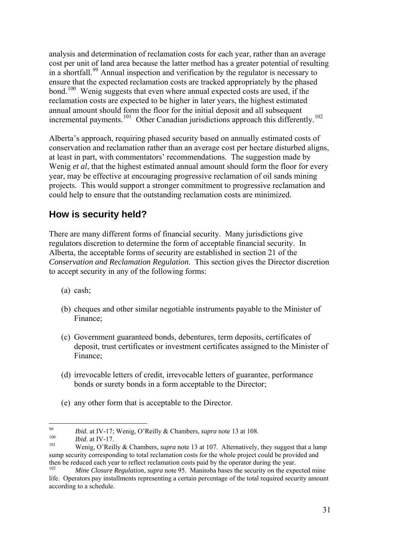analysis and determination of reclamation costs for each year, rather than an ave rage cost per unit of land area because the latter method has a greater potential of resulting in a shortfall.<sup>[99](#page-30-3)</sup> Annual inspection and verification by the regulator is necessary to bond.<sup>100</sup> Wenig suggests that even where annual expected costs are used, if the ensure that the expected reclamation costs are tracked appropriately by the phased reclamation costs are expected to be higher in later years, the highest estimated annual amount should form the floor for the initial deposit and all subsequent incremental payments.<sup>101</sup> Other Canadian jurisdictions approach this differently.<sup>102</sup>

at least in part, with commentators' recommendations. The suggestion made by Wenig et al, that the highest estimated annual amount should form the floor for every year, may be effective at encouraging progressive reclamation of oil sands mining projects. This would support a stronger commitment to progressive reclamation and Alberta's approach, requiring phased security based on annually estimated costs of conservation and reclamation rather than an average cost per hectare disturbed aligns, could help to ensure that the outstanding reclamation costs are minimized.

#### <span id="page-30-0"></span>**How is security held?**

There are many different forms of financial security. Many jurisdictions give regulators discretion to determine the form of acceptable financial security. In Alberta, the acceptable forms of security are established in section 21 of the *Conservation and Reclamation Regulation*. This section gives the Director discretion to accept security in any of the following forms:

- (a) cash;
- (b) cheques and other similar negotiable instruments payable to the Minister of Finance;
- deposit, trust certificates or investment certificates assigned to the Minister of Finance; (c) Government guaranteed bonds, debentures, term deposits, certificates of
- (d) irrevocable letters of credit, irrevocable letters of guarantee, performance bonds or surety bonds in a form acceptable to the Director;
- (e) any other form that is acceptable to the Director.

<span id="page-30-1"></span><sup>99</sup> 99 *Ibid*. at IV-17; Wenig, O'Reilly & Chambers, *supra* note 13 at 108.

<span id="page-30-2"></span> $\frac{100}{101}$  *Ibid.* at IV-17.

<span id="page-30-3"></span><sup>101</sup> Wenig, O'Reilly & Chambers, *supra* note 13 at 107. Alternatively, they suggest that a lump sump security corresponding to total reclamation costs for the whole project could be provided and then be reduced each year to reflect reclamation costs paid by the operator during the year.

*Mine Closure Regulation, supra* note 95. Manitoba bases the security on the expected mine life. Operators pay installments representing a certain percentage of the total required security amount according to a schedule.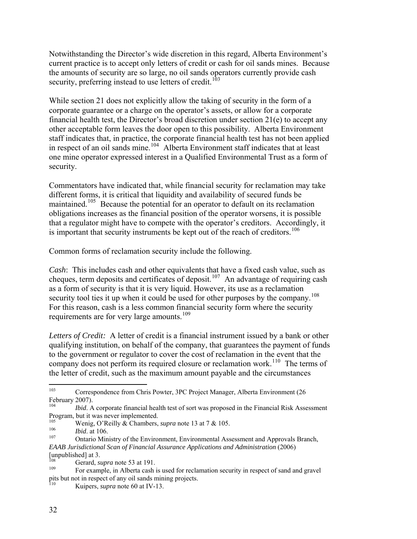Notwithstanding the Director's wide discretion in this regard, Alberta Environmen t's current practice is to accept only letters of credit or ca sh for oil sands mines. Because the amounts of security are so large, no oil sands operators currently provide cash [s](#page-31-0)ecurity, preferring instead to use letters of credit.<sup>[103](#page-31-0)</sup>

in respect o[f an oil sands mine.](#page-31-0)<sup>104</sup> Alberta Environment staff indicates that at least one mine operator expressed interest in a Qualified Environmental Trust as a form of [While section 21 does not explicitly allow the taking of security in the form of a](#page-31-0)  [corporate guarantee or a charge on the operator's assets, or allow for a corporate](#page-31-0)  [financial health test, the Director's broad discretion under section 21\(e\) to accept any](#page-31-0)  [other acceptable form leaves the door open to this possibility. Alberta Environment](#page-31-0) [staff indicates that, in practice, the corporate financial health test has not been applied](#page-31-0)  security.

Commentators have indicated that, while financial security for reclamation may take obligations increases as the financial position of the operator worsens, it is possible that a regulator might have to compete with the operator's creditors. Accordingly, it is important that security instruments be kept out of the reach of creditors.<sup>106</sup> different forms, it is critical that liquidity and availability of secured funds be maintained.<sup>[105](#page-31-1)</sup> Because the potential for an operator to default on its reclamation

Common forms of reclamation security include the following.

*Cash*: This includes cash and other equivalents that have a fixed cash value, such as security tool ties it up when it could be used for other purposes by the company.  $108$ For this reason, cash is a less common financial security form where the security cheques, term deposits and certificates of deposit.<sup>[107](#page-31-2)</sup> An advantage of requiring cash as a form of security is that it is very liquid. However, its use as a reclamation [r](#page-31-3)equirements are for very large amounts.<sup>[109](#page-31-3)</sup>

Letters of Credit: [A letter of credit is a financial instrument issued by a bank or othe](#page-31-3)r [to the government or regulator to cover the cost of reclamation in the event that th](#page-31-3)e [company does not perform its required closure or reclamation work.](#page-31-3)<sup>110</sup> [The terms](#page-32-0) of the letter of credit, such as the maximum amount payable and the circumstances [qualifying institution, on behalf of the company, that guarantees the payment of funds](#page-31-3)

<sup>108</sup> Gerard, *supra* note 53 at 191.

<sup>103</sup> Correspondence from Chris Powter, 3PC Project Manager, Alberta Environment (26 February 2007).<br> $\frac{104}{h^{3}d}$ 

<span id="page-31-0"></span>*Ibid.* A corporate financial health test of sort was proposed in the Financial Risk Assessment Program, but it was never implemented.

<span id="page-31-1"></span><sup>&</sup>lt;sup>105</sup> Wenig, O'Reilly & Chambers, *supra* note 13 at 7 & 105.

 $\frac{106}{107}$  *Ibid.* at 106.

<span id="page-31-2"></span><sup>107</sup> Ontario Ministry of the Environment, Environmental Assessment and Approvals Branch, *EAAB Jurisdictional Scan of Financial Assurance Applications and Administration* (2006) [unpublished] at 3.

<sup>109</sup> For example, in Alberta cash is used for reclamation security in respect of sand and gravel pits but not in respect of any oil sands mining projects.

<span id="page-31-3"></span>Kuipers, *supra* note 60 at IV-13.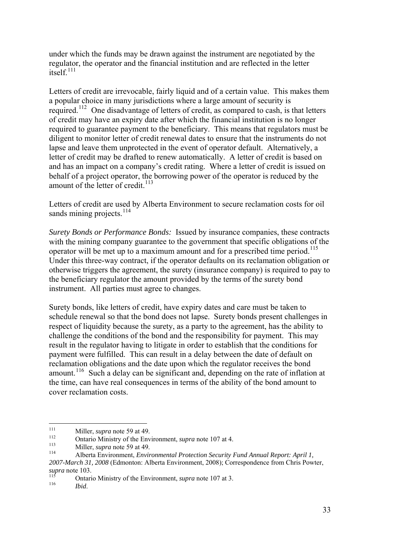[under which the funds may be drawn against the instrument are negotiated by the](#page-32-0) [regulator,](#page-32-0) the operator and the financial institution and are reflected in the letter itself. $^{111}$ 

required.<sup>[112](#page-32-1)</sup> One disadvantage of letters of credit, as compared to cash, is that letters diligent to monitor letter of credit renewal dates to ensure that the instruments do not behalf of a project operator, the borrowing power of the operator is reduced by the amount of the letter of credit.<sup>113</sup> Letters of credit are irrevocable, fairly liquid and of a certain value. This makes them a popular choice in many jurisdictions where a large amount of security is of credit may have an expiry date after which the financial institution is no longer required to guarantee payment to the beneficiary. This means that regulators must be lapse and leave them unprotected in the event of operator default. Alternatively, a letter of credit may be drafted to renew automatically. A letter of credit is based on and has an impact on a company's credit rating. Where a letter of credit is issued on

Letters of credit are used by Alberta Environment to secure reclamation costs for oil sands mining projects.<sup>114</sup>

with the mining company guarantee to the government that specific obligations of the otherwise triggers the agreement, the surety (insurance company) is required to pay to the beneficiary regulator the amount provided by the terms of the surety bond instrument. All parties must agree to changes. *Surety Bonds or Performance Bonds:* Issued by insurance companies, these contracts operator will be met up to a maximum amount and for a prescribed time period.<sup>[115](#page-32-2)</sup> Under this three-way contract, if the operator defaults on its reclamation obligation or

amount.<sup>[116](#page-32-3)</sup> Such a delay can be significant and, depending on the rate of inflation at the time, can have real consequences in terms of the ability of the bond amount to cover reclamation costs. Surety bonds, like letters of credit, have expiry dates and care must be taken to schedule renewal so that the bond does not lapse. Surety bonds present challenges in respect of liquidity because the surety, as a party to the agreement, has the ability to challenge the conditions of the bond and the responsibility for payment. This may result in the regulator having to litigate in order to establish that the conditions for payment were fulfilled. This can result in a delay between the date of default on reclamation obligations and the date upon which the regulator receives the bond

<span id="page-32-0"></span><sup>111</sup> 

<span id="page-32-1"></span><sup>111</sup> Miller, *supra* note 59 at 49.<br>
112 Ontario Ministry of the Environment, *supra* note 107 at 4.<br>
113 Miller, *supra* note 59 at 49.

<sup>114</sup> Alberta Environment, *Environmental Protection Security Fund Annual Report: April 1*, *2007-March 31, 2008* (Edmonton: Alberta Environment, 2008); Correspondence from Chris Powter, *supra* note 103.

<span id="page-32-3"></span><span id="page-32-2"></span><sup>&</sup>lt;sup>115</sup> Ontario Ministry of the Environment, *supra* note 107 at 3.

<sup>116</sup> *Ibid*.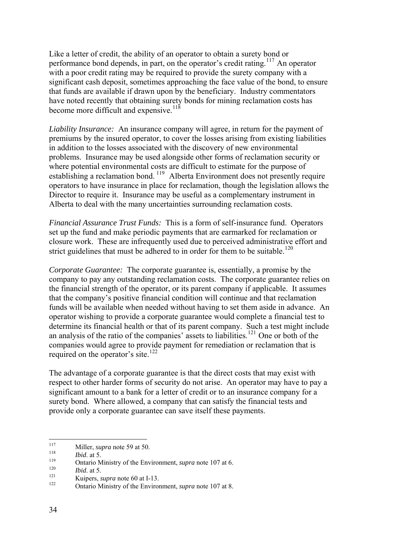Like a letter of credit, the ability of an operator to obtain a surety bond or performance bond depends, in part, on the operator's credit rating.[117](#page-33-0) An operator with a poor credit rating may be required to provide the surety company with a significant cash deposit, sometimes approaching the face value of the bond, to ensure that funds are available if drawn upon by the beneficiary. Industry commentators have noted recently that obtaining surety bonds for mining reclamation costs has become more difficult and expensive.<sup>[118](#page-33-1)</sup>

*Liability Insurance:* An insurance company will agree, in return for the payment of premiums by the insured operator, to cover the losses arising from existing liabilities in addition to the losses associated with the discovery of new environmental problems. Insurance may be used alongside other forms of reclamation security or where potential environmental costs are difficult to estimate for the purpose of establishing a reclamation bond.<sup>[119](#page-33-2)</sup> Alberta Environment does not presently require operators to have insurance in place for reclamation, though the legislation allows the Director to require it. Insurance may be useful as a complementary instrument in Alberta to deal with the many uncertainties surrounding reclamation costs.

*Financial Assurance Trust Funds:* This is a form of self-insurance fund. Operators set up the fund and make periodic payments that are earmarked for reclamation or closure work. These are infrequently used due to perceived administrative effort and strict guidelines that must be adhered to in order for them to be suitable.<sup>[120](#page-33-3)</sup>

*Corporate Guarantee:* The corporate guarantee is, essentially, a promise by the company to pay any outstanding reclamation costs. The corporate guarantee relies on the financial strength of the operator, or its parent company if applicable. It assumes that the company's positive financial condition will continue and that reclamation funds will be available when needed without having to set them aside in advance. An operator wishing to provide a corporate guarantee would complete a financial test to determine its financial health or that of its parent company. Such a test might include an analysis of the ratio of the companies' assets to liabilities.<sup>[121](#page-33-4)</sup> One or both of the companies would agree to provide payment for remediation or reclamation that is required on the operator's site.<sup>[122](#page-33-5)</sup>

The advantage of a corporate guarantee is that the direct costs that may exist with respect to other harder forms of security do not arise. An operator may have to pay a significant amount to a bank for a letter of credit or to an insurance company for a surety bond. Where allowed, a company that can satisfy the financial tests and provide only a corporate guarantee can save itself these payments.

<span id="page-33-0"></span><sup>117</sup>  $117$  Miller, *supra* note 59 at 50.

<span id="page-33-1"></span> $118$  *Ibid.* at 5.

<span id="page-33-2"></span><sup>&</sup>lt;sup>119</sup> Ontario Ministry of the Environment, *supra* note 107 at 6.

<span id="page-33-5"></span><span id="page-33-4"></span>

<span id="page-33-3"></span><sup>1&</sup>lt;sup>20</sup>*Ibid.* at 5.<br>
1<sup>21</sup> Kuipers, *supra* note 60 at I-13.<br>
122 Ontario Ministry of the Environment, *supra* note 107 at 8.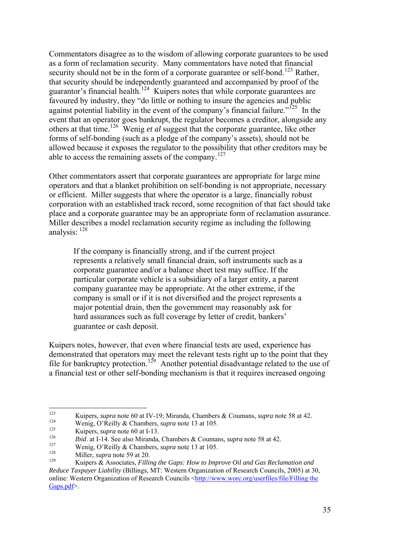Commentators disagree as to the wisdom of allowing corporate guarantees to be used as a form of reclamation security. Many commentators have noted that financial security should not be in the form of a corporate guarantee or self-bond.<sup>[123](#page-34-0)</sup> Rather, that security should be independently guaranteed and accompanied by proof of the guarantor's financial health.<sup>[124](#page-34-1)</sup> Kuipers notes that while corporate guarantees are favoured by industry, they "do little or nothing to insure the agencies and public against potential liability in the event of the company's financial failure."<sup>[125](#page-34-2)</sup> In the event that an operator goes bankrupt, the regulator becomes a creditor, alongside any others at that time.[126](#page-34-3) Wenig *et al* suggest that the corporate guarantee, like other forms of self-bonding (such as a pledge of the company's assets), should not be allowed because it exposes the regulator to the possibility that other creditors may be able to access the remaining assets of the company.<sup>[127](#page-34-4)</sup>

Other commentators assert that corporate guarantees are appropriate for large mine operators and that a blanket prohibition on self-bonding is not appropriate, necessary or efficient. Miller suggests that where the operator is a large, financially robust corporation with an established track record, some recognition of that fact should take place and a corporate guarantee may be an appropriate form of reclamation assurance. Miller describes a model reclamation security regime as including the following analysis: [128](#page-34-5)

If the company is financially strong, and if the current project represents a relatively small financial drain, soft instruments such as a corporate guarantee and/or a balance sheet test may suffice. If the particular corporate vehicle is a subsidiary of a larger entity, a parent company guarantee may be appropriate. At the other extreme, if the company is small or if it is not diversified and the project represents a major potential drain, then the government may reasonably ask for hard assurances such as full coverage by letter of credit, bankers' guarantee or cash deposit.

Kuipers notes, however, that even where financial tests are used, experience has demonstrated that operators may meet the relevant tests right up to the point that they file for bankruptcy protection.<sup>[129](#page-34-6)</sup> Another potential disadvantage related to the use of a financial test or other self-bonding mechanism is that it requires increased ongoing

<span id="page-34-0"></span><sup>123</sup> <sup>123</sup><br>Kuipers, *supra* note 60 at IV-19; Miranda, Chambers & Coumans, *supra* note 58 at 42.<br><sup>124</sup> Wenig, O'Reilly & Chambers, *supra* note 13 at 105.<br>*Kuipers, supra* note 60 at 1.13.

<span id="page-34-1"></span>

<span id="page-34-2"></span><sup>&</sup>lt;sup>125</sup> Kuipers, *supra* note 60 at I-13.<br><sup>126</sup> *Ibid.* at I-14. See also Miranda.

<span id="page-34-3"></span><sup>126</sup> *Ibid*. at I-14. See also Miranda, Chambers & Coumans*, supra* note 58 at 42.

<span id="page-34-4"></span><sup>&</sup>lt;sup>127</sup> Wenig, O'Reilly & Chambers, *supra* note 13 at 105.

<span id="page-34-5"></span><sup>&</sup>lt;sup>128</sup> Miller, *supra* note 59 at 20.

<span id="page-34-6"></span><sup>129</sup> Kuipers & Associates, *Filling the Gaps: How to Improve Oil and Gas Reclamation and Reduce Taxpayer Liability* (Billings, MT: Western Organization of Research Councils, 2005) at 30, online: Western Organization of Research Councils [<http://www.worc.org/userfiles/file/Filling the](http://www.worc.org/userfiles/file/Filling%20the%20Gaps.pdf)  [Gaps.pdf](http://www.worc.org/userfiles/file/Filling%20the%20Gaps.pdf)>.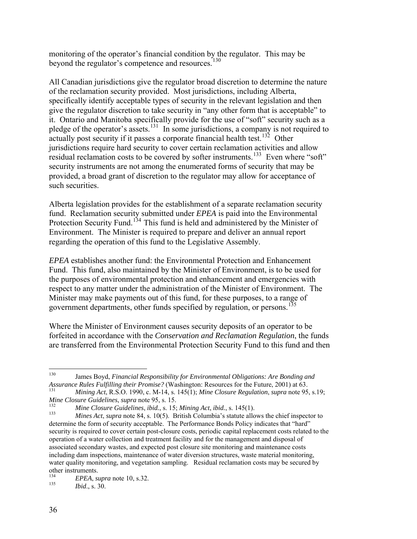monitoring of the operator's financial condition by the regulator. This may be beyond the regulator's competence and resources.<sup>[130](#page-35-0)</sup>

All Canadian jurisdictions give the regulator broad discretion to determine the nature of the reclamation security provided. Most jurisdictions, including Alberta, specifically identify acceptable types of security in the relevant legislation and then give the regulator discretion to take security in "any other form that is acceptable" to it. Ontario and Manitoba specifically provide for the use of "soft" security such as a pledge of the operator's assets.<sup>[131](#page-35-1)</sup> In some jurisdictions, a company is not required to actually post security if it passes a corporate financial health test.<sup>[132](#page-35-2)</sup> Other jurisdictions require hard security to cover certain reclamation activities and allow residual reclamation costs to be covered by softer instruments.<sup>[133](#page-35-3)</sup> Even where "soft" security instruments are not among the enumerated forms of security that may be provided, a broad grant of discretion to the regulator may allow for acceptance of such securities.

Alberta legislation provides for the establishment of a separate reclamation security fund. Reclamation security submitted under *EPEA* is paid into the Environmental Protection Security Fund.<sup>[134](#page-35-4)</sup> This fund is held and administered by the Minister of Environment. The Minister is required to prepare and deliver an annual report regarding the operation of this fund to the Legislative Assembly.

*EPEA* establishes another fund: the Environmental Protection and Enhancement Fund. This fund, also maintained by the Minister of Environment, is to be used for the purposes of environmental protection and enhancement and emergencies with respect to any matter under the administration of the Minister of Environment. The Minister may make payments out of this fund, for these purposes, to a range of government departments, other funds specified by regulation, or persons.<sup>[135](#page-35-5)</sup>

Where the Minister of Environment causes security deposits of an operator to be forfeited in accordance with the *Conservation and Reclamation Regulation*, the funds are transferred from the Environmental Protection Security Fund to this fund and then

<span id="page-35-0"></span><sup>130</sup> 130 James Boyd, *Financial Responsibility for Environmental Obligations: Are Bonding and Assurance Rules Fulfilling their Promise?* (Washington: Resources for the Future, 2001) at 63.<br> *Minima A. P. S. C. 1999* 

<span id="page-35-1"></span><sup>131</sup> *Mining Act*, R.S.O. 1990, c. M-14, s. 145(1); *Mine Closure Regulation*, *supra* note 95, s.19; *Mine Closure Guidelines*, *supra* note 95, s. 15.

<span id="page-35-2"></span><sup>132</sup> *Mine Closure Guidelines*, *ibid.*, s. 15; *Mining Act*, *ibid.*, s. 145(1).

<span id="page-35-3"></span>*Mines Act, supra* note 84, s. 10(5). British Columbia's statute allows the chief inspector to determine the form of security acceptable. The Performance Bonds Policy indicates that "hard" security is required to cover certain post-closure costs, periodic capital replacement costs related to the operation of a water collection and treatment facility and for the management and disposal of associated secondary wastes, and expected post closure site monitoring and maintenance costs including dam inspections, maintenance of water diversion structures, waste material monitoring, water quality monitoring, and vegetation sampling. Residual reclamation costs may be secured by other instruments.

<span id="page-35-4"></span><sup>&</sup>lt;sup>134</sup> *EPEA*, *supra* note 10, s.32.

<span id="page-35-5"></span>*Ibid.*, s. 30.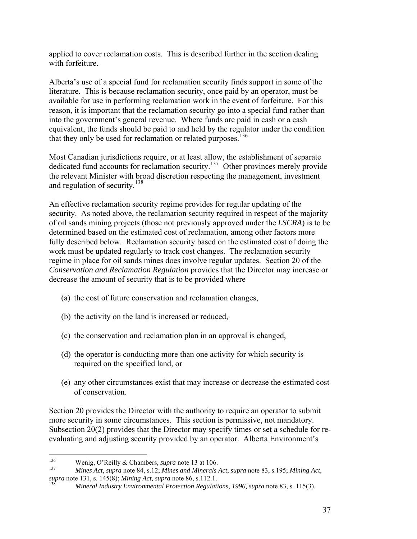applied to cover reclamation costs. This is described further in the section dealing with forfeiture

Alberta's use of a special fund for reclamation security finds support in some of the literature. This is because reclamation security, once paid by an operator, must be available for use in performing reclamation work in the event of forfeiture. For this reason, it is important that the reclamation security go into a special fund rather than into the government's general revenue. Where funds are paid in cash or a cash equivalent, the funds should be paid to and held by the regulator under the condition that they only be used for reclamation or related purposes.<sup>[136](#page-36-0)</sup>

Most Canadian jurisdictions require, or at least allow, the establishment of separate dedicated fund accounts for reclamation security.[137](#page-36-1) Other provinces merely provide the relevant Minister with broad discretion respecting the management, investment and regulation of security.<sup>[138](#page-36-2)</sup>

An effective reclamation security regime provides for regular updating of the security. As noted above, the reclamation security required in respect of the majority of oil sands mining projects (those not previously approved under the *LSCRA*) is to be determined based on the estimated cost of reclamation, among other factors more fully described below. Reclamation security based on the estimated cost of doing the work must be updated regularly to track cost changes. The reclamation security regime in place for oil sands mines does involve regular updates. Section 20 of the *Conservation and Reclamation Regulation* provides that the Director may increase or decrease the amount of security that is to be provided where

- (a) the cost of future conservation and reclamation changes,
- (b) the activity on the land is increased or reduced,
- (c) the conservation and reclamation plan in an approval is changed,
- (d) the operator is conducting more than one activity for which security is required on the specified land, or
- (e) any other circumstances exist that may increase or decrease the estimated cost of conservation.

Section 20 provides the Director with the authority to require an operator to submit more security in some circumstances. This section is permissive, not mandatory. Subsection 20(2) provides that the Director may specify times or set a schedule for reevaluating and adjusting security provided by an operator. Alberta Environment's

<span id="page-36-0"></span><sup>136</sup> <sup>136</sup> Wenig, O'Reilly & Chambers, *supra* note 13 at 106.

<span id="page-36-1"></span><sup>137</sup> *Mines Act*, *supra* note 84, s.12; *Mines and Minerals Act*, *supra* note 83, s.195; *Mining Act*, *supra* note 131, s. 145(8); *Mining Act, supra* note 86, s.112.1.

<span id="page-36-2"></span><sup>138</sup> *Mineral Industry Environmental Protection Regulations, 1996, supra* note 83, s. 115(3).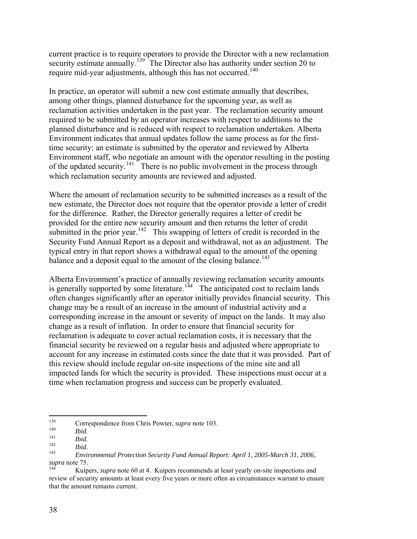current practice is to require operators to provide the Director with a new reclamation security estimate annually.<sup>[139](#page-37-0)</sup> The Director also has authority under section 20 to require mid-year adjustments, although this has not occurred.<sup>[140](#page-37-1)</sup>

In practice, an operator will submit a new cost estimate annually that describes, among other things, planned disturbance for the upcoming year, as well as reclamation activities undertaken in the past year. The reclamation security amount required to be submitted by an operator increases with respect to additions to the planned disturbance and is reduced with respect to reclamation undertaken. Alberta Environment indicates that annual updates follow the same process as for the firsttime security: an estimate is submitted by the operator and reviewed by Alberta Environment staff, who negotiate an amount with the operator resulting in the posting of the updated security.<sup>[141](#page-37-2)</sup> There is no public involvement in the process through which reclamation security amounts are reviewed and adjusted.

Where the amount of reclamation security to be submitted increases as a result of the new estimate, the Director does not require that the operator provide a letter of credit for the difference. Rather, the Director generally requires a letter of credit be provided for the entire new security amount and then returns the letter of credit submitted in the prior year.<sup>[142](#page-37-3)</sup> This swapping of letters of credit is recorded in the Security Fund Annual Report as a deposit and withdrawal, not as an adjustment. The typical entry in that report shows a withdrawal equal to the amount of the opening balance and a deposit equal to the amount of the closing balance.<sup>[143](#page-37-4)</sup>

Alberta Environment's practice of annually reviewing reclamation security amounts is generally supported by some literature.<sup>[144](#page-37-5)</sup> The anticipated cost to reclaim lands often changes significantly after an operator initially provides financial security. This change may be a result of an increase in the amount of industrial activity and a corresponding increase in the amount or severity of impact on the lands. It may also change as a result of inflation. In order to ensure that financial security for reclamation is adequate to cover actual reclamation costs, it is necessary that the financial security be reviewed on a regular basis and adjusted where appropriate to account for any increase in estimated costs since the date that it was provided. Part of this review should include regular on-site inspections of the mine site and all impacted lands for which the security is provided. These inspections must occur at a time when reclamation progress and success can be properly evaluated.

<span id="page-37-0"></span><sup>139</sup> <sup>139</sup> Correspondence from Chris Powter, *supra* note 103.

<span id="page-37-4"></span><span id="page-37-3"></span>

<span id="page-37-2"></span><span id="page-37-1"></span><sup>140</sup>*Ibid*. 141 *Ibid*. 142 *Ibid*. 143 *Environmental Protection Security Fund Annual Report: April 1, 2005-March 31, 2006*, *supra* note 75.<br><sup>144</sup> Kuipers, *supra* note 60 at 4. Kuipers recommends at least yearly on-site inspections and

<span id="page-37-5"></span>review of security amounts at least every five years or more often as circumstances warrant to ensure that the amount remains current.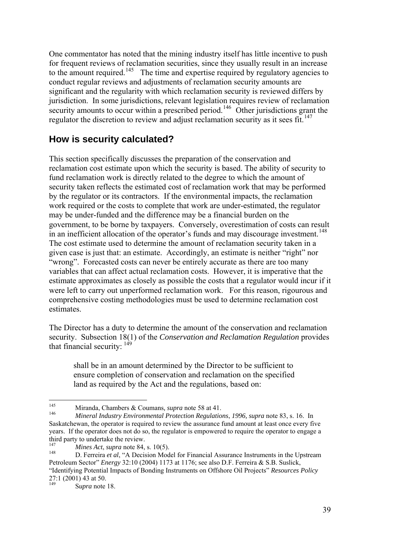One commentator has noted that the mining industry itself has little incentive to push for frequent reviews of reclamation securities, since they usually result in an increase to the amount required.<sup>[145](#page-38-0)</sup> The time and expertise required by regulatory agencies to conduct regular reviews and adjustments of reclamation security amounts are significant and the regularity with which reclamation security is reviewed differs by jurisdiction. In some jurisdictions, relevant legislation requires review of reclamation security amounts to occur within a prescribed period.<sup>[146](#page-38-1)</sup> Other jurisdictions grant the regulator the discretion to review and adjust reclamation security as it sees fit.<sup>[147](#page-38-2)</sup>

## **How is security calculated?**

This section specifically discusses the preparation of the conservation and reclamation cost estimate upon which the security is based. The ability of security to fund reclamation work is directly related to the degree to which the amount of security taken reflects the estimated cost of reclamation work that may be performed by the regulator or its contractors. If the environmental impacts, the reclamation work required or the costs to complete that work are under-estimated, the regulator may be under-funded and the difference may be a financial burden on the government, to be borne by taxpayers. Conversely, overestimation of costs can result in an inefficient allocation of the operator's funds and may discourage investment.<sup>[148](#page-38-3)</sup> The cost estimate used to determine the amount of reclamation security taken in a given case is just that: an estimate. Accordingly, an estimate is neither "right" nor "wrong". Forecasted costs can never be entirely accurate as there are too many variables that can affect actual reclamation costs. However, it is imperative that the estimate approximates as closely as possible the costs that a regulator would incur if it were left to carry out unperformed reclamation work. For this reason, rigourous and comprehensive costing methodologies must be used to determine reclamation cost estimates.

The Director has a duty to determine the amount of the conservation and reclamation security. Subsection 18(1) of the *Conservation and Reclamation Regulation* provides that financial security:  $149$ 

shall be in an amount determined by the Director to be sufficient to ensure completion of conservation and reclamation on the specified land as required by the Act and the regulations, based on:

<span id="page-38-0"></span><sup>145</sup> 145 Miranda, Chambers & Coumans*, supra* note 58 at 41.

<span id="page-38-1"></span><sup>146</sup> *Mineral Industry Environmental Protection Regulations*, *1996, supra* note 83, s. 16. In Saskatchewan, the operator is required to review the assurance fund amount at least once every five years. If the operator does not do so, the regulator is empowered to require the operator to engage a third party to undertake the review.

<span id="page-38-2"></span><sup>&</sup>lt;sup>147</sup> *Mines Act*, *supra* note 84, s. 10(5).

<span id="page-38-3"></span><sup>148</sup> D. Ferreira *et al*, "A Decision Model for Financial Assurance Instruments in the Upstream Petroleum Sector" *Energy* 32:10 (2004) 1173 at 1176; see also D.F. Ferreira & S.B. Suslick, "Identifying Potential Impacts of Bonding Instruments on Offshore Oil Projects" *Resources Policy*

<span id="page-38-4"></span><sup>27:1 (2001) 43</sup> at 50.

Supra note 18.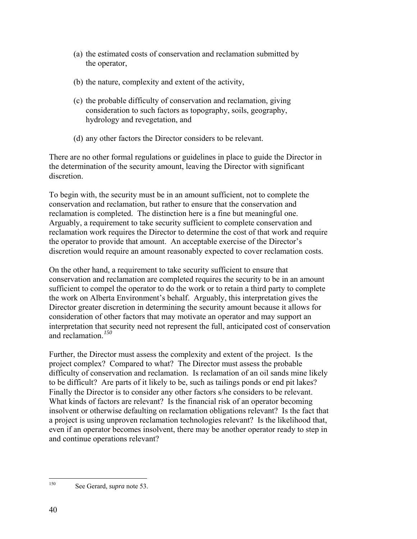- (a) the estimated costs of conservation and reclamation submitted by the operator,
- (b) the nature, complexity and extent of the activity,
- (c) the probable difficulty of conservation and reclamation, giving consideration to such factors as topography, soils, geography, hydrology and revegetation, and
- (d) any other factors the Director considers to be relevant.

There are no other formal regulations or guidelines in place to guide the Director in the determination of the security amount, leaving the Director with significant discretion.

To begin with, the security must be in an amount sufficient, not to complete the conservation and reclamation, but rather to ensure that the conservation and reclamation is completed. The distinction here is a fine but meaningful one. Arguably, a requirement to take security sufficient to complete conservation and reclamation work requires the Director to determine the cost of that work and require the operator to provide that amount. An acceptable exercise of the Director's discretion would require an amount reasonably expected to cover reclamation costs.

On the other hand, a requirement to take security sufficient to ensure that conservation and reclamation are completed requires the security to be in an amount sufficient to compel the operator to do the work or to retain a third party to complete the work on Alberta Environment's behalf. Arguably, this interpretation gives the Director greater discretion in determining the security amount because it allows for consideration of other factors that may motivate an operator and may support an interpretation that security need not represent the full, anticipated cost of conservation and reclamation.*[150](#page-39-0)*

Further, the Director must assess the complexity and extent of the project. Is the project complex? Compared to what? The Director must assess the probable difficulty of conservation and reclamation. Is reclamation of an oil sands mine likely to be difficult? Are parts of it likely to be, such as tailings ponds or end pit lakes? Finally the Director is to consider any other factors s/he considers to be relevant. What kinds of factors are relevant? Is the financial risk of an operator becoming insolvent or otherwise defaulting on reclamation obligations relevant? Is the fact that a project is using unproven reclamation technologies relevant? Is the likelihood that, even if an operator becomes insolvent, there may be another operator ready to step in and continue operations relevant?

<span id="page-39-0"></span><sup>150</sup> See Gerard, *supra* note 53.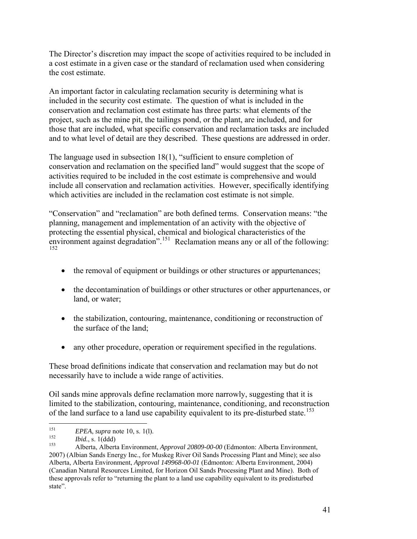The Director's discretion may impact the scope of activities required to be included in a cost estimate in a given case or the standard of reclamation used when considering the cost estimate.

An important factor in calculating reclamation security is determining what is included in the security cost estimate. The question of what is included in the conservation and reclamation cost estimate has three parts: what elements of the project, such as the mine pit, the tailings pond, or the plant, are included, and for those that are included, what specific conservation and reclamation tasks are included and to what level of detail are they described. These questions are addressed in order.

The language used in subsection 18(1), "sufficient to ensure completion of conservation and reclamation on the specified land" would suggest that the scope of activities required to be included in the cost estimate is comprehensive and would include all conservation and reclamation activities. However, specifically identifying which activities are included in the reclamation cost estimate is not simple.

"Conservation" and "reclamation" are both defined terms. Conservation means: "the planning, management and implementation of an activity with the objective of protecting the essential physical, chemical and biological characteristics of the environment against degradation".<sup>[151](#page-40-0)</sup> Reclamation means any or all of the following: [152](#page-40-1)

- the removal of equipment or buildings or other structures or appurtenances;
- the decontamination of buildings or other structures or other appurtenances, or land, or water;
- the stabilization, contouring, maintenance, conditioning or reconstruction of the surface of the land;
- any other procedure, operation or requirement specified in the regulations.

These broad definitions indicate that conservation and reclamation may but do not necessarily have to include a wide range of activities.

Oil sands mine approvals define reclamation more narrowly, suggesting that it is limited to the stabilization, contouring, maintenance, conditioning, and reconstruction of the land surface to a land use capability equivalent to its pre-disturbed state.<sup>[153](#page-40-2)</sup>

<span id="page-40-0"></span><sup>151</sup> <sup>151</sup> *EPEA*, *supra* note 10, s. 1(l).<br><sup>152</sup> *H* : 1. 1. 1. 1. 1. 1. 1. 1. 1.

<span id="page-40-1"></span> $\frac{152}{153}$  *Ibid.*, s. 1(ddd)

<span id="page-40-2"></span><sup>153</sup> Alberta, Alberta Environment, *Approval 20809-00-00* (Edmonton: Alberta Environment, 2007) (Albian Sands Energy Inc., for Muskeg River Oil Sands Processing Plant and Mine); see also Alberta, Alberta Environment, *Approval 149968-00-01* (Edmonton: Alberta Environment, 2004) (Canadian Natural Resources Limited, for Horizon Oil Sands Processing Plant and Mine). Both of these approvals refer to "returning the plant to a land use capability equivalent to its predisturbed state".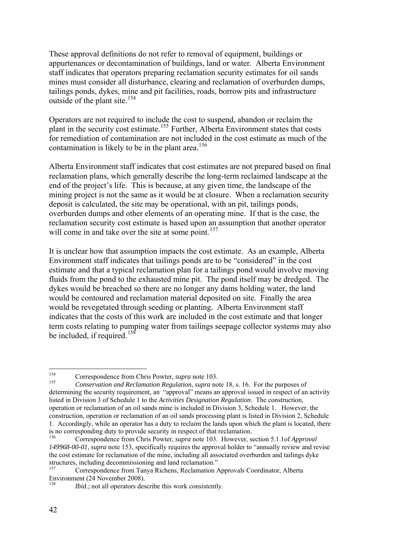These approval definitions do not refer to removal of equipment, buildings or appurtenances or decontamination of buildings, land or water. Alberta Environment staff indicates that operators preparing reclamation security estimates for oil sands mines must consider all disturbance, clearing and reclamation of overburden dumps, tailings ponds, dykes, mine and pit facilities, roads, borrow pits and infrastructure outside of the plant site.<sup>[154](#page-41-0)</sup>

Operators are not required to include the cost to suspend, abandon or reclaim the plant in the security cost estimate.<sup>[155](#page-41-1)</sup> Further, Alberta Environment states that costs for remediation of contamination are not included in the cost estimate as much of the contamination is likely to be in the plant area.<sup>[156](#page-41-2)</sup>

Alberta Environment staff indicates that cost estimates are not prepared based on final reclamation plans, which generally describe the long-term reclaimed landscape at the end of the project's life. This is because, at any given time, the landscape of the mining project is not the same as it would be at closure. When a reclamation security deposit is calculated, the site may be operational, with an pit, tailings ponds, overburden dumps and other elements of an operating mine. If that is the case, the reclamation security cost estimate is based upon an assumption that another operator will come in and take over the site at some point.<sup>[157](#page-41-3)</sup>

It is unclear how that assumption impacts the cost estimate. As an example, Alberta Environment staff indicates that tailings ponds are to be "considered" in the cost estimate and that a typical reclamation plan for a tailings pond would involve moving fluids from the pond to the exhausted mine pit. The pond itself may be dredged. The dykes would be breached so there are no longer any dams holding water, the land would be contoured and reclamation material deposited on site. Finally the area would be revegetated through seeding or planting. Alberta Environment staff indicates that the costs of this work are included in the cost estimate and that longer term costs relating to pumping water from tailings seepage collector systems may also be included, if required.<sup>[158](#page-41-4)</sup>

<span id="page-41-0"></span><sup>154</sup> <sup>154</sup> Correspondence from Chris Powter, *supra* note 103.

<span id="page-41-1"></span><sup>155</sup> *Conservation and Reclamation Regulation*, *supra* note 18, s. 16. For the purposes of determining the security requirement, an "approval" means an approval issued in respect of an activity listed in Division 3 of Schedule 1 to the *Activities Designation Regulation*. The construction, operation or reclamation of an oil sands mine is included in Division 3, Schedule 1. However, the construction, operation or reclamation of an oil sands processing plant is listed in Division 2, Schedule 1. Accordingly, while an operator has a duty to reclaim the lands upon which the plant is located, there is no corresponding duty to provide security in respect of that reclamation.

<span id="page-41-2"></span><sup>156</sup> Correspondence from Chris Powter, *supra* note 103. However, section 5.1.1of *Approval 149968-00-01*, *supra* note 153, specifically requires the approval holder to "annually review and revise the cost estimate for reclamation of the mine, including all associated overburden and tailings dyke structures, including decommissioning and land reclamation."

<span id="page-41-3"></span><sup>157</sup> Correspondence from Tanya Richens, Reclamation Approvals Coordinator, Alberta Environment (24 November 2008).

<span id="page-41-4"></span>*Ibid*.; not all operators describe this work consistently.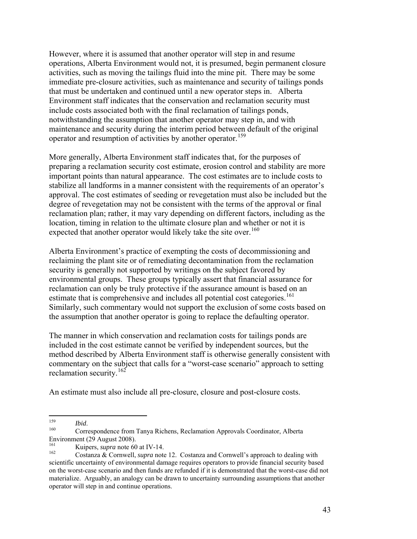However, where it is assumed that another operator will step in and resume operations, Alberta Environment would not, it is presumed, begin permanent closure activities, such as moving the tailings fluid into the mine pit. There may be some immediate pre-closure activities, such as maintenance and security of tailings ponds that must be undertaken and continued until a new operator steps in. Alberta Environment staff indicates that the conservation and reclamation security must include costs associated both with the final reclamation of tailings ponds, notwithstanding the assumption that another operator may step in, and with maintenance and security during the interim period between default of the original operator and resumption of activities by another operator.<sup>[159](#page-42-0)</sup>

More generally, Alberta Environment staff indicates that, for the purposes of preparing a reclamation security cost estimate, erosion control and stability are more important points than natural appearance. The cost estimates are to include costs to stabilize all landforms in a manner consistent with the requirements of an operator's approval. The cost estimates of seeding or revegetation must also be included but the degree of revegetation may not be consistent with the terms of the approval or final reclamation plan; rather, it may vary depending on different factors, including as the location, timing in relation to the ultimate closure plan and whether or not it is expected that another operator would likely take the site over.<sup>[160](#page-42-1)</sup>

Alberta Environment's practice of exempting the costs of decommissioning and reclaiming the plant site or of remediating decontamination from the reclamation security is generally not supported by writings on the subject favored by environmental groups. These groups typically assert that financial assurance for reclamation can only be truly protective if the assurance amount is based on an estimate that is comprehensive and includes all potential cost categories.<sup>[161](#page-42-2)</sup> Similarly, such commentary would not support the exclusion of some costs bas ed on the assumption that another operator is going to replace the defaulting operato r.

The manner in which conservation and reclamation costs for tailings ponds are included in the cost estimate cannot be verified by independent sources, but the method described by Alberta Environment staff is otherwise generally consistent with commentary on the subject that calls for a "worst-case scenario" approach to setting reclamation security.<sup>[162](#page-42-3)</sup>

An estimate must also include all pre-closure, closure and post-closure costs.

<sup>159</sup> 

<span id="page-42-1"></span><span id="page-42-0"></span><sup>&</sup>lt;sup>159</sup>*Ibid.* 2016.<br><sup>160</sup> Correspondence from Tanya Richens, Reclamation Approvals Coordinator, Alberta Environment (29 August 2008).

<span id="page-42-2"></span><sup>&</sup>lt;sup>161</sup> Kuipers, *supra* note 60 at IV-14.

<span id="page-42-3"></span><sup>162</sup> Costanza & Cornwell, *supra* note 12. Costanza and Cornwell's approach to dealing with scientific uncertainty of environmental damage requires operators to provide financial security based on the worst-case scenario and then funds are refunded if it is demonstrated that the worst-case did not materialize. Arguably, an analogy can be drawn to uncertainty surrounding assumptions that another operator will step in and continue operations.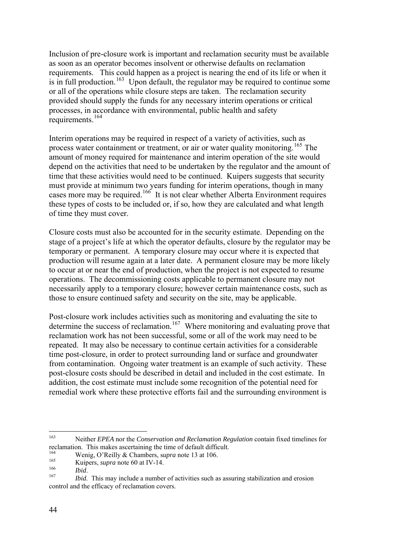Inclusion of pre-closure work is important and reclamation security must be available as soon as an operator becomes insolvent or otherwise defaults on reclamation requirements. This could happen as a project is nearing the end of its life or when it is in full production.<sup>[163](#page-43-0)</sup> Upon default, the regulator may be required to continue some or all of the operations while closure steps are taken. The reclamation security provided should supply the funds for any necessary interim operations or critical processes, in accordance with environmental, public health and safety requirements.<sup>[164](#page-43-1)</sup>

Interim operations may be required in respect of a variety of activities, such as process water containment or treatment, or air or water quality monitoring.[165](#page-43-2) The amount of money required for maintenance and interim operation of the site would depend on the activities that need to be undertaken by the regulator and the amount of time that these activities would need to be continued. Kuipers suggests that security must provide at minimum two years funding for interim operations, though in many cases more may be required.[166](#page-43-3) It is not clear whether Alberta Environment requires these types of costs to be included or, if so, how they are calculated and what length of time they must cover.

Closure costs must also be accounted for in the security estimate. Depending on the stage of a project's life at which the operator defaults, closure by the regulator may be temporary or permanent. A temporary closure may occur where it is expected that production will resume again at a later date. A permanent closure may be more likely to occur at or near the end of production, when the project is not expected to resume operations. The decommissioning costs applicable to permanent closure may not necessarily apply to a temporary closure; however certain maintenance costs, such as those to ensure continued safety and security on the site, may be applicable.

Post-closure work includes activities such as monitoring and evaluating the site to determine the success of reclamation.<sup>[167](#page-43-4)</sup> Where monitoring and evaluating prove that reclamation work has not been successful, some or all of the work may need to be repeated. It may also be necessary to continue certain activities for a considerable time post-closure, in order to protect surrounding land or surface and groundwater from contamination. Ongoing water treatment is an example of such activity. These post-closure costs should be described in detail and included in the cost estimate. In addition, the cost estimate must include some recognition of the potential need for remedial work where these protective efforts fail and the surrounding environment is

<span id="page-43-0"></span><sup>163</sup> 163 Neither *EPEA* nor the *Conservation and Reclamation Regulation* contain fixed timelines for reclamation. This makes ascertaining the time of default difficult.

<span id="page-43-1"></span><sup>&</sup>lt;sup>164</sup> Wenig, O'Reilly & Chambers, *supra* note 13 at 106.

<span id="page-43-2"></span><sup>&</sup>lt;sup>165</sup> Kuipers, *supra* note 60 at IV-14.

<span id="page-43-4"></span><span id="page-43-3"></span><sup>&</sup>lt;sup>166</sup>*Ibid.*<br><sup>167</sup> *Ibid.* This may include a number of activities such as assuring stabilization and erosion control and the efficacy of reclamation covers.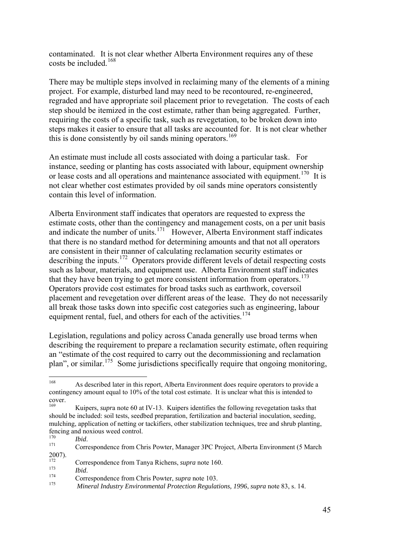contaminated. It is not clear whether Alberta Environment requires any of these costs be included  $^{168}$  $^{168}$  $^{168}$ 

There may be multiple steps involved in reclaiming many of the elements of a mining project. For example, disturbed land may need to be recontoured, re-engineered, regraded and have appropriate soil placement prior to revegetation. The costs of each step should be itemized in the cost estimate, rather than being aggregated. Further, requiring the costs of a specific task, such as revegetation, to be broken down into steps makes it easier to ensure that all tasks are accounted for. It is not clear whether this is done consistently by oil sands mining operators.<sup>[169](#page-44-1)</sup>

An estimate must include all costs associated with doing a particular task. For instance, seeding or planting has costs associated with labour, equipment ownership or lease costs and all operations and maintenance associated with equipment.<sup>[170](#page-44-2)</sup> It is not clear whether cost estimates provided by oil sands mine operators consistently contain this level of information.

Alberta Environment staff indicates that operators are requested to express the estimate costs, other than the contingency and management costs, on a per unit basis and indicate the number of units. $171^\circ$  $171^\circ$  However, Alberta Environment staff indicates that there is no standard method for determining amounts and that not all operators are consistent in their manner of calculating reclamation security estimates or describing the inputs.<sup>[172](#page-44-4)</sup> Operators provide different levels of detail respecting costs such as labour, materials, and equipment use. Alberta Environment staff indicates that they have been trying to get more consistent information from operators.<sup>[173](#page-44-5)</sup> Operators provide cost estimates for broad tasks such as earthwork, coversoil placement and revegetation over different areas of the lease. They do not necessarily all break those tasks down into specific cost categories such as engineering, labour equipment rental, fuel, and others for each of the activities.<sup>[174](#page-44-6)</sup>

Legislation, regulations and policy across Canada generally use broad terms when describing the requirement to prepare a reclamation security estimate, often requiring an "estimate of the cost required to carry out the decommissioning and reclamation plan", or similar.<sup>[175](#page-44-7)</sup> Some jurisdictions specifically require that ongoing monitoring,

<span id="page-44-0"></span><sup>168</sup> 168 As described later in this report, Alberta Environment does require operators to provide a contingency amount equal to 10% of the total cost estimate. It is unclear what this is intended to cover.

<span id="page-44-1"></span><sup>169</sup> Kuipers, *supr*a note 60 at IV-13. Kuipers identifies the following revegetation tasks that should be included: soil tests, seedbed preparation, fertilization and bacterial inoculation, seeding, mulching, application of netting or tackifiers, other stabilization techniques, tree and shrub planting, fencing and noxious weed control.

<span id="page-44-3"></span><span id="page-44-2"></span><sup>&</sup>lt;sup>170</sup>*Ibid.* 171 *Ibid.* 171 Correspondence from Chris Powter, Manager 3PC Project, Alberta Environment (5 March)  $2007$ ).

<span id="page-44-4"></span> $172 \tCorrespondence from Tanya Richards, *supra* note 160.$ 

<span id="page-44-6"></span><span id="page-44-5"></span><sup>173</sup>*Ibid*. 174 Correspondence from Chris Powter, *supra* note 103.

<span id="page-44-7"></span><sup>175</sup> *Mineral Industry Environmental Protection Regulations, 1996*, *supra* note 83, s. 14.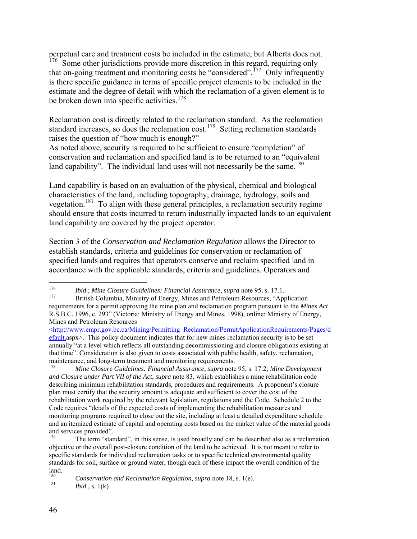perpetual care and treatment costs be included in the estimate, but Alberta does not. <sup>[176](#page-45-0)</sup> Some other jurisdictions provide more discretion in this regard, requiring only that on-going treatment and monitoring costs be "considered".<sup>[177](#page-45-1)</sup> Only infrequently is there specific guidance in terms of specific project elements to be included in th e estimate and the degree of detail with which the reclamation of a given element is to be broken down into specific activities.<sup>[178](#page-45-2)</sup>

Reclamation cost is directly related to the reclamation standard. As the reclamation standard increases, so does the reclamation cost.<sup>[179](#page-45-3)</sup> Setting reclamation standards raises the question of "how much is enough?"

As noted above, security is required to be sufficient to ensure "completion" of conservation and reclamation and specified land is to be returned to an "equivalent land capability". The individual land uses will not necessarily be the same.<sup>[180](#page-45-4)</sup>

Land capability is based on an evaluation of the physical, chemical and biological characteristics of the land, including topography, drainage, hydrology, soils and vegetation.[181](#page-45-5) To align with these general principles, a reclamation security regime should ensure that costs incurred to return industrially impacted lands to an equivalent land capability are covered by the project operator.

Section 3 of the *Conservation and Reclamation Regulation* allows the Director to establish standards, criteria and guidelines for conservation or reclamation of specified lands and requires that operators conserve and reclaim specified land in accordance with the applicable standards, criteria and guidelines. Operators and

<span id="page-45-0"></span><sup>176</sup> 176 *Ibid*.; *Mine Closure Guidelines: Financial Assurance*, *supra* note 95, s. 17.1.

<span id="page-45-1"></span><sup>177</sup> British Columbia, Ministry of Energy, Mines and Petroleum Resources, "Application requirements for a permit approving the mine plan and reclamation program pursuant to the *Mines Act* R.S.B.C. 1996, c. 293" (Victoria: Ministry of Energy and Mines, 1998), online: Ministry of Energy, Mines and Petroleum Resources

<sup>&</sup>lt;[http://www.empr.gov.bc.ca/Mining/Permitting\\_Reclamation/PermitApplicationRequirements/Pages/d](http://www.empr.gov.bc.ca/Mining/Permitting_Reclamation/PermitApplicationRequirements/Pages/default.) [efault.](http://www.empr.gov.bc.ca/Mining/Permitting_Reclamation/PermitApplicationRequirements/Pages/default.)aspx>. This policy document indicates that for new mines reclamation security is to be set annually "at a level which reflects all outstanding decommissioning and closure obligations existing at that time". Consideration is also given to costs associated with public health, safety, reclamation, maintenance, and long-term treatment and monitoring requirements.

<span id="page-45-2"></span><sup>178</sup> *Mine Closure Guidelines: Financial Assurance*, *supra* note 95, s. 17.2; *Mine Development and Closure under Part VII of the Act*, *supra* note 83, which establishes a mine rehabilitation code describing minimum rehabilitation standards, procedures and requirements. A proponent's closure plan must certify that the security amount is adequate and sufficient to cover the cost of the rehabilitation work required by the relevant legislation, regulations and the Code. Schedule 2 to the Code requires "details of the expected costs of implementing the rehabilitation measures and monitoring programs required to close out the site, including at least a detailed expenditure schedule and an itemized estimate of capital and operating costs based on the market value of the material goods and services provided".

<span id="page-45-3"></span>The term "standard", in this sense, is used broadly and can be described also as a reclamation objective or the overall post-closure condition of the land to be achieved. It is not meant to refer to specific standards for individual reclamation tasks or to specific technical environmental quality standards for soil, surface or ground water, though each of these impact the overall condition of the  $\lim_{180}$ .

<span id="page-45-5"></span><span id="page-45-4"></span><sup>&</sup>lt;sup>180</sup> *Conservation and Reclamation Regulation, supra* note 18, s. 1(e).<br><sup>181</sup> *Ibid. a.* 1(k) *Ibid.*, s. 1(k)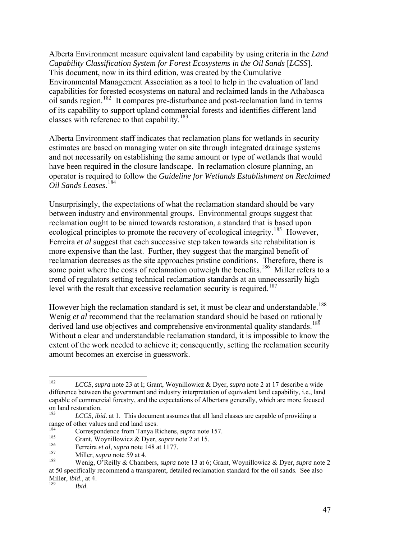Alberta Environment measure equivalent land capability by using criteria in the *Land Capability Classification System for Forest Ecosystems in the Oil Sands* [*LCSS*]. This document, now in its third edition, was created by the Cumulative Environmental Management Association as a tool to help in the evaluation of land capabilities for forested ecosystems on natural and reclaimed lands in the Athabasca oil sands region.[182](#page-46-0) It compares pre-disturbance and post-reclamation land in terms of its capability to support upland commercial forests and identifies different lan d classes with reference to that capability.<sup>[183](#page-46-1)</sup>

Alberta Environment staff indicates that reclamation plans for wetlands in security estimates are based on managing water on site through integrated drainage systems and not necessarily on establishing the same amount or type of wetlands that would have been required in the closure landscape. In reclamation closure planning, an operator is required to follow the *Guideline for Wetlands Establishment on Reclaimed Oil Sands Leases*. [184](#page-46-2)

Unsurprisingly, the expectations of what the reclamation standard should be vary between industry and environmental groups. Environmental groups suggest that reclamation ought to be aimed towards restoration, a standard that is based upon ecological principles to promote the recovery of ecological integrity.<sup>[185](#page-46-3)</sup> However, Ferreira *et al* suggest that each successive step taken towards site rehabilitation is more expensive than the last. Further, they suggest that the marginal benefit of reclamation decreases as the site approaches pristine conditions. Therefore, there is some point where the costs of reclamation outweigh the benefits.<sup>[186](#page-46-4)</sup> Miller refers to a trend of regulators setting technical reclamation standards at an unnecessarily high level with the result that excessive reclamation security is required.<sup>[187](#page-46-5)</sup>

However high the reclamation standard is set, it must be clear and understandable.<sup>[188](#page-46-6)</sup> Wenig *et al* recommend that the reclamation standard should be based on rationally derived land use objectives and comprehensive environmental quality standards.<sup>[189](#page-46-7)</sup> Without a clear and understandable reclamation standard, it is impossible to know the extent of the work needed to achieve it; consequently, setting the reclamation security amount becomes an exercise in guesswork.

<span id="page-46-0"></span><sup>182</sup> 182 *LCCS*, *supra* note 23 at I; Grant, Woynillowicz & Dyer, *supra* note 2 at 17 describe a wide difference between the government and industry interpretation of equivalent land capability, i.e., land capable of commercial forestry, and the expectations of Albertans generally, which are more focused on land restoration.

<span id="page-46-1"></span>LCCS, *ibid.* at 1. This document assumes that all land classes are capable of providing a range of other values and end land uses.

<span id="page-46-2"></span><sup>&</sup>lt;sup>184</sup> Correspondence from Tanya Richens, *supra* note 157.

<span id="page-46-3"></span><sup>&</sup>lt;sup>185</sup> Grant, Woynillowicz & Dyer, *supra* note 2 at 15.

<span id="page-46-4"></span><sup>&</sup>lt;sup>186</sup> Ferreira *et al*, *supra* note 148 at 1177.

<span id="page-46-5"></span><sup>&</sup>lt;sup>187</sup> Miller, *supra* note 59 at 4.

<span id="page-46-6"></span><sup>188</sup> Wenig, O'Reilly & Chambers, s*upra* note 13 at 6; Grant, Woynillowicz & Dyer, *supra* note 2 at 50 specifically recommend a transparent, detailed reclamation standard for the oil sands. See also **Miller**, *ibid.*, at 4.

<span id="page-46-7"></span><sup>189</sup> *Ibid*.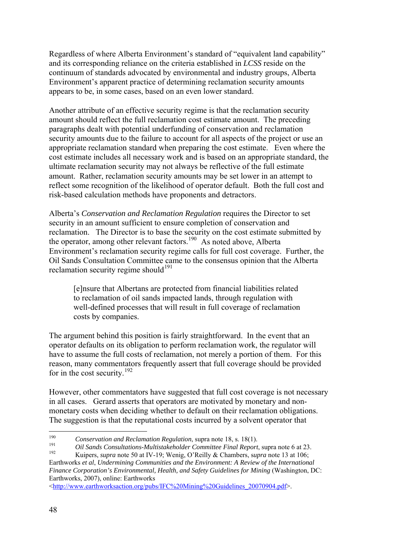Regardless of where Alberta Environment's standard of "equivalent land capability" and its corresponding reliance on the criteria established in *LCSS* reside on the continuum of standards advocated by environmental and industry groups, Alberta Environment's apparent practice of determining reclamation security amounts appears to be, in some cases, based on an even lower standard.

Another attribute of an effective security regime is that the reclamation security amount should reflect the full reclamation cost estimate amount. The preceding paragraphs dealt with potential underfunding of conservation and reclamation security amounts due to the failure to account for all aspects of the project or use an appropriate reclamation standard when preparing the cost estimate. Even where the cost estimate includes all necessary work and is based on an appropriate standard, the ultimate reclamation security may not always be reflective of the full estimate amount. Rather, reclamation security amounts may be set lower in an attempt to reflect some recognition of the likelihood of operator default. Both the full cost and risk-based calculation methods have proponents and detractors.

Alberta's *Conservation and Reclamation Regulation* requires the Director to set security in an amount sufficient to ensure completion of conservation and reclamation. The Director is to base the security on the cost estimate submitted by the operator, among other relevant factors.<sup>[190](#page-47-0)</sup> As noted above, Alberta Environment's reclamation security regime calls for full cost coverage. Further, the Oil Sands Consultation Committee came to the consensus opinion that the Alberta reclamation security regime should<sup>191</sup>

[e]nsure that Albertans are protected from financial liabilities related to reclamation of oil sands impacted lands, through regulation with well-defined processes that will result in full coverage of reclamation costs by companies.

The argument behind this position is fairly straightforward. In the event that an operator defaults on its obligation to perform reclamation work, the regulator will have to assume the full costs of reclamation, not merely a portion of them. For this reason, many commentators frequently assert that full coverage should be provided for in the cost security.<sup>[192](#page-47-1)</sup>

However, other commentators have suggested that full cost coverage is not necessary in all cases. Gerard asserts that operators are motivated by monetary and nonmonetary costs when deciding whether to default on their reclamation obligations. The suggestion is that the reputational costs incurred by a solvent operator that

<span id="page-47-1"></span>192 Kuipers, *supra* note 50 at IV-19; Wenig, O'Reilly & Chambers, s*upra* note 13 at 106; Earthworks *et al*, *Undermining Communities and the Environment: A Review of the International Finance Corporation's Environmental, Health, and Safety Guidelines for Mining* (Washington, DC: Earthworks, 2007), online: Earthworks

<[http://www.earthworksaction.org/pubs/IFC%20Mining%20Guidelines\\_20070904.pdf>](http://www.earthworksaction.org/pubs/IFC%20Mining%20Guidelines_20070904.pdf).

<span id="page-47-0"></span><sup>190</sup> 190 *Conservation and Reclamation Regulation*, supra note 18, s. 18(1).

<sup>&</sup>lt;sup>191</sup> *Oil Sands Consultations-Multistakeholder Committee Final Report*, supra note 6 at 23.<br>
Values supra note 50 at IV 10: Wonig Q'Poilly & Chambers, supra note 13 at 106: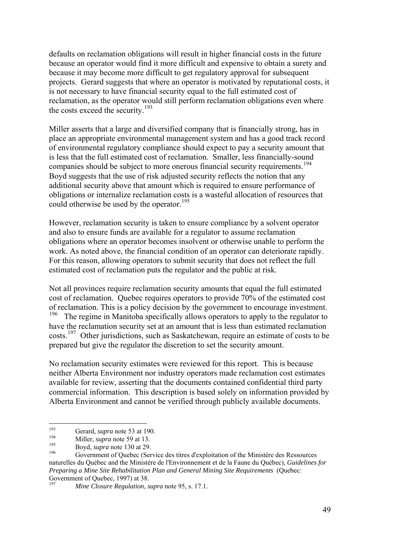defaults on reclamation obligations will result in higher financial costs in the future because an operator would find it more difficult and expensive to obtain a surety and because it may become more difficult to get regulatory approval for subsequent projects. Gerard suggests that where an operator is motivated by reputational costs, it is not necessary to have financial security equal to the full estimated cost of reclamation, as the operator would still perform reclamation obligations even where the costs exceed the security.<sup>[193](#page-48-0)</sup>

Miller asserts that a large and diversified company that is financially strong, has in place an appropriate environmental management system and has a good track record of environmental regulatory compliance should expect to pay a security amount that is less that the full estimated cost of reclamation. Smaller, less financially-sound companies should be subject to more onerous financial security requirements.<sup>[194](#page-48-1)</sup> Boyd suggests that the use of risk adjusted security reflects the notion that any additional security above that amount which is required to ensure performance of obligations or internalize reclamation costs is a wasteful allocation of resources that could otherwise be used by the operator.<sup>[195](#page-48-2)</sup>

However, reclamation security is taken to ensure compliance by a solvent operator and also to ensure funds are available for a regulator to assume reclamation obligations where an operator becomes insolvent or otherwise unable to perform the work. As noted above, the financial condition of an operator can deteriorate rapidly. For this reason, allowing operators to submit security that does not reflect the full estimated cost of reclamation puts the regulator and the public at risk.

Not all provinces require reclamation security amounts that equal the full estimated cost of reclamation. Quebec requires operators to provide 70% of the estimated cost of reclamation. This is a policy decision by the government to encourage investment. <sup>[196](#page-48-3)</sup> The regime in Manitoba specifically allows operators to apply to the regulator to have the reclamation security set at an amount that is less than estimated reclamation costs.[197](#page-48-4) Other jurisdictions, such as Saskatchewan, require an estimate of costs to be prepared but give the regulator the discretion to set the security amount.

No reclamation security estimates were reviewed for this report. This is because neither Alberta Environment nor industry operators made reclamation cost estimates available for review, asserting that the documents contained confidential third party commercial information. This description is based solely on information provided by Alberta Environment and cannot be verified through publicly available documents.

<span id="page-48-0"></span><sup>193</sup> <sup>193</sup> Gerard, *supra* note 53 at 190.

<span id="page-48-1"></span><sup>&</sup>lt;sup>194</sup> Miller, *supra* note 59 at 13.

<span id="page-48-2"></span><sup>&</sup>lt;sup>195</sup> Boyd, *supra* note 130 at 29.

<span id="page-48-3"></span><sup>196</sup> Government of Quebec (Service des titres d'exploitation of the Ministère des Ressources naturelles du Québec and the Ministère de l'Environnement et de la Faune du Québec), *Guidelines for Preparing a Mine Site Rehabilitation Plan and General Mining Site Requirements (Quebec:* Government of Quebec, 1997) at 38.

<span id="page-48-4"></span>*Mine Closure Regulation, supra* note 95, s. 17.1.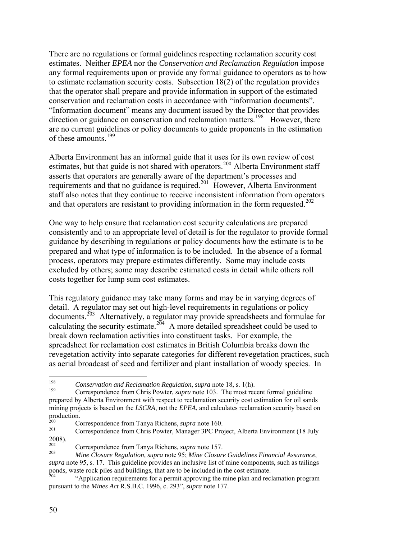There are no regulations or formal guidelines respecting reclamation security cost estimates. Neither *EPEA* nor the *Conservation and Reclamation Regulation* impose any formal requirements upon or provide any formal guidance to operators as to how to estimate reclamation security costs. Subsection 18(2) of the regulation provides that the operator shall prepare and provide information in support of the estimated conservation and reclamation costs in accordance with "information documents". "Information document" means any document issued by the Director that provides direction or guidance on conservation and reclamation matters.<sup>[198](#page-49-0)</sup> However, there are no current guidelines or policy documents to guide proponents in the estimation of these amounts.<sup>[199](#page-49-1)</sup>

Alberta Environment has an informal guide that it uses for its own review of cost estimates, but that guide is not shared with operators.<sup>[200](#page-49-2)</sup> Alberta Environment staff asserts that operators are generally aware of the department's processes and requirements and that no guidance is required.[201](#page-49-3) However, Alberta Environment staff also notes that they continue to receive inconsistent information from operators and that operators are resistant to providing information in the form requested.<sup>[202](#page-49-4)</sup>

One way to help ensure that reclamation cost security calculations are prepared consistently and to an appropriate level of detail is for the regulator to provide formal guidance by describing in regulations or policy documents how the estimate is to be prepared and what type of information is to be included. In the absence of a formal process, operators may prepare estimates differently. Some may include costs excluded by others; some may describe estimated costs in detail while others roll costs together for lump sum cost estimates.

This regulatory guidance may take many forms and may be in varying degrees of detail. A regulator may set out high-level requirements in regulations or policy documents.[203](#page-49-5) Alternatively, a regulator may provide spreadsheets and formulae for calculating the security estimate.<sup>[204](#page-49-6)</sup> A more detailed spreadsheet could be used to break down reclamation activities into constituent tasks. For example, the spreadsheet for reclamation cost estimates in British Columbia breaks down the revegetation activity into separate categories for different revegetation practices, such as aerial broadcast of seed and fertilizer and plant installation of woody species. In

<span id="page-49-0"></span><sup>198</sup> 198 *Conservation and Reclamation Regulation*, *supra* note 18, s. 1(h).

<span id="page-49-1"></span><sup>199</sup> Correspondence from Chris Powter, *supra* note 103. The most recent formal guideline prepared by Alberta Environment with respect to reclamation security cost estimation for oil sands mining projects is based on the *LSCRA*, not the *EPEA*, and calculates reclamation security based on production.

<span id="page-49-2"></span><sup>&</sup>lt;sup>200</sup> Correspondence from Tanya Richens, *supra* note 160.<br>
Correspondence from Chris Bouter, Manager 2DC Pro-

<span id="page-49-3"></span><sup>201</sup> Correspondence from Chris Powter, Manager 3PC Project, Alberta Environment (18 July  $2008$ ).

<span id="page-49-4"></span><sup>&</sup>lt;sup>202</sup> Correspondence from Tanya Richens, *supra* note 157.<br> *Mine Closure Bequlation, supra* note 05: *Mine Closure* 

<span id="page-49-5"></span><sup>203</sup> *Mine Closure Regulation, supra* note 95; *Mine Closure Guidelines Financial Assurance*, *supra* note 95, s. 17. This guideline provides an inclusive list of mine components, such as tailings ponds, waste rock piles and buildings, that are to be included in the cost estimate.

<span id="page-49-6"></span><sup>&</sup>quot;Application requirements for a permit approving the mine plan and reclamation program pursuant to the *Mines Act* R.S.B.C. 1996, c. 293", *supra* note 177.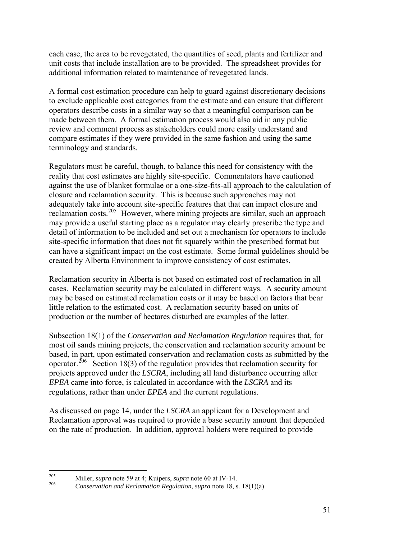each case, the area to be revegetated, the quantities of seed, plants and fertilizer and unit costs that include installation are to be provided. The spreadsheet provides for additional information related to maintenance of revegetated lands.

A formal cost estimation procedure can help to guard against discretionary decisions to exclude applicable cost categories from the estimate and can ensure that different operators describe costs in a similar way so that a meaningful comparison can be made between them. A formal estimation process would also aid in any public review and comment process as stakeholders could more easily understand and compare estimates if they were provided in the same fashion and using the same terminology and standards.

Regulators must be careful, though, to balance this need for consistency with the reality that cost estimates are highly site-specific. Commentators have cautioned against the use of blanket formulae or a one-size-fits-all approach to the calculation of closure and reclamation security. This is because such approaches may not adequately take into account site-specific features that that can impact closure and reclamation costs.[205](#page-50-0) However, where mining projects are similar, such an approach may provide a useful starting place as a regulator may clearly prescribe the type and detail of information to be included and set out a mechanism for operators to include site-specific information that does not fit squarely within the prescribed format but can have a significant impact on the cost estimate. Some formal guidelines should be created by Alberta Environment to improve consistency of cost estimates.

Reclamation security in Alberta is not based on estimated cost of reclamation in all cases. Reclamation security may be calculated in different ways. A security amount may be based on estimated reclamation costs or it may be based on factors that bear little relation to the estimated cost. A reclamation security based on units of production or the number of hectares disturbed are examples of the latter.

Subsection 18(1) of the *Conservation and Reclamation Regulation* requires that, for most oil sands mining projects, the conservation and reclamation security amount be based, in part, upon estimated conservation and reclamation costs as submitted by the operator.<sup>[206](#page-50-1)</sup> Section 18(3) of the regulation provides that reclamation security for projects approved under the *LSCRA*, including all land disturbance occurring after *EPEA* came into force, is calculated in accordance with the *LSCRA* and its regulations, rather than under *EPEA* and the current regulations.

As discussed on page 14, under the *LSCRA* an applicant for a Development and Reclamation approval was required to provide a base security amount that depended on the rate of production. In addition, approval holders were required to provide

<span id="page-50-0"></span><sup>205</sup> <sup>205</sup> Miller, *supra* note 59 at 4; Kuipers, *supra* note 60 at IV-14.

<span id="page-50-1"></span><sup>206</sup> *Conservation and Reclamation Regulation*, *supra* note 18, s. 18(1)(a)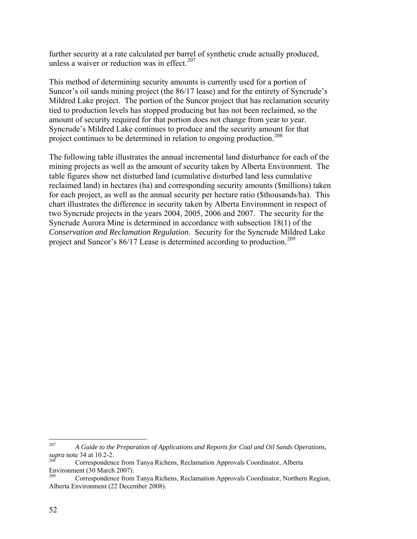further security at a rate calculated per barrel of synthetic crude actually produced, unless a waiver or reduction was in effect. $207$ 

This method of determining security amounts is currently used for a portion of Suncor's oil sands mining project (the 86/17 lease) and for the entirety of Syncrude's Mildred Lake project. The portion of the Suncor project that has reclamation security tied to production levels has stopped producing but has not been reclaimed, so the amount of security required for that portion does not change from year to year. Syncrude's Mildred Lake continues to produce and the security amount for that project continues to be determined in relation to ongoing production.<sup>[208](#page-51-1)</sup>

The following table illustrates the annual incremental land disturbance for each of the mining projects as well as the amount of security taken by Alberta Environment. The table figures show net disturbed land (cumulative disturbed land less cumulative reclaimed land) in hectares (ha) and corresponding security amounts (\$millions) taken for each project, as well as the annual security per hectare ratio (\$thousands/ha). This chart illustrates the difference in security taken by Alberta Environment in respect of two Syncrude projects in the years 2004, 2005, 2006 and 2007. The security for the Syncrude Aurora Mine is determined in accordance with subsection 18(1) of the *Conservation and Reclamation Regulation*. Security for the Syncrude Mildred Lake project and Suncor's 86/17 Lease is determined according to production.<sup>[209](#page-51-2)</sup>

<span id="page-51-0"></span><sup>207</sup> 207 *A Guide to the Preparation of Applications and Reports for Coal and Oil Sands Operations, supra* note 34 at 10.2-2.

<span id="page-51-1"></span><sup>208</sup> Correspondence from Tanya Richens, Reclamation Approvals Coordinator, Alberta Environment (30 March 2007).<br>
Compared times from

<span id="page-51-2"></span><sup>209</sup> Correspondence from Tanya Richens, Reclamation Approvals Coordinator, Northern Region, Alberta Environment (22 December 2008).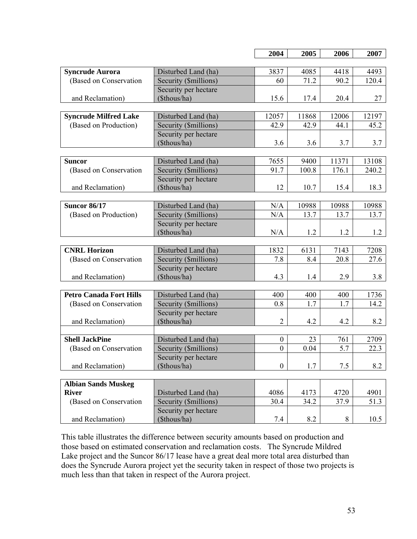|                       | 2004                                                                                                                                                                                                                                                                                                                                                                                                                                                                                                                         | 2005                                                                                                                                                                   | 2006                                                                                                                        | 2007                                                                                                                       |
|-----------------------|------------------------------------------------------------------------------------------------------------------------------------------------------------------------------------------------------------------------------------------------------------------------------------------------------------------------------------------------------------------------------------------------------------------------------------------------------------------------------------------------------------------------------|------------------------------------------------------------------------------------------------------------------------------------------------------------------------|-----------------------------------------------------------------------------------------------------------------------------|----------------------------------------------------------------------------------------------------------------------------|
|                       |                                                                                                                                                                                                                                                                                                                                                                                                                                                                                                                              |                                                                                                                                                                        |                                                                                                                             |                                                                                                                            |
|                       |                                                                                                                                                                                                                                                                                                                                                                                                                                                                                                                              |                                                                                                                                                                        |                                                                                                                             | 4493                                                                                                                       |
|                       |                                                                                                                                                                                                                                                                                                                                                                                                                                                                                                                              |                                                                                                                                                                        |                                                                                                                             | 120.4                                                                                                                      |
| (\$thous/ha)          | 15.6                                                                                                                                                                                                                                                                                                                                                                                                                                                                                                                         | 17.4                                                                                                                                                                   | 20.4                                                                                                                        | 27                                                                                                                         |
|                       |                                                                                                                                                                                                                                                                                                                                                                                                                                                                                                                              |                                                                                                                                                                        |                                                                                                                             |                                                                                                                            |
| Disturbed Land (ha)   | 12057                                                                                                                                                                                                                                                                                                                                                                                                                                                                                                                        | 11868                                                                                                                                                                  | 12006                                                                                                                       | 12197                                                                                                                      |
| Security (\$millions) | 42.9                                                                                                                                                                                                                                                                                                                                                                                                                                                                                                                         | 42.9                                                                                                                                                                   | 44.1                                                                                                                        | 45.2                                                                                                                       |
| Security per hectare  |                                                                                                                                                                                                                                                                                                                                                                                                                                                                                                                              |                                                                                                                                                                        |                                                                                                                             |                                                                                                                            |
| (\$thous/ha)          | 3.6                                                                                                                                                                                                                                                                                                                                                                                                                                                                                                                          | 3.6                                                                                                                                                                    | 3.7                                                                                                                         | 3.7                                                                                                                        |
|                       |                                                                                                                                                                                                                                                                                                                                                                                                                                                                                                                              |                                                                                                                                                                        |                                                                                                                             |                                                                                                                            |
| Disturbed Land (ha)   | 7655                                                                                                                                                                                                                                                                                                                                                                                                                                                                                                                         | 9400                                                                                                                                                                   | 11371                                                                                                                       | 13108                                                                                                                      |
| Security (\$millions) | 91.7                                                                                                                                                                                                                                                                                                                                                                                                                                                                                                                         | 100.8                                                                                                                                                                  | 176.1                                                                                                                       | 240.2                                                                                                                      |
| Security per hectare  |                                                                                                                                                                                                                                                                                                                                                                                                                                                                                                                              |                                                                                                                                                                        |                                                                                                                             |                                                                                                                            |
| (\$thous/ha)          | 12                                                                                                                                                                                                                                                                                                                                                                                                                                                                                                                           | 10.7                                                                                                                                                                   | 15.4                                                                                                                        | 18.3                                                                                                                       |
|                       |                                                                                                                                                                                                                                                                                                                                                                                                                                                                                                                              |                                                                                                                                                                        |                                                                                                                             |                                                                                                                            |
|                       |                                                                                                                                                                                                                                                                                                                                                                                                                                                                                                                              |                                                                                                                                                                        |                                                                                                                             | 10988                                                                                                                      |
|                       |                                                                                                                                                                                                                                                                                                                                                                                                                                                                                                                              |                                                                                                                                                                        |                                                                                                                             | 13.7                                                                                                                       |
|                       |                                                                                                                                                                                                                                                                                                                                                                                                                                                                                                                              |                                                                                                                                                                        |                                                                                                                             |                                                                                                                            |
|                       |                                                                                                                                                                                                                                                                                                                                                                                                                                                                                                                              |                                                                                                                                                                        |                                                                                                                             | 1.2                                                                                                                        |
|                       |                                                                                                                                                                                                                                                                                                                                                                                                                                                                                                                              |                                                                                                                                                                        |                                                                                                                             |                                                                                                                            |
|                       |                                                                                                                                                                                                                                                                                                                                                                                                                                                                                                                              |                                                                                                                                                                        |                                                                                                                             | 7208                                                                                                                       |
|                       |                                                                                                                                                                                                                                                                                                                                                                                                                                                                                                                              |                                                                                                                                                                        |                                                                                                                             | 27.6                                                                                                                       |
|                       |                                                                                                                                                                                                                                                                                                                                                                                                                                                                                                                              |                                                                                                                                                                        |                                                                                                                             |                                                                                                                            |
|                       |                                                                                                                                                                                                                                                                                                                                                                                                                                                                                                                              |                                                                                                                                                                        |                                                                                                                             | 3.8                                                                                                                        |
|                       |                                                                                                                                                                                                                                                                                                                                                                                                                                                                                                                              |                                                                                                                                                                        |                                                                                                                             |                                                                                                                            |
|                       |                                                                                                                                                                                                                                                                                                                                                                                                                                                                                                                              |                                                                                                                                                                        |                                                                                                                             | 1736                                                                                                                       |
|                       |                                                                                                                                                                                                                                                                                                                                                                                                                                                                                                                              |                                                                                                                                                                        |                                                                                                                             | 14.2                                                                                                                       |
|                       |                                                                                                                                                                                                                                                                                                                                                                                                                                                                                                                              |                                                                                                                                                                        |                                                                                                                             |                                                                                                                            |
|                       |                                                                                                                                                                                                                                                                                                                                                                                                                                                                                                                              |                                                                                                                                                                        |                                                                                                                             | 8.2                                                                                                                        |
|                       |                                                                                                                                                                                                                                                                                                                                                                                                                                                                                                                              |                                                                                                                                                                        |                                                                                                                             |                                                                                                                            |
|                       |                                                                                                                                                                                                                                                                                                                                                                                                                                                                                                                              |                                                                                                                                                                        |                                                                                                                             | 2709                                                                                                                       |
|                       |                                                                                                                                                                                                                                                                                                                                                                                                                                                                                                                              |                                                                                                                                                                        |                                                                                                                             | 22.3                                                                                                                       |
|                       |                                                                                                                                                                                                                                                                                                                                                                                                                                                                                                                              |                                                                                                                                                                        |                                                                                                                             | 8.2                                                                                                                        |
|                       |                                                                                                                                                                                                                                                                                                                                                                                                                                                                                                                              |                                                                                                                                                                        |                                                                                                                             |                                                                                                                            |
|                       |                                                                                                                                                                                                                                                                                                                                                                                                                                                                                                                              |                                                                                                                                                                        |                                                                                                                             |                                                                                                                            |
|                       |                                                                                                                                                                                                                                                                                                                                                                                                                                                                                                                              |                                                                                                                                                                        |                                                                                                                             | 4901                                                                                                                       |
|                       |                                                                                                                                                                                                                                                                                                                                                                                                                                                                                                                              |                                                                                                                                                                        |                                                                                                                             | 51.3                                                                                                                       |
|                       |                                                                                                                                                                                                                                                                                                                                                                                                                                                                                                                              |                                                                                                                                                                        |                                                                                                                             |                                                                                                                            |
|                       |                                                                                                                                                                                                                                                                                                                                                                                                                                                                                                                              |                                                                                                                                                                        |                                                                                                                             | 10.5                                                                                                                       |
|                       | Disturbed Land (ha)<br>Security (\$millions)<br>Security per hectare<br>Disturbed Land (ha)<br>Security (\$millions)<br>Security per hectare<br>(\$thous/ha)<br>Disturbed Land (ha)<br>Security (\$millions)<br>Security per hectare<br>(\$thous/ha)<br>Disturbed Land (ha)<br>Security (\$millions)<br>Security per hectare<br>(\$thous/ha)<br>Disturbed Land (ha)<br>Security (\$millions)<br>Security per hectare<br>(\$thous/ha)<br>Disturbed Land (ha)<br>Security (\$millions)<br>Security per hectare<br>(\$thous/ha) | 3837<br>60<br>N/A<br>N/A<br>N/A<br>1832<br>7.8<br>4.3<br>400<br>0.8<br>$\overline{c}$<br>$\boldsymbol{0}$<br>$\overline{0}$<br>$\boldsymbol{0}$<br>4086<br>30.4<br>7.4 | 4085<br>71.2<br>10988<br>13.7<br>1.2<br>6131<br>8.4<br>1.4<br>400<br>1.7<br>4.2<br>23<br>0.04<br>1.7<br>4173<br>34.2<br>8.2 | 4418<br>90.2<br>10988<br>13.7<br>1.2<br>7143<br>20.8<br>2.9<br>400<br>1.7<br>4.2<br>761<br>5.7<br>7.5<br>4720<br>37.9<br>8 |

This table illustrates the difference between security amounts based on production and those based on estimated conservation and reclamation costs. The Syncrude Mildred Lake project and the Suncor 86/17 lease have a great deal more total area disturbed than does the Syncrude Aurora project yet the security taken in respect of those two projects is much less than that taken in respect of the Aurora project.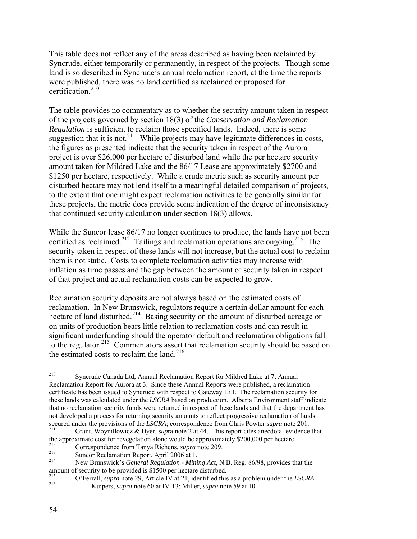This table does not reflect any of the areas described as having been reclaimed by Syncrude, either temporarily or permanently, in respect of the projects. Though some land is so described in Syncrude's annual reclamation report, at the time the reports were published, there was no land certified as reclaimed or proposed for certification.<sup>[210](#page-53-0)</sup>

The table provides no commentary as to whether the security amount taken in respect of the projects governed by section 18(3) of the *Conservation and Reclamation Regulation* is sufficient to reclaim those specified lands. Indeed, there is some suggestion that it is not.<sup>[211](#page-53-1)</sup> While projects may have legitimate differences in costs, the figures as presented indicate that the security taken in respect of the Aurora project is over \$26,000 per hectare of disturbed land while the per hectare security amount taken for Mildred Lake and the 86/17 Lease are approximately \$2700 and \$1250 per hectare, respectively. While a crude metric such as security amount per disturbed hectare may not lend itself to a meaningful detailed comparison of projects, to the extent that one might expect reclamation activities to be generally similar for these projects, the metric does provide some indication of the degree of inconsistency that continued security calculation under section 18(3) allows.

While the Suncor lease 86/17 no longer continues to produce, the lands have not been certified as reclaimed.<sup>[212](#page-53-2)</sup> Tailings and reclamation operations are ongoing.<sup>[213](#page-53-3)</sup> The security taken in respect of these lands will not increase, but the actual cost to reclaim them is not static. Costs to complete reclamation activities may increase with inflation as time passes and the gap between the amount of security taken in respect of that project and actual reclamation costs can be expected to grow.

Reclamation security deposits are not always based on the estimated costs of reclamation. In New Brunswick, regulators require a certain dollar amount for each hectare of land disturbed.<sup>[214](#page-53-4)</sup> Basing security on the amount of disturbed acreage or on units of production bears little relation to reclamation costs and can result in significant underfunding should the operator default and reclamation obligations fall to the regulator.<sup>[215](#page-53-5)</sup> Commentators assert that reclamation security should be based on the estimated costs to reclaim the land.<sup>[216](#page-53-6)</sup>

<span id="page-53-0"></span><sup>210</sup> Syncrude Canada Ltd, Annual Reclamation Report for Mildred Lake at 7; Annual Reclamation Report for Aurora at 3. Since these Annual Reports were published, a reclamation certificate has been issued to Syncrude with respect to Gateway Hill. The reclamation security for these lands was calculated under the *LSCRA* based on production. Alberta Environment staff indicate that no reclamation security funds were returned in respect of these lands and that the department has not developed a process for returning security amounts to reflect progressive reclamation of lands secured under the provisions of the *LSCRA*; correspondence from Chris Powter *supra* note 201.<br><sup>211</sup> Grant, Woynillowicz & Dyer, *supra* note 2 at 44. This report cites anecdotal evidence that

<span id="page-53-1"></span>the approximate cost for revegetation alone would be approximately \$200,000 per hectare.

<span id="page-53-2"></span><sup>&</sup>lt;sup>212</sup> Correspondence from Tanya Richens, *supra* note 209.<br><sup>213</sup> Super Regionation Benert, April 2006 et 1.

<span id="page-53-4"></span><span id="page-53-3"></span><sup>213</sup> Suncor Reclamation Report, April 2006 at 1. 214 New Brunswick's *General Regulation - Mining Act*, N.B. Reg. 86/98, provides that the amount of security to be provided is \$1500 per hectare disturbed.<br> $2^{15}$   $Q^2$  Famell, supposed 20. Article  $W$  at 21. identified this

<span id="page-53-6"></span><span id="page-53-5"></span><sup>&</sup>lt;sup>215</sup> O'Ferrall, *supra* note 29, Article IV at 21, identified this as a problem under the *LSCRA*.<br>Kuipers, *supra* note 60 at IV-13; Miller, *supra* note 59 at 10.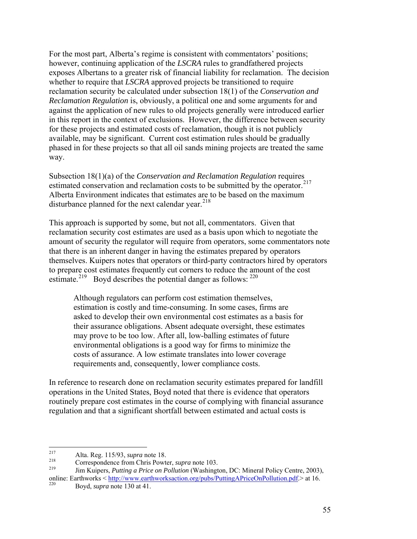For the most part, Alberta's regime is consistent with commentators' positions; however, continuing application of the *LSCRA* rules to grandfathered projects exposes Albertans to a greater risk of financial liability for reclamation. The decision whether to require that *LSCRA* approved projects be transitioned to require reclamation security be calculated under subsection 18(1) of the *Conservation and Reclamation Regulation* is, obviously, a political one and some arguments for and against the application of new rules to old projects generally were introduced earlier in this report in the context of exclusions. However, the difference between security for these projects and estimated costs of reclamation, though it is not publicly available, may be significant. Current cost estimation rules should be gradually phased in for these projects so that all oil sands mining projects are treated the same way.

Subsection 18(1)(a) of the *Conservation and Reclamation Regulation* requires estimated conservation and reclamation costs to be submitted by the operator.<sup>[217](#page-54-0)</sup> Alberta Environment indicates that estimates are to be based on the maximum disturbance planned for the next calendar year. $^{218}$  $^{218}$  $^{218}$ 

This approach is supported by some, but not all, commentators. Given that reclamation security cost estimates are used as a basis upon which to negotiate the amount of security the regulator will require from operators, some commentators note that there is an inherent danger in having the estimates prepared by operators themselves. Kuipers notes that operators or third-party contractors hired by operators to prepare cost estimates frequently cut corners to reduce the amount of the cost estimate.<sup>[219](#page-54-2)</sup> Boyd describes the potential danger as follows:  $220$ 

Although regulators can perform cost estimation themselves, estimation is costly and time-consuming. In some cases, firms are asked to develop their own environmental cost estimates as a basis for their assurance obligations. Absent adequate oversight, these estimates may prove to be too low. After all, low-balling estimates of future environmental obligations is a good way for firms to minimize the costs of assurance. A low estimate translates into lower coverage requirements and, consequently, lower compliance costs.

In reference to research done on reclamation security estimates prepared for landfill operations in the United States, Boyd noted that there is evidence that operators routinely prepare cost estimates in the course of complying with financial assurance regulation and that a significant shortfall between estimated and actual costs is

<span id="page-54-0"></span><sup>217</sup> 217 Alta. Reg. 115/93, *supra* note 18.

<span id="page-54-1"></span><sup>&</sup>lt;sup>218</sup> Correspondence from Chris Powter, *supra* note 103.<br><sup>219</sup> Lim Kyinors, *Butting a Britan an Ballytian* (Washingt

<span id="page-54-2"></span><sup>219</sup> Jim Kuipers, *Putting a Price on Pollution* (Washington, DC: Mineral Policy Centre, 2003), online: Earthworks  $\leq \frac{http://www.earthworksaction.org/pubs/PuttingAPriceOnPollution.pdf}{http://www.earthworksaction.org/pubs/PuttingAPriceOnPollution.pdf}$  at 16.

<span id="page-54-3"></span>Boyd, *supra* note 130 at 41.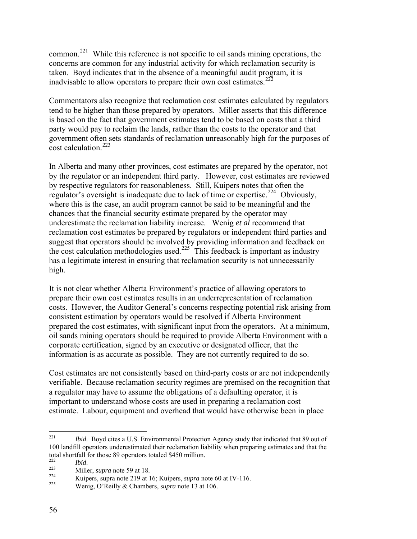common.[221](#page-55-0) While this reference is not specific to oil sands mining operations, the concerns are common for any industrial activity for which reclamation security is taken. Boyd indicates that in the absence of a meaningful audit program, it is inadvisable to allow operators to prepare their own cost estimates.<sup>[222](#page-55-1)</sup>

Commentators also recognize that reclamation cost estimates calculated by regulators tend to be higher than those prepared by operators. Miller asserts that this difference is based on the fact that government estimates tend to be based on costs that a third party would pay to reclaim the lands, rather than the costs to the operator and that government often sets standards of reclamation unreasonably high for the purposes of  $\frac{1}{\cosh \theta}$  cost calculation.<sup>[223](#page-55-2)</sup>

In Alberta and many other provinces, cost estimates are prepared by the operator, not by the regulator or an independent third party. However, cost estimates are reviewed by respective regulators for reasonableness. Still, Kuipers notes that often the regulator's oversight is inadequate due to lack of time or expertise.<sup>[224](#page-55-3)</sup> Obviously, where this is the case, an audit program cannot be said to be meaningful and the chances that the financial security estimate prepared by the operator may underestimate the reclamation liability increase. Wenig *et al* recommend that reclamation cost estimates be prepared by regulators or independent third parties and suggest that operators should be involved by providing information and feedback on the cost calculation methodologies used.<sup>[225](#page-55-4)</sup> This feedback is important as industry has a legitimate interest in ensuring that reclamation security is not unnecessarily high.

It is not clear whether Alberta Environment's practice of allowing operators to prepare their own cost estimates results in an underrepresentation of reclamation costs. However, the Auditor General's concerns respecting potential risk arising from consistent estimation by operators would be resolved if Alberta Environment prepared the cost estimates, with significant input from the operators. At a minimum, oil sands mining operators should be required to provide Alberta Environment with a corporate certification, signed by an executive or designated officer, that the information is as accurate as possible. They are not currently required to do so.

Cost estimates are not consistently based on third-party costs or are not independently verifiable. Because reclamation security regimes are premised on the recognition that a regulator may have to assume the obligations of a defaulting operator, it is important to understand whose costs are used in preparing a reclamation cost estimate. Labour, equipment and overhead that would have otherwise been in place

<span id="page-55-0"></span><sup>221</sup> *Ibid.* Boyd cites a U.S. Environmental Protection Agency study that indicated that 89 out of 100 landfill operators underestimated their reclamation liability when preparing estimates and that the total shortfall for those 89 operators totaled \$450 million.

<span id="page-55-2"></span><span id="page-55-1"></span><sup>222&</sup>lt;br> *222*<br>
224 Miller, *supra* note 59 at 18.<br>
224 Kuipers, supra note 219 at 16; Kuipers, *supra* note 60 at IV-116.<br>
225 Wanis Q'Pailly & Chambers, supra note 12 et 106

<span id="page-55-4"></span><span id="page-55-3"></span>Wenig, O'Reilly & Chambers, supra note 13 at 106.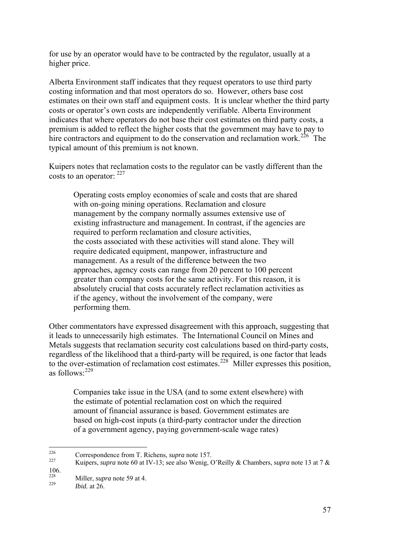for use by an operator would have to be contracted by the regulator, usually at a higher price.

Alberta Environment staff indicates that they request operators to use third party costing information and that most operators do so. However, others base cost estimates on their own staff and equipment costs. It is unclear whether the third party costs or operator's own costs are independently verifiable. Alberta Environment indicates that where operators do not base their cost estimates on third party costs, a premium is added to reflect the higher costs that the government may have to pay to hire contractors and equipment to do the conservation and reclamation work.<sup>[226](#page-56-0)</sup> The typical amount of this premium is not known.

Kuipers notes that reclamation costs to the regulator can be vastly different than the costs to an operator:  $227$ 

Operating costs employ economies of scale and costs that are shared with on-going mining operations. Reclamation and closure management by the company normally assumes extensive use of existing infrastructure and management. In contrast, if the agencies are required to perform reclamation and closure activities, the costs associated with these activities will stand alone. They will require dedicated equipment, manpower, infrastructure and management. As a result of the difference between the two approaches, agency costs can range from 20 percent to 100 percent greater than company costs for the same activity. For this reason, it is absolutely crucial that costs accurately reflect reclamation activities as if the agency, without the involvement of the company, were performing them.

Other commentators have expressed disagreement with this approach, suggesting that it leads to unnecessarily high estimates. The International Council on Mines and Metals suggests that reclamation security cost calculations based on third-party costs, regardless of the likelihood that a third-party will be required, is one factor that leads to the over-estimation of reclamation cost estimates.<sup>[228](#page-56-2)</sup> Miller expresses this position, as follows: $229$ 

Companies take issue in the USA (and to some extent elsewhere) with the estimate of potential reclamation cost on which the required amount of financial assurance is based. Government estimates are based on high-cost inputs (a third-party contractor under the direction of a government agency, paying government-scale wage rates)

<span id="page-56-1"></span><span id="page-56-0"></span><sup>226</sup> <sup>226</sup> Correspondence from T. Richens, *supra* note 157.<br><sup>227</sup> Kuiners, *supra* note 60 of IV 121, 222 also Wanis G.

<sup>227</sup> Kuipers, *supra* note 60 at IV-13; see also Wenig, O'Reilly & Chambers, s*upra* note 13 at 7 &

<span id="page-56-2"></span> $\frac{106}{228}$ <sup>228</sup> Miller, *supra* note 59 at 4.

<span id="page-56-3"></span>*Ibid.* at 26.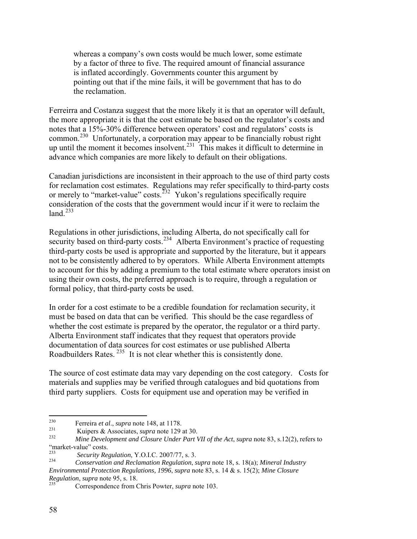whereas a company's own costs would be much lower, some estimate by a factor of three to five. The required amount of financial assurance is inflated accordingly. Governments counter this argument by pointing out that if the mine fails, it will be government that has to do the reclamation.

Ferreirra and Costanza suggest that the more likely it is that an operator will default, the more appropriate it is that the cost estimate be based on the regulator's costs and notes that a 15%-30% difference between operators' cost and regulators' costs is common.[230](#page-57-0) Unfortunately, a corporation may appear to be financially robust right up until the moment it becomes insolvent.<sup>[231](#page-57-1)</sup> This makes it difficult to determine in advance which companies are more likely to default on their obligations.

Canadian jurisdictions are inconsistent in their approach to the use of third party costs for reclamation cost estimates. Regulations may refer specifically to third-party costs or merely to "market-value" costs.<sup>[232](#page-57-2)</sup> Yukon's regulations specifically require consideration of the costs that the government would incur if it were to reclaim the  $land.<sup>233</sup>$  $land.<sup>233</sup>$  $land.<sup>233</sup>$ 

Regulations in other jurisdictions, including Alberta, do not specifically call for security based on third-party costs.<sup>[234](#page-57-4)</sup> Alberta Environment's practice of requesting third-party costs be used is appropriate and supported by the literature, but it appears not to be consistently adhered to by operators. While Alberta Environment attempts to account for this by adding a premium to the total estimate where operators insist on using their own costs, the preferred approach is to require, through a regulation or formal policy, that third-party costs be used.

In order for a cost estimate to be a credible foundation for reclamation security, it must be based on data that can be verified. This should be the case regardless of whether the cost estimate is prepared by the operator, the regulator or a third party. Alberta Environment staff indicates that they request that operators provide documentation of data sources for cost estimates or use published Alberta Roadbuilders Rates.<sup>[235](#page-57-5)</sup> It is not clear whether this is consistently done.

The source of cost estimate data may vary depending on the cost category. Costs for materials and supplies may be verified through catalogues and bid quotations from third party suppliers. Costs for equipment use and operation may be verified in

<span id="page-57-0"></span><sup>230</sup> 230 Ferreira *et al*., *supra* note 148, at 1178.

<span id="page-57-1"></span><sup>&</sup>lt;sup>231</sup> Kuipers & Associates, *supra* note 129 at 30.

<span id="page-57-2"></span><sup>232</sup> *Mine Development and Closure Under Part VII of the Act*, *supra* note 83, s.12(2), refers to "market-value" costs.<br> $\frac{233}{2}$ 

<span id="page-57-3"></span><sup>&</sup>lt;sup>233</sup> *Security Regulation, Y.O.I.C. 2007/77, s. 3.*<br>Conservation and Beclaustion Begulation

<span id="page-57-4"></span><sup>234</sup> *Conservation and Reclamation Regulation*, *supra* note 18, s. 18(a); *Mineral Industry Environmental Protection Regulations, 1996*, *supra* note 83, s. 14 & s. 15(2); *Mine Closure Regulation*, *supra* note 95, s. 18.

<span id="page-57-5"></span>Correspondence from Chris Powter, *supra* note 103.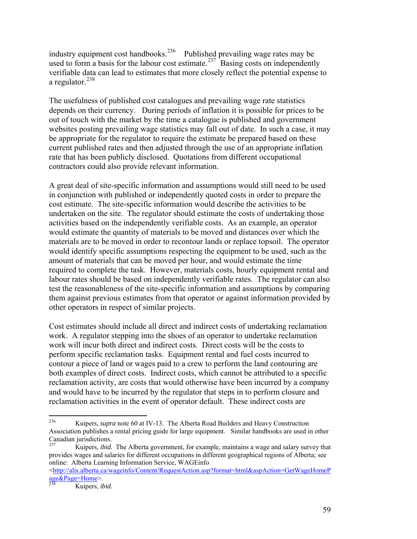industry equipment cost handbooks.<sup>[236](#page-58-0)</sup> Published prevailing wage rates may be used to form a basis for the labour cost estimate.<sup>[237](#page-58-1)</sup> Basing costs on independently verifiable data can lead to estimates that more closely reflect the potential expense to a regulator. [238](#page-58-2)

The usefulness of published cost catalogues and prevailing wage rate statistics depends on their currency. During periods of inflation it is possible for prices to be out of touch with the market by the time a catalogue is published and government websites posting prevailing wage statistics may fall out of date. In such a case, it may be appropriate for the regulator to require the estimate be prepared based on these current published rates and then adjusted through the use of an appropriate inflation rate that has been publicly disclosed. Quotations from different occupational contractors could also provide relevant information.

A great deal of site-specific information and assumptions would still need to be used in conjunction with published or independently quoted costs in order to prepare the cost estimate. The site-specific information would describe the activities to be undertaken on the site. The regulator should estimate the costs of undertaking those activities based on the independently verifiable costs. As an example, an operator would estimate the quantity of materials to be moved and distances over which the materials are to be moved in order to recontour lands or replace topsoil. The operator would identify specific assumptions respecting the equipment to be used, such as the amount of materials that can be moved per hour, and would estimate the time required to complete the task. However, materials costs, hourly equipment rental and labour rates should be based on independently verifiable rates. The regulator can also test the reasonableness of the site-specific information and assumptions by comparing them against previous estimates from that operator or against information provided by other operators in respect of similar projects.

Cost estimates should include all direct and indirect costs of undertaking reclamation work. A regulator stepping into the shoes of an operator to undertake reclamation work will incur both direct and indirect costs. Direct costs will be the costs to perform specific reclamation tasks. Equipment rental and fuel costs incurred to contour a piece of land or wages paid to a crew to perform the land contouring are both examples of direct costs. Indirect costs, which cannot be attributed to a specific reclamation activity, are costs that would otherwise have been incurred by a company and would have to be incurred by the regulator that steps in to perform closure and reclamation activities in the event of operator default. These indirect costs are

<span id="page-58-0"></span><sup>236</sup> 236 Kuipers, *supra* note 60 at IV-13. The Alberta Road Builders and Heavy Construction Association publishes a rental pricing guide for large equipment. Similar handbooks are used in other Canadian jurisdictions.

<span id="page-58-1"></span><sup>237</sup> Kuipers, *ibid.* The Alberta government, for example, maintains a wage and salary survey that provides wages and salaries for different occupations in different geographical regions of Alberta; see online: Alberta Learning Information Service, WAGEinfo

<sup>&</sup>lt;[http://alis.alberta.ca/wageinfo/Content/RequestAction.asp?format=html&aspAction=GetWageHomeP](http://alis.alberta.ca/wageinfo/Content/RequestAction.asp?format=html&aspAction=GetWageHomePage&Page=Home)  $\frac{1}{238}$ <br>[age&Page=Home](http://alis.alberta.ca/wageinfo/Content/RequestAction.asp?format=html&aspAction=GetWageHomePage&Page=Home)>.

<span id="page-58-2"></span>Kuipers, *ibid.*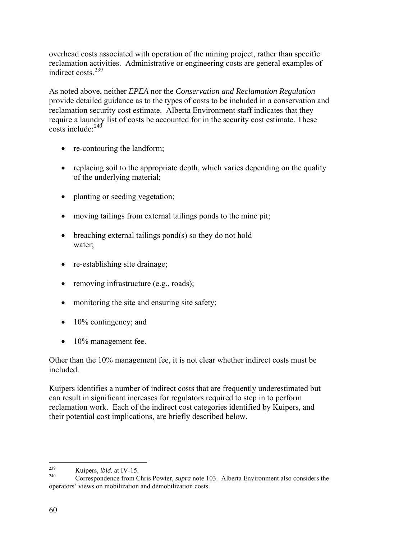overhead costs associated with operation of the mining project, rather than specific reclamation activities. Administrative or engineering costs are general examples of indirect costs.<sup>[239](#page-59-0)</sup>

As noted above, neither *EPEA* nor the *Conservation and Reclamation Regulation* provide detailed guidance as to the types of costs to be included in a conservation and reclamation security cost estimate. Alberta Environment staff indicates that they require a laundry list of costs be accounted for in the security cost estimate. These costs include: $240$ 

- re-contouring the landform;
- replacing soil to the appropriate depth, which varies depending on the quality of the underlying material;
- planting or seeding vegetation;
- moving tailings from external tailings ponds to the mine pit;
- $\bullet$  breaching external tailings pond(s) so they do not hold water;
- re-establishing site drainage;
- removing infrastructure (e.g., roads);
- monitoring the site and ensuring site safety;
- $\bullet$  10% contingency; and
- 10% management fee.

Other than the 10% management fee, it is not clear whether indirect costs must be included.

Kuipers identifies a number of indirect costs that are frequently underestimated but can result in significant increases for regulators required to step in to perform reclamation work. Each of the indirect cost categories identified by Kuipers, and their potential cost implications, are briefly described below.

<span id="page-59-0"></span><sup>239</sup> <sup>239</sup> Kuipers, *ibid.* at IV-15.

<span id="page-59-1"></span><sup>240</sup> Correspondence from Chris Powter, *supra* note 103. Alberta Environment also considers the operators' views on mobilization and demobilization costs.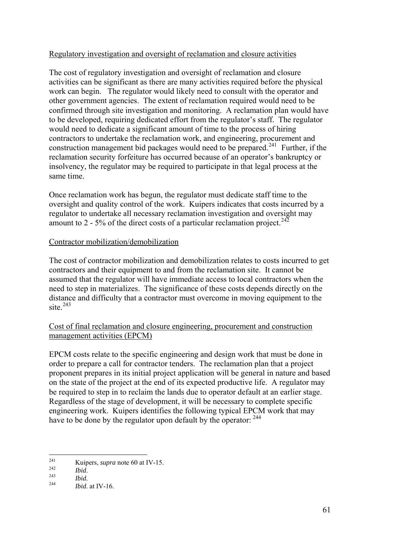### Regulatory investigation and oversight of reclamation and closure activities

The cost of regulatory investigation and oversight of reclamation and closure activities can be significant as there are many activities required before the physical work can begin. The regulator would likely need to consult with the operator and other government agencies. The extent of reclamation required would need to be confirmed through site investigation and monitoring. A reclamation plan would have to be developed, requiring dedicated effort from the regulator's staff. The regulator would need to dedicate a significant amount of time to the process of hiring contractors to undertake the reclamation work, and engineering, procurement and construction management bid packages would need to be prepared.<sup>[241](#page-60-0)</sup> Further, if the reclamation security forfeiture has occurred because of an operator's bankruptcy or insolvency, the regulator may be required to participate in that legal process at the same time.

Once reclamation work has begun, the regulator must dedicate staff time to the oversight and quality control of the work. Kuipers indicates that costs incurred by a regulator to undertake all necessary reclamation investigation and oversight may amount to 2 - 5% of the direct costs of a particular reclamation project.<sup>[242](#page-60-1)</sup>

### Contractor mobilization/demobilization

The cost of contractor mobilization and demobilization relates to costs incurred to get contractors and their equipment to and from the reclamation site. It cannot be assumed that the regulator will have immediate access to local contractors when the need to step in materializes. The significance of these costs depends directly on the distance and difficulty that a contractor must overcome in moving equipment to the site. $243$ 

### Cost of final reclamation and closure engineering, procurement and construction management activities (EPCM)

EPCM costs relate to the specific engineering and design work that must be done in order to prepare a call for contractor tenders. The reclamation plan that a project proponent prepares in its initial project application will be general in nature and based on the state of the project at the end of its expected productive life. A regulator may be required to step in to reclaim the lands due to operator default at an earlier stage. Regardless of the stage of development, it will be necessary to complete specific engineering work. Kuipers identifies the following typical EPCM work that may have to be done by the regulator upon default by the operator: <sup>[244](#page-60-3)</sup>

<span id="page-60-0"></span> $241$ 241 Kuipers, *supra* note 60 at IV-15. 242 *Ibid*. 243 *Ibid*. 244 *Ibid*. at IV-16.

<span id="page-60-1"></span>

<span id="page-60-2"></span>

<span id="page-60-3"></span>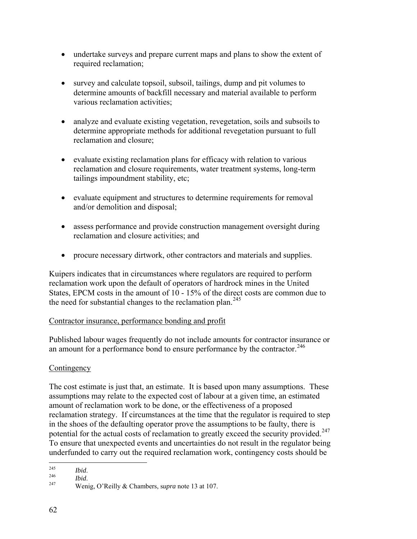- undertake surveys and prepare current maps and plans to show the extent of required reclamation;
- survey and calculate topsoil, subsoil, tailings, dump and pit volumes to determine amounts of backfill necessary and material available to perform various reclamation activities;
- analyze and evaluate existing vegetation, revegetation, soils and subsoils to determine appropriate methods for additional revegetation pursuant to full reclamation and closure;
- evaluate existing reclamation plans for efficacy with relation to various reclamation and closure requirements, water treatment systems, long-term tailings impoundment stability, etc;
- evaluate equipment and structures to determine requirements for removal and/or demolition and disposal;
- assess performance and provide construction management oversight during reclamation and closure activities; and
- procure necessary dirtwork, other contractors and materials and supplies.

Kuipers indicates that in circumstances where regulators are required to perform reclamation work upon the default of operators of hardrock mines in the United States, EPCM costs in the amount of 10 - 15% of the direct costs are common due to the need for substantial changes to the reclamation plan.<sup>[245](#page-61-0)</sup>

## Contractor insurance, performance bonding and profit

Published labour wages frequently do not include amounts for contractor insurance or an amount for a performance bond to ensure performance by the contractor.<sup>[246](#page-61-1)</sup>

## **Contingency**

The cost estimate is just that, an estimate. It is based upon many assumptions. These assumptions may relate to the expected cost of labour at a given time, an estimated amount of reclamation work to be done, or the effectiveness of a proposed reclamation strategy. If circumstances at the time that the regulator is required to step in the shoes of the defaulting operator prove the assumptions to be faulty, there is potential for the actual costs of reclamation to greatly exceed the security provided.<sup>[247](#page-61-2)</sup> To ensure that unexpected events and uncertainties do not result in the regulator being underfunded to carry out the required reclamation work, contingency costs should be

<sup>245</sup> 

<span id="page-61-2"></span>

<span id="page-61-1"></span><span id="page-61-0"></span><sup>245</sup>*Ibid*. 246 *Ibid*. 247 Wenig, O'Reilly & Chambers, s*upra* note 13 at 107.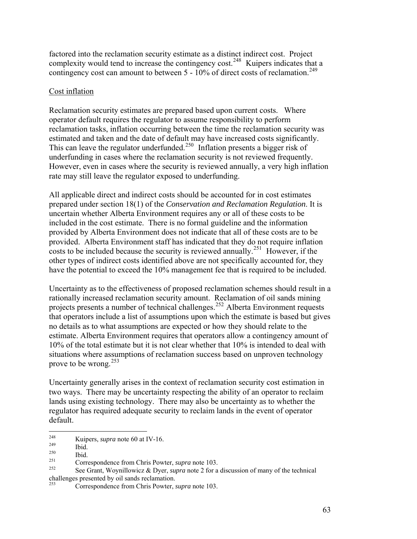factored into the reclamation security estimate as a distinct indirect cost. Project complexity would tend to increase the contingency cost.<sup>[248](#page-62-0)</sup> Kuipers indicates that a contingency cost can amount to between  $5 - 10\%$  of direct costs of reclamation.<sup>[249](#page-62-1)</sup>

#### Cost inflation

Reclamation security estimates are prepared based upon current costs. Where operator default requires the regulator to assume responsibility to perform reclamation tasks, inflation occurring between the time the reclamation security was estimated and taken and the date of default may have increased costs significantly. This can leave the regulator underfunded.<sup>[250](#page-62-2)</sup> Inflation presents a bigger risk of underfunding in cases where the reclamation security is not reviewed frequently. However, even in cases where the security is reviewed annually, a very high inflation rate may still leave the regulator exposed to underfunding.

All applicable direct and indirect costs should be accounted for in cost estimates prepared under section 18(1) of the *Conservation and Reclamation Regulation*. It is uncertain whether Alberta Environment requires any or all of these costs to be included in the cost estimate. There is no formal guideline and the information provided by Alberta Environment does not indicate that all of these costs are to be provided. Alberta Environment staff has indicated that they do not require inflation costs to be included because the security is reviewed annually.[251](#page-62-3) However, if the other types of indirect costs identified above are not specifically accounted for, they have the potential to exceed the 10% management fee that is required to be included.

Uncertainty as to the effectiveness of proposed reclamation schemes should result in a rationally increased reclamation security amount. Reclamation of oil sands mining projects presents a number of technical challenges.[252](#page-62-4) Alberta Environment requests that operators include a list of assumptions upon which the estimate is based but gives no details as to what assumptions are expected or how they should relate to the estimate. Alberta Environment requires that operators allow a contingency amount of 10% of the total estimate but it is not clear whether that 10% is intended to deal with situations where assumptions of reclamation success based on unproven technology prove to be wrong.<sup>[253](#page-62-5)</sup>

Uncertainty generally arises in the context of reclamation security cost estimation in two ways. There may be uncertainty respecting the ability of an operator to reclaim lands using existing technology. There may also be uncertainty as to whether the regulator has required adequate security to reclaim lands in the event of operator default.

<span id="page-62-4"></span>252 See Grant, Woynillowicz & Dyer, *supra* note 2 for a discussion of many of the technical challenges presented by oil sands reclamation.

<span id="page-62-0"></span><sup>248</sup> <sup>248</sup> Kuipers, *supra* note 60 at IV-16.

<span id="page-62-1"></span> $\frac{249}{250}$  Ibid.

<span id="page-62-2"></span> $\frac{250}{251}$  Ibid.

<span id="page-62-3"></span><sup>&</sup>lt;sup>251</sup> Correspondence from Chris Powter, *supra* note 103.

<span id="page-62-5"></span>Correspondence from Chris Powter, *supra* note 103.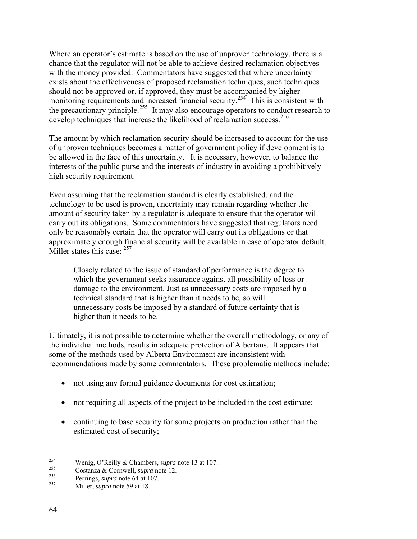Where an operator's estimate is based on the use of unproven technology, there is a chance that the regulator will not be able to achieve desired reclamation objectives with the money provided. Commentators have suggested that where uncertainty exists about the effectiveness of proposed reclamation techniques, such techniques should not be approved or, if approved, they must be accompanied by higher monitoring requirements and increased financial security.<sup>[254](#page-63-0)</sup> This is consistent with the precautionary principle.<sup>[255](#page-63-1)</sup> It may also encourage operators to conduct research to develop techniques that increase the likelihood of reclamation success.<sup>[256](#page-63-2)</sup>

The amount by which reclamation security should be increased to account for the use of unproven techniques becomes a matter of government policy if development is to be allowed in the face of this uncertainty. It is necessary, however, to balance the interests of the public purse and the interests of industry in avoiding a prohibitively high security requirement.

Even assuming that the reclamation standard is clearly established, and the technology to be used is proven, uncertainty may remain regarding whether the amount of security taken by a regulator is adequate to ensure that the operator will carry out its obligations. Some commentators have suggested that regulators need only be reasonably certain that the operator will carry out its obligations or that approximately enough financial security will be available in case of operator default. Miller states this case:  $257$ 

Closely related to the issue of standard of performance is the degree to which the government seeks assurance against all possibility of loss or damage to the environment. Just as unnecessary costs are imposed by a technical standard that is higher than it needs to be, so will unnecessary costs be imposed by a standard of future certainty that is higher than it needs to be.

Ultimately, it is not possible to determine whether the overall methodology, or any of the individual methods, results in adequate protection of Albertans. It appears that some of the methods used by Alberta Environment are inconsistent with recommendations made by some commentators. These problematic methods include:

- not using any formal guidance documents for cost estimation;
- not requiring all aspects of the project to be included in the cost estimate;
- continuing to base security for some projects on production rather than the estimated cost of security;

<span id="page-63-0"></span><sup>254</sup> <sup>254</sup> Wenig, O'Reilly & Chambers, *supra* note 13 at 107.

<span id="page-63-1"></span><sup>&</sup>lt;sup>255</sup> Costanza & Cornwell, *supra* note 12.<br><sup>256</sup> Pomines, supports 64 at 107

<span id="page-63-3"></span><span id="page-63-2"></span><sup>&</sup>lt;sup>256</sup> Perrings, *supra* note 64 at 107.

Miller, *supra* note 59 at 18.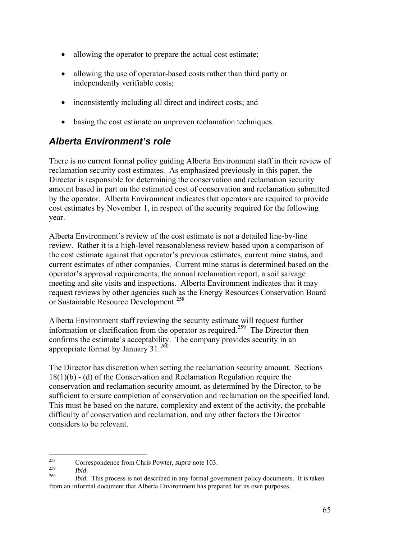- allowing the operator to prepare the actual cost estimate;
- allowing the use of operator-based costs rather than third party or independently verifiable costs;
- inconsistently including all direct and indirect costs; and
- basing the cost estimate on unproven reclamation techniques.

# *Alberta Environment's role*

There is no current formal policy guiding Alberta Environment staff in their review of reclamation security cost estimates. As emphasized previously in this paper, the Director is responsible for determining the conservation and reclamation security amount based in part on the estimated cost of conservation and reclamation submitted by the operator. Alberta Environment indicates that operators are required to provide cost estimates by November 1, in respect of the security required for the following year.

Alberta Environment's review of the cost estimate is not a detailed line-by-line review. Rather it is a high-level reasonableness review based upon a comparison of the cost estimate against that operator's previous estimates, current mine status, and current estimates of other companies. Current mine status is determined based on the operator's approval requirements, the annual reclamation report, a soil salvage meeting and site visits and inspections. Alberta Environment indicates that it may request reviews by other agencies such as the Energy Resources Conservation Board or Sustainable Resource Development.<sup>[258](#page-64-0)</sup>

Alberta Environment staff reviewing the security estimate will request further information or clarification from the operator as required.<sup>[259](#page-64-1)</sup> The Director then confirms the estimate's acceptability. The company provides security in an appropriate format by January  $31.^{260}$  $31.^{260}$  $31.^{260}$ 

The Director has discretion when setting the reclamation security amount. Sections 18(1)(b) - (d) of the Conservation and Reclamation Regulation require the conservation and reclamation security amount, as determined by the Director, to be sufficient to ensure completion of conservation and reclamation on the specified land. This must be based on the nature, complexity and extent of the activity, the probable difficulty of conservation and reclamation, and any other factors the Director considers to be relevant.

<span id="page-64-0"></span><sup>258</sup> <sup>258</sup> Correspondence from Chris Powter, *supra* note 103.

<span id="page-64-2"></span><span id="page-64-1"></span><sup>&</sup>lt;sup>259</sup>*Ibid. Ibid*. This process is not described in any formal government policy documents. It is taken from an informal document that Alberta Environment has prepared for its own purposes.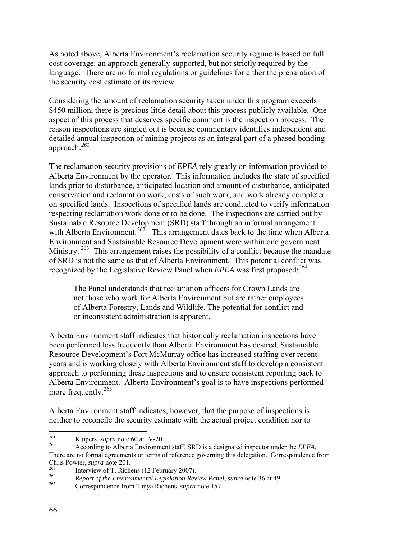As noted above, Alberta Environment's reclamation security regime is based on full cost coverage: an approach generally supported, but not strictly required by the language. There are no formal regulations or guidelines for either the preparation of the security cost estimate or its review.

Considering the amount of reclamation security taken under this program exceeds \$450 million, there is precious little detail about this process publicly available. One aspect of this process that deserves specific comment is the inspection process. The reason inspections are singled out is because commentary identifies independent and detailed annual inspection of mining projects as an integral part of a phased bonding approach.*[261](#page-65-0)*

The reclamation security provisions of *EPEA* rely greatly on information provided to Alberta Environment by the operator. This information includes the state of specified lands prior to disturbance, anticipated location and amount of disturbance, anticipated conservation and reclamation work, costs of such work, and work already completed on specified lands. Inspections of specified lands are conducted to verify information respecting reclamation work done or to be done. The inspections are carried out by Sustainable Resource Development (SRD) staff through an informal arrangement with Alberta Environment.<sup>[262](#page-65-1)</sup> This arrangement dates back to the time when Alberta Environment and Sustainable Resource Development were within one government Ministry.<sup>[263](#page-65-2)</sup> This arrangement raises the possibility of a conflict because the mandate of SRD is not the same as that of Alberta Environment. This potential conflict was recognized by the Legislative Review Panel when *EPEA* was first proposed:<sup>[264](#page-65-3)</sup>

The Panel understands that reclamation officers for Crown Lands are not those who work for Alberta Environment but are rather employees of Alberta Forestry, Lands and Wildlife. The potential for conflict and or inconsistent administration is apparent.

Alberta Environment staff indicates that historically reclamation inspections have been performed less frequently than Alberta Environment has desired. Sustainable Resource Development's Fort McMurray office has increased staffing over recent years and is working closely with Alberta Environment staff to develop a consistent approach to performing these inspections and to ensure consistent reporting back to Alberta Environment. Alberta Environment's goal is to have inspections performed more frequently.<sup>[265](#page-65-4)</sup>

Alberta Environment staff indicates, however, that the purpose of inspections is neither to reconcile the security estimate with the actual project condition nor to

<span id="page-65-0"></span><sup>261</sup>  $\frac{261}{262}$  Kuipers, *supra* note 60 at IV-20.

<span id="page-65-1"></span><sup>262</sup> According to Alberta Environment staff, SRD is a designated inspector under the *EPEA*. There are no formal agreements or terms of reference governing this delegation. Correspondence from Chris Powter, *supra* note 201.

<span id="page-65-2"></span><sup>&</sup>lt;sup>263</sup> Interview of T. Richens (12 February 2007).<br> *Papart of the Eminormantal Lacislation Papart* 

<span id="page-65-3"></span><sup>264</sup> *Report of the Environmental Legislation Review Panel*, *supra* note 36 at 49.

<span id="page-65-4"></span>Correspondence from Tanya Richens, *supra* note 157.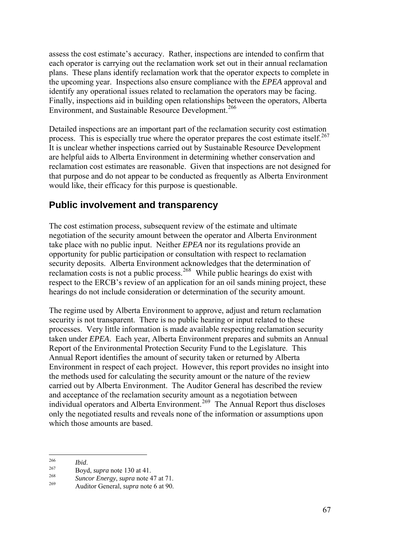assess the cost estimate's accuracy. Rather, inspections are intended to confirm that each operator is carrying out the reclamation work set out in their annual reclamation plans. These plans identify reclamation work that the operator expects to complete in the upcoming year. Inspections also ensure compliance with the *EPEA* approval and identify any operational issues related to reclamation the operators may be facing. Finally, inspections aid in building open relationships between the operators, Alberta Environment, and Sustainable Resource Development.<sup>[266](#page-66-0)</sup>

Detailed inspections are an important part of the reclamation security cost estimation process. This is especially true where the operator prepares the cost estimate itself.<sup>[267](#page-66-1)</sup> It is unclear whether inspections carried out by Sustainable Resource Development are helpful aids to Alberta Environment in determining whether conservation and reclamation cost estimates are reasonable. Given that inspections are not designed for that purpose and do not appear to be conducted as frequently as Alberta Environment would like, their efficacy for this purpose is questionable.

## **Public involvement and transparency**

The cost estimation process, subsequent review of the estimate and ultimate negotiation of the security amount between the operator and Alberta Environment take place with no public input. Neither *EPEA* nor its regulations provide an opportunity for public participation or consultation with respect to reclamation security deposits. Alberta Environment acknowledges that the determination of reclamation costs is not a public process.<sup>[268](#page-66-2)</sup> While public hearings do exist with respect to the ERCB's review of an application for an oil sands mining project, these hearings do not include consideration or determination of the security amount.

The regime used by Alberta Environment to approve, adjust and return reclamation security is not transparent. There is no public hearing or input related to these processes. Very little information is made available respecting reclamation security taken under *EPEA*. Each year, Alberta Environment prepares and submits an Annual Report of the Environmental Protection Security Fund to the Legislature. This Annual Report identifies the amount of security taken or returned by Alberta Environment in respect of each project. However, this report provides no insight into the methods used for calculating the security amount or the nature of the review carried out by Alberta Environment. The Auditor General has described the review and acceptance of the reclamation security amount as a negotiation between individual operators and Alberta Environment.<sup>[269](#page-66-3)</sup> The Annual Report thus discloses only the negotiated results and reveals none of the information or assumptions upon which those amounts are based.

<sup>266</sup> 

<span id="page-66-1"></span><span id="page-66-0"></span><sup>&</sup>lt;sup>266</sup> *Ibid.* 267 Boyd, *supra* note 130 at 41.

<span id="page-66-2"></span><sup>268</sup> *Suncor Energy*, *supra* note 47 at 71.

<span id="page-66-3"></span><sup>269</sup> Auditor General, *supra* note 6 at 90.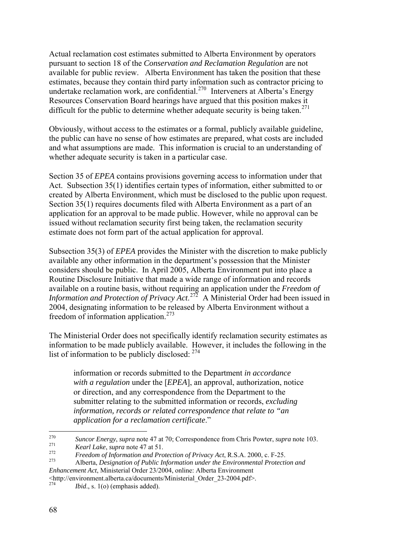Actual reclamation cost estimates submitted to Alberta Environment by operators pursuant to section 18 of the *Conservation and Reclamation Regulation* are not available for public review. Alberta Environment has taken the position that these estimates, because they contain third party information such as contractor pricing to undertake reclamation work, are confidential.<sup>[270](#page-67-0)</sup> Interveners at Alberta's Energy Resources Conservation Board hearings have argued that this position makes it difficult for the public to determine whether adequate security is being taken.<sup>[271](#page-67-1)</sup>

Obviously, without access to the estimates or a formal, publicly available guideline, the public can have no sense of how estimates are prepared, what costs are included and what assumptions are made. This information is crucial to an understanding of whether adequate security is taken in a particular case.

Section 35 of *EPEA* contains provisions governing access to information under that Act. Subsection 35(1) identifies certain types of information, either submitted to or created by Alberta Environment, which must be disclosed to the public upon request. Section 35(1) requires documents filed with Alberta Environment as a part of an application for an approval to be made public. However, while no approval can be issued without reclamation security first being taken, the reclamation security estimate does not form part of the actual application for approval.

Subsection 35(3) of *EPEA* provides the Minister with the discretion to make publicly available any other information in the department's possession that the Minister considers should be public. In April 2005, Alberta Environment put into place a Routine Disclosure Initiative that made a wide range of information and records available on a routine basis, without requiring an application under the *Freedom of Information and Protection of Privacy Act*. [272](#page-67-2) A Ministerial Order had been issued in 2004, designating information to be released by Alberta Environment without a freedom of information application.<sup>[273](#page-67-3)</sup>

The Ministerial Order does not specifically identify reclamation security estimates as information to be made publicly available. However, it includes the following in the list of information to be publicly disclosed: [274](#page-67-4)

information or records submitted to the Department *in accordance with a regulation* under the [*EPEA*], an approval, authorization, notice or direction, and any correspondence from the Department to the submitter relating to the submitted information or records, *excluding information, records or related correspondence that relate to "an application for a reclamation certificate*."

<span id="page-67-0"></span><sup>270</sup> <sup>270</sup> *Suncor Energy, supra* note 47 at 70; Correspondence from Chris Powter, *supra* note 103.

<span id="page-67-1"></span><sup>271</sup> *Kearl Lake*, *supra* note 47 at 51.

<span id="page-67-2"></span><sup>272</sup> *Freedom of Information and Protection of Privacy Act*, R.S.A. 2000, c. F-25.

<span id="page-67-3"></span><sup>273</sup> Alberta, *Designation of Public Information under the Environmental Protection and Enhancement Act*, Ministerial Order 23/2004, online: Alberta Environment

<span id="page-67-4"></span> $\langle \text{http://environment.alberta.ca/documents/Ministerial_Order_23-2004.pdf} \rangle$ .<br>  $\frac{n_{1,1}}{n_{1,2}}$  = 1(a) (omphasis added) *Ibid.*, s. 1(o) (emphasis added).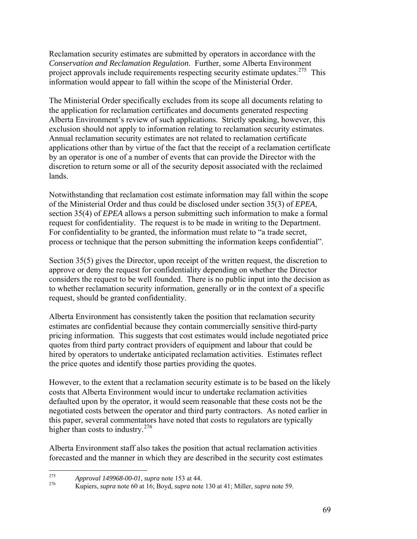Reclamation security estimates are submitted by operators in accordance with the *Conservation and Reclamation Regulation*. Further, some Alberta Environment project approvals include requirements respecting security estimate updates.<sup>[275](#page-68-0)</sup> This information would appear to fall within the scope of the Ministerial Order.

The Ministerial Order specifically excludes from its scope all documents relating to the application for reclamation certificates and documents generated respecting Alberta Environment's review of such applications. Strictly speaking, however, this exclusion should not apply to information relating to reclamation security estimates. Annual reclamation security estimates are not related to reclamation certificate applications other than by virtue of the fact that the receipt of a reclamation certificate by an operator is one of a number of events that can provide the Director with the discretion to return some or all of the security deposit associated with the reclaimed lands.

Notwithstanding that reclamation cost estimate information may fall within the scope of the Ministerial Order and thus could be disclosed under section 35(3) of *EPEA*, section 35(4) of *EPEA* allows a person submitting such information to make a formal request for confidentiality. The request is to be made in writing to the Department. For confidentiality to be granted, the information must relate to "a trade secret, process or technique that the person submitting the information keeps confidential".

Section 35(5) gives the Director, upon receipt of the written request, the discretion to approve or deny the request for confidentiality depending on whether the Director considers the request to be well founded. There is no public input into the decision as to whether reclamation security information, generally or in the context of a specific request, should be granted confidentiality.

Alberta Environment has consistently taken the position that reclamation security estimates are confidential because they contain commercially sensitive third-party pricing information. This suggests that cost estimates would include negotiated price quotes from third party contract providers of equipment and labour that could be hired by operators to undertake anticipated reclamation activities. Estimates reflect the price quotes and identify those parties providing the quotes.

However, to the extent that a reclamation security estimate is to be based on the likely costs that Alberta Environment would incur to undertake reclamation activities defaulted upon by the operator, it would seem reasonable that these costs not be the negotiated costs between the operator and third party contractors. As noted earlier in this paper, several commentators have noted that costs to regulators are typically higher than costs to industry.<sup>[276](#page-68-1)</sup>

Alberta Environment staff also takes the position that actual reclamation activities forecasted and the manner in which they are described in the security cost estimates

<span id="page-68-1"></span><span id="page-68-0"></span><sup>275</sup> 275 *Approval 149968-00-01, supra* note 153 at 44.

<sup>276</sup> Kupiers, *supra* note 60 at 16; Boyd, *supra* note 130 at 41; Miller, *supra* note 59.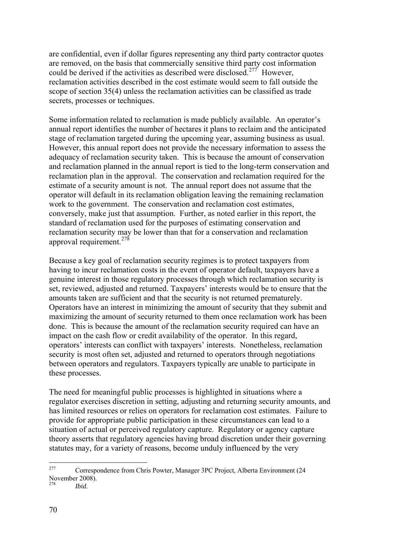are confidential, even if dollar figures representing any third party contractor quotes are removed, on the basis that commercially sensitive third party cost information could be derived if the activities as described were disclosed.<sup>[277](#page-69-0)</sup> However, reclamation activities described in the cost estimate would seem to fall outside the scope of section 35(4) unless the reclamation activities can be classified as trade secrets, processes or techniques.

Some information related to reclamation is made publicly available. An operator's annual report identifies the number of hectares it plans to reclaim and the anticipated stage of reclamation targeted during the upcoming year, assuming business as usual. However, this annual report does not provide the necessary information to assess the adequacy of reclamation security taken. This is because the amount of conservation and reclamation planned in the annual report is tied to the long-term conservation and reclamation plan in the approval. The conservation and reclamation required for the estimate of a security amount is not. The annual report does not assume that the operator will default in its reclamation obligation leaving the remaining reclamation work to the government. The conservation and reclamation cost estimates, conversely, make just that assumption. Further, as noted earlier in this report, the standard of reclamation used for the purposes of estimating conservation and reclamation security may be lower than that for a conservation and reclamation approval requirement.<sup>[278](#page-69-1)</sup>

Because a key goal of reclamation security regimes is to protect taxpayers from having to incur reclamation costs in the event of operator default, taxpayers have a genuine interest in those regulatory processes through which reclamation security is set, reviewed, adjusted and returned. Taxpayers' interests would be to ensure that the amounts taken are sufficient and that the security is not returned prematurely. Operators have an interest in minimizing the amount of security that they submit and maximizing the amount of security returned to them once reclamation work has been done. This is because the amount of the reclamation security required can have an impact on the cash flow or credit availability of the operator. In this regard, operators' interests can conflict with taxpayers' interests. Nonetheless, reclamation security is most often set, adjusted and returned to operators through negotiations between operators and regulators. Taxpayers typically are unable to participate in these processes.

The need for meaningful public processes is highlighted in situations where a regulator exercises discretion in setting, adjusting and returning security amounts, and has limited resources or relies on operators for reclamation cost estimates. Failure to provide for appropriate public participation in these circumstances can lead to a situation of actual or perceived regulatory capture. Regulatory or agency capture theory asserts that regulatory agencies having broad discretion under their governing statutes may, for a variety of reasons, become unduly influenced by the very

<span id="page-69-0"></span><sup>277</sup> Correspondence from Chris Powter, Manager 3PC Project, Alberta Environment (24 November 2008).

<span id="page-69-1"></span><sup>278</sup> *Ibid*.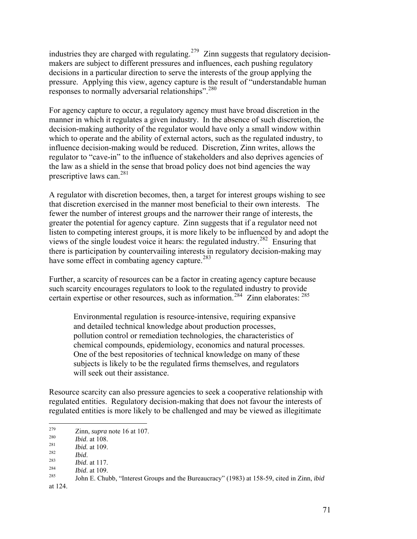industries they are charged with regulating.<sup>[279](#page-70-0)</sup> Zinn suggests that regulatory decisionmakers are subject to different pressures and influences, each pushing regulatory decisions in a particular direction to serve the interests of the group applying the pressure. Applying this view, agency capture is the result of "understandable human responses to normally adversarial relationships".<sup>[280](#page-70-1)</sup>

For agency capture to occur, a regulatory agency must have broad discretion in the manner in which it regulates a given industry. In the absence of such discretion, the decision-making authority of the regulator would have only a small window within which to operate and the ability of external actors, such as the regulated industry, to influence decision-making would be reduced. Discretion, Zinn writes, allows the regulator to "cave-in" to the influence of stakeholders and also deprives agencies of the law as a shield in the sense that broad policy does not bind agencies the way prescriptive laws can.[281](#page-70-2)

A regulator with discretion becomes, then, a target for interest groups wishing to see that discretion exercised in the manner most beneficial to their own interests. The fewer the number of interest groups and the narrower their range of interests, the greater the potential for agency capture. Zinn suggests that if a regulator need not listen to competing interest groups, it is more likely to be influenced by and adopt the views of the single loudest voice it hears: the regulated industry.[282](#page-70-3) Ensuring that there is participation by countervailing interests in regulatory decision-making may have some effect in combating agency capture.<sup>[283](#page-70-4)</sup>

Further, a scarcity of resources can be a factor in creating agency capture because such scarcity encourages regulators to look to the regulated industry to provide certain expertise or other resources, such as information.<sup>[284](#page-70-5)</sup> Zinn elaborates: <sup>[285](#page-70-6)</sup>

Environmental regulation is resource-intensive, requiring expansive and detailed technical knowledge about production processes, pollution control or remediation technologies, the characteristics of chemical compounds, epidemiology, economics and natural processes. One of the best repositories of technical knowledge on many of these subjects is likely to be the regulated firms themselves, and regulators will seek out their assistance.

Resource scarcity can also pressure agencies to seek a cooperative relationship with regulated entities. Regulatory decision-making that does not favour the interests of regulated entities is more likely to be challenged and may be viewed as illegitimate

<span id="page-70-0"></span><sup>279</sup>  $\frac{279}{280}$  Zinn, *supra* note 16 at 107.

<span id="page-70-1"></span> $\frac{280}{281}$  *Ibid.* at 108.

<span id="page-70-2"></span> $\frac{281}{282}$  *Ibid.* at 109.

<span id="page-70-4"></span><span id="page-70-3"></span><sup>282</sup>*Ibid*. 283 *Ibid*. at 117.

<span id="page-70-6"></span><span id="page-70-5"></span> $\frac{284}{285}$  *Ibid.* at 109.

<sup>285</sup> John E. Chubb, "Interest Groups and the Bureaucracy" (1983) at 158-59, cited in Zinn, *ibid* 

at 124.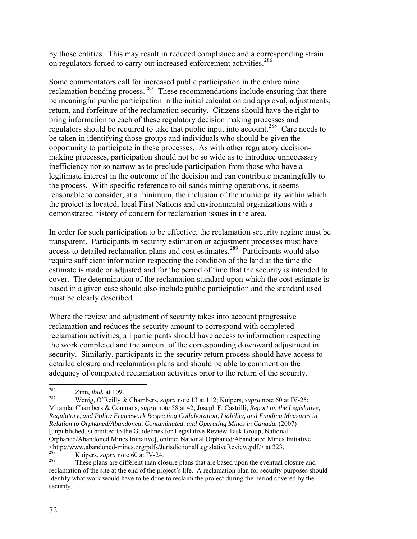by those entities. This may result in reduced compliance and a corresponding strain on regulators forced to carry out increased enforcement activities.<sup>[286](#page-71-0)</sup>

Some commentators call for increased public participation in the entire mine reclamation bonding process.<sup>[287](#page-71-1)</sup> These recommendations include ensuring that there be meaningful public participation in the initial calculation and approval, adjustments, return, and forfeiture of the reclamation security. Citizens should have the right to bring information to each of these regulatory decision making processes and regulators should be required to take that public input into account.<sup>[288](#page-71-2)</sup> Care needs to be taken in identifying those groups and individuals who should be given the opportunity to participate in these processes. As with other regulatory decisionmaking processes, participation should not be so wide as to introduce unnecessary inefficiency nor so narrow as to preclude participation from those who have a legitimate interest in the outcome of the decision and can contribute meaningfully to the process. With specific reference to oil sands mining operations, it seems reasonable to consider, at a minimum, the inclusion of the municipality within which the project is located, local First Nations and environmental organizations with a demonstrated history of concern for reclamation issues in the area.

In order for such participation to be effective, the reclamation security regime must be transparent. Participants in security estimation or adjustment processes must have access to detailed reclamation plans and cost estimates.<sup>[289](#page-71-3)</sup> Participants would also require sufficient information respecting the condition of the land at the time the estimate is made or adjusted and for the period of time that the security is intended to cover. The determination of the reclamation standard upon which the cost estimate is based in a given case should also include public participation and the standard used must be clearly described.

Where the review and adjustment of security takes into account progressive reclamation and reduces the security amount to correspond with completed reclamation activities, all participants should have access to information respecting the work completed and the amount of the corresponding downward adjustment in security. Similarly, participants in the security return process should have access to detailed closure and reclamation plans and should be able to comment on the adequacy of completed reclamation activities prior to the return of the security.

<span id="page-71-2"></span><sup>288</sup> Kuipers, *supra* note 60 at IV-24.

<span id="page-71-0"></span><sup>286</sup>  $\frac{286}{287}$  Zinn, *ibid.* at 109.

<span id="page-71-1"></span><sup>287</sup> Wenig, O'Reilly & Chambers, *supra* note 13 at 112; Kuipers, *supra* note 60 at IV-25; Miranda, Chambers & Coumans, *supra* note 58 at 42; Joseph F. Castrilli, *Report on the Legislative, Regulatory, and Policy Framework Respecting Collaboration, Liability, and Funding Measures in Relation to Orphaned/Abandoned, Contaminated, and Operating Mines in Canada*, (2007) [unpublished, submitted to the Guidelines for Legislative Review Task Group, National Orphaned/Abandoned Mines Initiative], online: National Orphaned/Abandoned Mines Initiative <http://www.abandoned-mines.org/pdfs/JurisdictionalLegislativeReview.pdf.> at 223.

<span id="page-71-3"></span>These plans are different than closure plans that are based upon the eventual closure and reclamation of the site at the end of the project's life. A reclamation plan for security purposes should identify what work would have to be done to reclaim the project during the period covered by the security.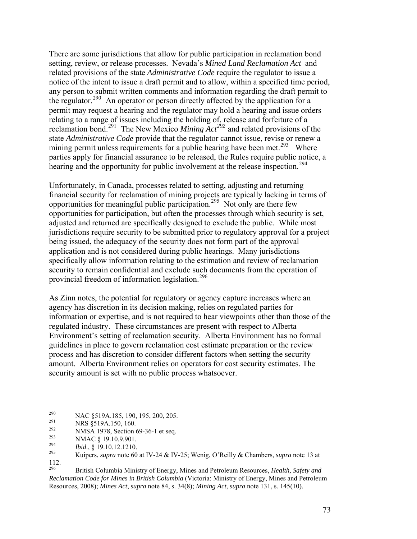There are some jurisdictions that allow for public participation in reclamation bond setting, review, or release processes. Nevada's *Mined Land Reclamation Act* and related provisions of the state *Administrative Code* require the regulator to issue a notice of the intent to issue a draft permit and to allow, within a specified time period, any person to submit written comments and information regarding the draft permit to the regulator.<sup>[290](#page-72-0)</sup> An operator or person directly affected by the application for a permit may request a hearing and the regulator may hold a hearing and issue orders relating to a range of issues including the holding of, release and forfeiture of a reclamation bond.[291](#page-72-1) The New Mexico *Mining Act[292](#page-72-2)* and related provisions of the state *Administrative Code* provide that the regulator cannot issue, revise or renew a mining permit unless requirements for a public hearing have been met.<sup>[293](#page-72-3)</sup> Where parties apply for financial assurance to be released, the Rules require public notice, a hearing and the opportunity for public involvement at the release inspection.<sup>[294](#page-72-4)</sup>

Unfortunately, in Canada, processes related to setting, adjusting and returning financial security for reclamation of mining projects are typically lacking in terms of opportunities for meaningful public participation.<sup>[295](#page-72-5)</sup> Not only are there few opportunities for participation, but often the processes through which security is set, adjusted and returned are specifically designed to exclude the public. While most jurisdictions require security to be submitted prior to regulatory approval for a project being issued, the adequacy of the security does not form part of the approval application and is not considered during public hearings. Many jurisdictions specifically allow information relating to the estimation and review of reclamation security to remain confidential and exclude such documents from the operation of provincial freedom of information legislation.<sup>[296](#page-72-6)</sup>

As Zinn notes, the potential for regulatory or agency capture increases where an agency has discretion in its decision making, relies on regulated parties for information or expertise, and is not required to hear viewpoints other than those of the regulated industry. These circumstances are present with respect to Alberta Environment's setting of reclamation security. Alberta Environment has no formal guidelines in place to govern reclamation cost estimate preparation or the review process and has discretion to consider different factors when setting the security amount. Alberta Environment relies on operators for cost security estimates. The security amount is set with no public process whatsoever.

<span id="page-72-0"></span><sup>290</sup> <sup>290</sup> NAC §519A.185, 190, 195, 200, 205.<br><sup>291</sup> NBS \$510A.150, 160

<span id="page-72-1"></span><sup>&</sup>lt;sup>291</sup> NRS  $\hat{\S}$ 519A.150, 160.<br><sup>292</sup> MMSA 1979. Section

<span id="page-72-2"></span><sup>&</sup>lt;sup>292</sup> NMSA 1978, Section 69-36-1 et seq.<br><sup>293</sup> NMAC \$ 10, 10, 0, 001

<span id="page-72-3"></span> $\frac{293}{294}$  NMAC § 19.10.9.901.

<span id="page-72-4"></span><sup>&</sup>lt;sup>294</sup> *Ibid.*, § 19.10.12.1210.<br><sup>295</sup> *V*<sub>rinans</sub> superiods 60.

<span id="page-72-5"></span><sup>295</sup> Kuipers, *supra* note 60 at IV-24 & IV-25; Wenig, O'Reilly & Chambers, *supra* note 13 at 112.

<span id="page-72-6"></span><sup>296</sup> British Columbia Ministry of Energy, Mines and Petroleum Resources, *Health, Safety and Reclamation Code for Mines in British Columbia* (Victoria: Ministry of Energy, Mines and Petroleum Resources, 2008); *Mines Act*, *supra* note 84, s. 34(8); *Mining Act*, *supra* note 131, s. 145(10).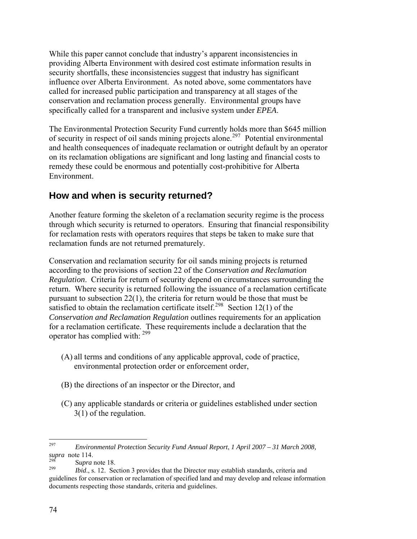While this paper cannot conclude that industry's apparent inconsistencies in providing Alberta Environment with desired cost estimate information results in security shortfalls, these inconsistencies suggest that industry has significant influence over Alberta Environment. As noted above, some commentators have called for increased public participation and transparency at all stages of the conservation and reclamation process generally. Environmental groups have specifically called for a transparent and inclusive system under *EPEA*.

The Environmental Protection Security Fund currently holds more than \$645 million of security in respect of oil sands mining projects alone.[297](#page-73-0) Potential environmental and health consequences of inadequate reclamation or outright default by an operator on its reclamation obligations are significant and long lasting and financial costs to remedy these could be enormous and potentially cost-prohibitive for Alberta Environment.

#### **How and when is security returned?**

Another feature forming the skeleton of a reclamation security regime is the process through which security is returned to operators. Ensuring that financial responsibility for reclamation rests with operators requires that steps be taken to make sure that reclamation funds are not returned prematurely.

Conservation and reclamation security for oil sands mining projects is returned according to the provisions of section 22 of the *Conservation and Reclamation Regulation*. Criteria for return of security depend on circumstances surrounding the return. Where security is returned following the issuance of a reclamation certificate pursuant to subsection 22(1), the criteria for return would be those that must be satisfied to obtain the reclamation certificate itself.<sup>[298](#page-73-1)</sup> Section 12(1) of the *Conservation and Reclamation Regulation* outlines requirements for an application for a reclamation certificate. These requirements include a declaration that the operator has complied with: [299](#page-73-2)

- (A) all terms and conditions of any applicable approval, code of practice, environmental protection order or enforcement order,
- (B) the directions of an inspector or the Director, and
- (C) any applicable standards or criteria or guidelines established under section 3(1) of the regulation.

<span id="page-73-0"></span><sup>297</sup> 297 *Environmental Protection Security Fund Annual Report*, *1 April 2007 – 31 March 2008, supra* note 114.

<span id="page-73-1"></span><sup>298</sup> S*upra* note 18.

<span id="page-73-2"></span>*Ibid.*, s. 12. Section 3 provides that the Director may establish standards, criteria and guidelines for conservation or reclamation of specified land and may develop and release information documents respecting those standards, criteria and guidelines.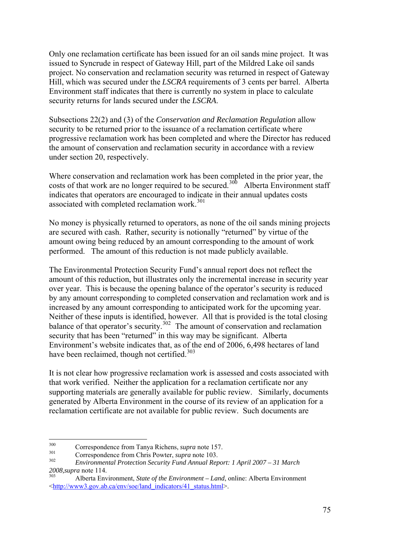Only one reclamation certificate has been issued for an oil sands mine project. It was issued to Syncrude in respect of Gateway Hill, part of the Mildred Lake oil sands project. No conservation and reclamation security was returned in respect of Gateway Hill, which was secured under the *LSCRA* requirements of 3 cents per barrel. Alberta Environment staff indicates that there is currently no system in place to calculate security returns for lands secured under the *LSCRA*.

Subsections 22(2) and (3) of the *Conservation and Reclamation Regulation* allow security to be returned prior to the issuance of a reclamation certificate where progressive reclamation work has been completed and where the Director has reduced the amount of conservation and reclamation security in accordance with a review under section 20, respectively.

Where conservation and reclamation work has been completed in the prior year, the costs of that work are no longer required to be secured.<sup>[300](#page-74-0)</sup> Alberta Environment staff indicates that operators are encouraged to indicate in their annual updates costs associated with completed reclamation work.<sup>[301](#page-74-1)</sup>

No money is physically returned to operators, as none of the oil sands mining projects are secured with cash. Rather, security is notionally "returned" by virtue of the amount owing being reduced by an amount corresponding to the amount of work performed. The amount of this reduction is not made publicly available.

The Environmental Protection Security Fund's annual report does not reflect the amount of this reduction, but illustrates only the incremental increase in security year over year. This is because the opening balance of the operator's security is reduced by any amount corresponding to completed conservation and reclamation work and is increased by any amount corresponding to anticipated work for the upcoming year. Neither of these inputs is identified, however. All that is provided is the total closing balance of that operator's security.<sup>[302](#page-74-2)</sup> The amount of conservation and reclamation security that has been "returned" in this way may be significant. Alberta Environment's website indicates that, as of the end of 2006, 6,498 hectares of land have been reclaimed, though not certified. $303$ 

It is not clear how progressive reclamation work is assessed and costs associated with that work verified. Neither the application for a reclamation certificate nor any supporting materials are generally available for public review. Similarly, documents generated by Alberta Environment in the course of its review of an application for a reclamation certificate are not available for public review. Such documents are

<span id="page-74-0"></span><sup>300</sup> <sup>300</sup> Correspondence from Tanya Richens, *supra* note 157.<br>
Correspondence from Chris Bouter, *supra* note 103.

<span id="page-74-1"></span><sup>&</sup>lt;sup>301</sup> Correspondence from Chris Powter, *supra* note 103.

<span id="page-74-2"></span><sup>302</sup> *Environmental Protection Security Fund Annual Report: 1 April 2007 – 31 March 2008,supra* note 114.

<span id="page-74-3"></span><sup>303</sup> Alberta Environment, *State of the Environment – Land*, online: Alberta Environment <[http://www3.gov.ab.ca/env/soe/land\\_indicators/41\\_status.html](http://www3.gov.ab.ca/env/soe/land_indicators/41_status.html)>.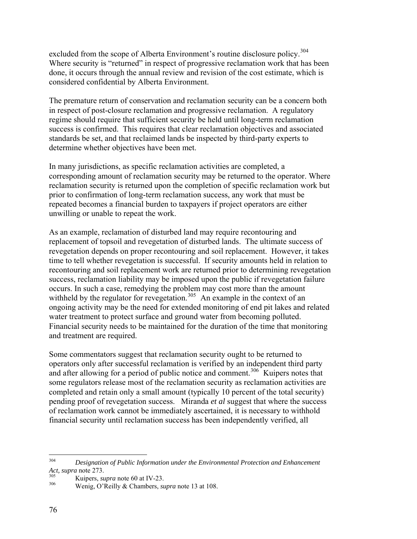excluded from the scope of Alberta Environment's routine disclosure policy.<sup>[304](#page-75-0)</sup> Where security is "returned" in respect of progressive reclamation work that has been done, it occurs through the annual review and revision of the cost estimate, which is considered confidential by Alberta Environment.

The premature return of conservation and reclamation security can be a concern both in respect of post-closure reclamation and progressive reclamation. A regulatory regime should require that sufficient security be held until long-term reclamation success is confirmed. This requires that clear reclamation objectives and associated standards be set, and that reclaimed lands be inspected by third-party experts to determine whether objectives have been met.

In many jurisdictions, as specific reclamation activities are completed, a corresponding amount of reclamation security may be returned to the operator. Where reclamation security is returned upon the completion of specific reclamation work but prior to confirmation of long-term reclamation success, any work that must be repeated becomes a financial burden to taxpayers if project operators are either unwilling or unable to repeat the work.

As an example, reclamation of disturbed land may require recontouring and replacement of topsoil and revegetation of disturbed lands. The ultimate success of revegetation depends on proper recontouring and soil replacement. However, it takes time to tell whether revegetation is successful. If security amounts held in relation to recontouring and soil replacement work are returned prior to determining revegetation success, reclamation liability may be imposed upon the public if revegetation failure occurs. In such a case, remedying the problem may cost more than the amount withheld by the regulator for revegetation.<sup>[305](#page-75-1)</sup> An example in the context of an ongoing activity may be the need for extended monitoring of end pit lakes and related water treatment to protect surface and ground water from becoming polluted. Financial security needs to be maintained for the duration of the time that monitoring and treatment are required.

Some commentators suggest that reclamation security ought to be returned to operators only after successful reclamation is verified by an independent third party and after allowing for a period of public notice and comment.<sup>[306](#page-75-2)</sup> Kuipers notes that some regulators release most of the reclamation security as reclamation activities are completed and retain only a small amount (typically 10 percent of the total security) pending proof of revegetation success. Miranda *et al* suggest that where the success of reclamation work cannot be immediately ascertained, it is necessary to withhold financial security until reclamation success has been independently verified, all

<span id="page-75-0"></span><sup>304</sup> 304 *Designation of Public Information under the Environmental Protection and Enhancement Act, supra* note 273.

<span id="page-75-1"></span> $\frac{305}{306}$  Kuipers, *supra* note 60 at IV-23.

<span id="page-75-2"></span><sup>306</sup> Wenig, O'Reilly & Chambers, *supra* note 13 at 108.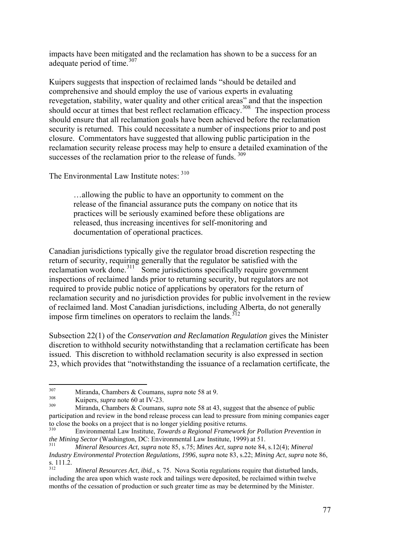impacts have been mitigated and the reclamation has shown to be a success for an adequate period of time.<sup>[307](#page-76-0)</sup>

Kuipers suggests that inspection of reclaimed lands "should be detailed and comprehensive and should employ the use of various experts in evaluating revegetation, stability, water quality and other critical areas" and that the inspection should occur at times that best reflect reclamation efficacy.<sup>[308](#page-76-1)</sup> The inspection process should ensure that all reclamation goals have been achieved before the reclamation security is returned. This could necessitate a number of inspections prior to and post closure. Commentators have suggested that allowing public participation in the reclamation security release process may help to ensure a detailed examination of the successes of the reclamation prior to the release of funds.  $309$ 

The Environmental Law Institute notes:  $310$ 

…allowing the public to have an opportunity to comment on the release of the financial assurance puts the company on notice that its practices will be seriously examined before these obligations are released, thus increasing incentives for self-monitoring and documentation of operational practices.

Canadian jurisdictions typically give the regulator broad discretion respecting the return of security, requiring generally that the regulator be satisfied with the reclamation work done.<sup>[311](#page-76-4)</sup> Some jurisdictions specifically require government inspections of reclaimed lands prior to returning security, but regulators are not required to provide public notice of applications by operators for the return of reclamation security and no jurisdiction provides for public involvement in the review of reclaimed land. Most Canadian jurisdictions, including Alberta, do not generally impose firm timelines on operators to reclaim the lands.  $^{312}$  $^{312}$  $^{312}$ 

Subsection 22(1) of the *Conservation and Reclamation Regulation* gives the Minister discretion to withhold security notwithstanding that a reclamation certificate has been issued. This discretion to withhold reclamation security is also expressed in section 23, which provides that "notwithstanding the issuance of a reclamation certificate, the

<span id="page-76-0"></span><sup>307</sup> 307 Miranda, Chambers & Coumans*, supra* note 58 at 9.

<span id="page-76-1"></span><sup>308</sup> Kuipers, *supra* note 60 at IV-23.

<span id="page-76-2"></span><sup>309</sup> Miranda, Chambers & Coumans*, supra* note 58 at 43, suggest that the absence of public participation and review in the bond release process can lead to pressure from mining companies eager to close the books on a project that is no longer yielding positive returns.

<span id="page-76-3"></span><sup>310</sup> Environmental Law Institute, *Towards a Regional Framework for Pollution Prevention in the Mining Sector* (Washington, DC: Environmental Law Institute, 1999) at 51.

<span id="page-76-4"></span><sup>311</sup> *Mineral Resources Act*, *supra* note 85, s.75; *Mines Act*, *supra* note 84, s.12(4); *Mineral Industry Environmental Protection Regulations, 1996*, *supra* note 83, s.22; *Mining Act*, *supra* note 86,  $\frac{1}{312}$  11.2.

<span id="page-76-5"></span><sup>312</sup> *Mineral Resources Act*, *ibid.*, s. 75. Nova Scotia regulations require that disturbed lands, including the area upon which waste rock and tailings were deposited, be reclaimed within twelve months of the cessation of production or such greater time as may be determined by the Minister.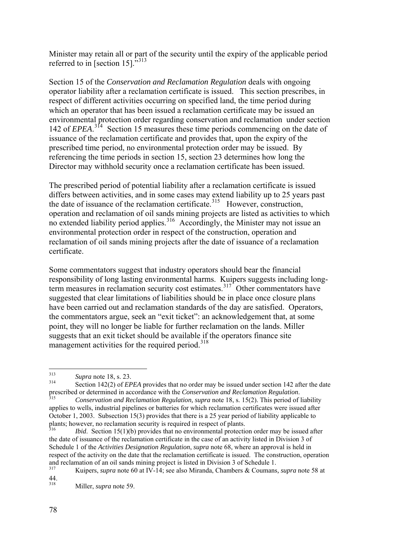Minister may retain all or part of the security until the expiry of the applicable period referred to in [section 15].<sup>5[313](#page-77-0)</sup>

Section 15 of the *Conservation and Reclamation Regulation* deals with ongoing operator liability after a reclamation certificate is issued. This section prescribes, in respect of different activities occurring on specified land, the time period during which an operator that has been issued a reclamation certificate may be issued an environmental protection order regarding conservation and reclamation under section 142 of *EPEA*. [314](#page-77-1) Section 15 measures these time periods commencing on the date of issuance of the reclamation certificate and provides that, upon the expiry of the prescribed time period, no environmental protection order may be issued. By referencing the time periods in section 15, section 23 determines how long the Director may withhold security once a reclamation certificate has been issued.

The prescribed period of potential liability after a reclamation certificate is issued differs between activities, and in some cases may extend liability up to 25 years past the date of issuance of the reclamation certificate.<sup>[315](#page-77-2)</sup> However, construction, operation and reclamation of oil sands mining projects are listed as activities to which no extended liability period applies.<sup>[316](#page-77-3)</sup> Accordingly, the Minister may not issue an environmental protection order in respect of the construction, operation and reclamation of oil sands mining projects after the date of issuance of a reclamation certificate.

Some commentators suggest that industry operators should bear the financial responsibility of long lasting environmental harms. Kuipers suggests including long-term measures in reclamation security cost estimates.<sup>[317](#page-77-4)</sup> Other commentators have suggested that clear limitations of liabilities should be in place once closure plans have been carried out and reclamation standards of the day are satisfied. Operators, the commentators argue, seek an "exit ticket": an acknowledgement that, at some point, they will no longer be liable for further reclamation on the lands. Miller suggests that an exit ticket should be available if the operators finance site management activities for the required period.<sup>[318](#page-77-5)</sup>

<span id="page-77-1"></span>Section 142(2) of *EPEA* provides that no order may be issued under section 142 after the date prescribed or determined in accordance with the *Conservation and Reclamation Regulation*.<br><sup>315</sup> *Conservation and Reclamation Regulation, supra* note 18, s. 15(2). This period of liability

<span id="page-77-0"></span><sup>313</sup>  $\frac{313}{314}$  *Supra* note 18, s. 23.

<span id="page-77-2"></span>applies to wells, industrial pipelines or batteries for which reclamation certificates were issued after October 1, 2003. Subsection 15(3) provides that there is a 25 year period of liability applicable to plants; however, no reclamation security is required in respect of plants.

<span id="page-77-3"></span>*Ibid.* Section 15(1)(b) provides that no environmental protection order may be issued after the date of issuance of the reclamation certificate in the case of an activity listed in Division 3 of Schedule 1 of the *Activities Designation Regulation*, *supra* note 68, where an approval is held in respect of the activity on the date that the reclamation certificate is issued. The construction, operation and reclamation of an oil sands mining project is listed in Division 3 of Schedule 1.<br> $\frac{317}{2}$  Kyinors, summar pata 60 of W.14; see also Misanda, Chambara & Coumana

<sup>317</sup> Kuipers, *supra* note 60 at IV-14; see also Miranda, Chambers & Coumans*, supra* note 58 at

<span id="page-77-5"></span><span id="page-77-4"></span> $44.318$ 

Miller, *supra* note 59.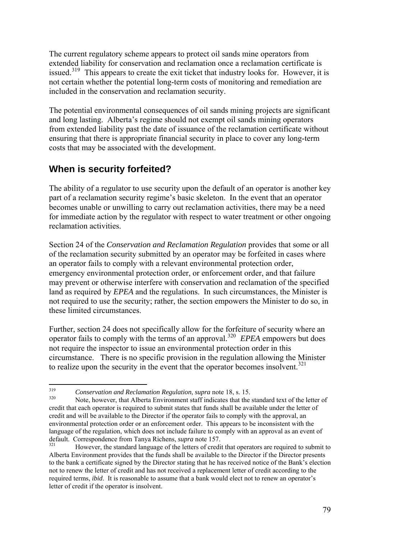The current regulatory scheme appears to protect oil sands mine operators from extended liability for conservation and reclamation once a reclamation certificate is issued.<sup>[319](#page-78-0)</sup> This appears to create the exit ticket that industry looks for. However, it is not certain whether the potential long-term costs of monitoring and remediation are included in the conservation and reclamation security.

The potential environmental consequences of oil sands mining projects are significant and long lasting. Alberta's regime should not exempt oil sands mining operators from extended liability past the date of issuance of the reclamation certificate without ensuring that there is appropriate financial security in place to cover any long-term costs that may be associated with the development.

## **When is security forfeited?**

The ability of a regulator to use security upon the default of an operator is another key part of a reclamation security regime's basic skeleton. In the event that an operator becomes unable or unwilling to carry out reclamation activities, there may be a need for immediate action by the regulator with respect to water treatment or other ongoing reclamation activities.

Section 24 of the *Conservation and Reclamation Regulation* provides that some or all of the reclamation security submitted by an operator may be forfeited in cases where an operator fails to comply with a relevant environmental protection order, emergency environmental protection order, or enforcement order, and that failure may prevent or otherwise interfere with conservation and reclamation of the specified land as required by *EPEA* and the regulations. In such circumstances, the Minister is not required to use the security; rather, the section empowers the Minister to do so, in these limited circumstances.

Further, section 24 does not specifically allow for the forfeiture of security where an operator fails to comply with the terms of an approval.[320](#page-78-1) *EPEA* empowers but does not require the inspector to issue an environmental protection order in this circumstance. There is no specific provision in the regulation allowing the Minister to realize upon the security in the event that the operator becomes insolvent.<sup>[321](#page-78-2)</sup>

<span id="page-78-0"></span><sup>319</sup> 319 *Conservation and Reclamation Regulation*, *supra* note 18, s. 15.

<span id="page-78-1"></span>Note, however, that Alberta Environment staff indicates that the standard text of the letter of credit that each operator is required to submit states that funds shall be available under the letter of credit and will be available to the Director if the operator fails to comply with the approval, an environmental protection order or an enforcement order. This appears to be inconsistent with the language of the regulation, which does not include failure to comply with an approval as an event of default. Correspondence from Tanya Richens, *supra* note 157.

<span id="page-78-2"></span><sup>321</sup> However, the standard language of the letters of credit that operators are required to submit to Alberta Environment provides that the funds shall be available to the Director if the Director presents to the bank a certificate signed by the Director stating that he has received notice of the Bank's election not to renew the letter of credit and has not received a replacement letter of credit according to the required terms, *ibid*. It is reasonable to assume that a bank would elect not to renew an operator's letter of credit if the operator is insolvent.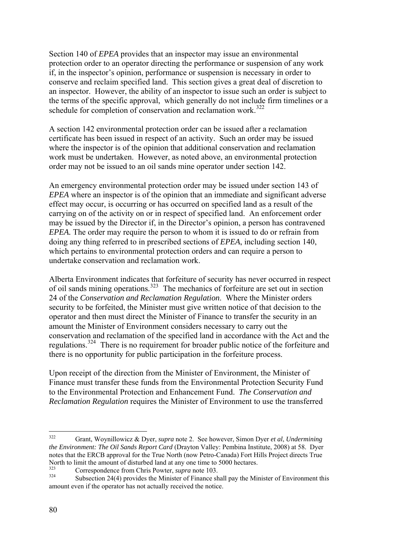Section 140 of *EPEA* provides that an inspector may issue an environmental protection order to an operator directing the performance or suspension of any work if, in the inspector's opinion, performance or suspension is necessary in order to conserve and reclaim specified land. This section gives a great deal of discretion to an inspector. However, the ability of an inspector to issue such an order is subject to the terms of the specific approval, which generally do not include firm timelines or a schedule for completion of conservation and reclamation work.<sup>[322](#page-79-0)</sup>

A section 142 environmental protection order can be issued after a reclamation certificate has been issued in respect of an activity. Such an order may be issued where the inspector is of the opinion that additional conservation and reclamation work must be undertaken. However, as noted above, an environmental protection order may not be issued to an oil sands mine operator under section 142.

An emergency environmental protection order may be issued under section 143 of *EPEA* where an inspector is of the opinion that an immediate and significant adverse effect may occur, is occurring or has occurred on specified land as a result of the carrying on of the activity on or in respect of specified land. An enforcement order may be issued by the Director if, in the Director's opinion, a person has contravened *EPEA.* The order may require the person to whom it is issued to do or refrain from doing any thing referred to in prescribed sections of *EPEA*, including section 140, which pertains to environmental protection orders and can require a person to undertake conservation and reclamation work.

Alberta Environment indicates that forfeiture of security has never occurred in respect of oil sands mining operations.[323](#page-79-1) The mechanics of forfeiture are set out in section 24 of the *Conservation and Reclamation Regulation*. Where the Minister orders security to be forfeited, the Minister must give written notice of that decision to the operator and then must direct the Minister of Finance to transfer the security in an amount the Minister of Environment considers necessary to carry out the conservation and reclamation of the specified land in accordance with the Act and the regulations.[324](#page-79-2) There is no requirement for broader public notice of the forfeiture and there is no opportunity for public participation in the forfeiture process.

Upon receipt of the direction from the Minister of Environment, the Minister of Finance must transfer these funds from the Environmental Protection Security Fund to the Environmental Protection and Enhancement Fund. *The Conservation and Reclamation Regulation* requires the Minister of Environment to use the transferred

<span id="page-79-0"></span> $322$ 322 Grant, Woynillowicz & Dyer, *supra* note 2. See however, Simon Dyer *et al*, *Undermining the Environment: The Oil Sands Report Card* (Drayton Valley: Pembina Institute, 2008) at 58. Dyer notes that the ERCB approval for the True North (now Petro-Canada) Fort Hills Project directs True North to limit the amount of disturbed land at any one time to 5000 hectares.

<span id="page-79-1"></span><sup>&</sup>lt;sup>323</sup><br>Correspondence from Chris Powter, *supra* note 103.<br>Subsection 24(4) provides the Minister of Finance ch

<span id="page-79-2"></span>Subsection 24(4) provides the Minister of Finance shall pay the Minister of Environment this amount even if the operator has not actually received the notice.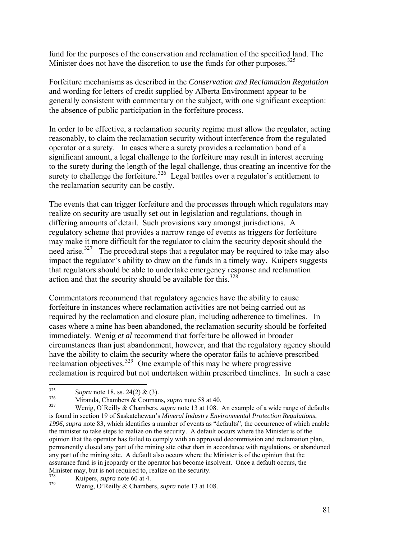fund for the purposes of the conservation and reclamation of the specified land. The Minister does not have the discretion to use the funds for other purposes.<sup>[325](#page-80-0)</sup>

Forfeiture mechanisms as described in the *Conservation and Reclamation Regulation* and wording for letters of credit supplied by Alberta Environment appear to be generally consistent with commentary on the subject, with one significant exception: the absence of public participation in the forfeiture process.

In order to be effective, a reclamation security regime must allow the regulator, acting reasonably, to claim the reclamation security without interference from the regulated operator or a surety. In cases where a surety provides a reclamation bond of a significant amount, a legal challenge to the forfeiture may result in interest accruing to the surety during the length of the legal challenge, thus creating an incentive for the surety to challenge the forfeiture.<sup>[326](#page-80-1)</sup> Legal battles over a regulator's entitlement to the reclamation security can be costly.

The events that can trigger forfeiture and the processes through which regulators may realize on security are usually set out in legislation and regulations, though in differing amounts of detail. Such provisions vary amongst jurisdictions. A regulatory scheme that provides a narrow range of events as triggers for forfeiture may make it more difficult for the regulator to claim the security deposit should the need arise.<sup>[327](#page-80-2)</sup> The procedural steps that a regulator may be required to take may also impact the regulator's ability to draw on the funds in a timely way. Kuipers suggests that regulators should be able to undertake emergency response and reclamation action and that the security should be available for this.<sup>[328](#page-80-3)</sup>

Commentators recommend that regulatory agencies have the ability to cause forfeiture in instances where reclamation activities are not being carried out as required by the reclamation and closure plan, including adherence to timelines. In cases where a mine has been abandoned, the reclamation security should be forfeited immediately. Wenig *et al* recommend that forfeiture be allowed in broader circumstances than just abandonment, however, and that the regulatory agency should have the ability to claim the security where the operator fails to achieve prescribed reclamation objectives.<sup>[329](#page-80-4)</sup> One example of this may be where progressive reclamation is required but not undertaken within prescribed timelines. In such a case

<span id="page-80-0"></span><sup>325</sup>  $\frac{325}{326}$  Supra note 18, ss. 24(2) & (3).

<span id="page-80-1"></span><sup>326</sup> Miranda, Chambers & Coumans*, supra* note 58 at 40.

<span id="page-80-2"></span><sup>327</sup> Wenig, O'Reilly & Chambers, *supra* note 13 at 108. An example of a wide range of defaults is found in section 19 of Saskatchewan's *Mineral Industry Environmental Protection Regulations*, *1996, supra* note 83, which identifies a number of events as "defaults", the occurrence of which enable the minister to take steps to realize on the security. A default occurs where the Minister is of the opinion that the operator has failed to comply with an approved decommission and reclamation plan, permanently closed any part of the mining site other than in accordance with regulations, or abandoned any part of the mining site. A default also occurs where the Minister is of the opinion that the assurance fund is in jeopardy or the operator has become insolvent. Once a default occurs, the Minister may, but is not required to, realize on the security.<br> $V_{\text{min,mean, current,} \ge 0}$  at  $A$ .

<span id="page-80-4"></span><span id="page-80-3"></span> $\frac{328}{329}$  Kuipers, *supra* note 60 at 4.

<sup>329</sup> Wenig, O'Reilly & Chambers, *supra* note 13 at 108.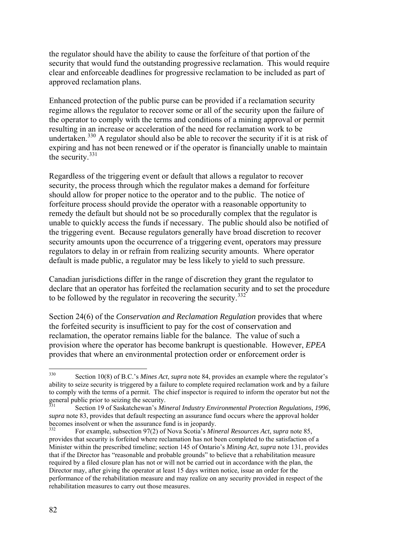the regulator should have the ability to cause the forfeiture of that portion of the security that would fund the outstanding progressive reclamation. This would require clear and enforceable deadlines for progressive reclamation to be included as part of approved reclamation plans.

Enhanced protection of the public purse can be provided if a reclamation security regime allows the regulator to recover some or all of the security upon the failure of the operator to comply with the terms and conditions of a mining approval or permit resulting in an increase or acceleration of the need for reclamation work to be undertaken.<sup>[330](#page-81-0)</sup> A regulator should also be able to recover the security if it is at risk of expiring and has not been renewed or if the operator is financially unable to maintain the security. $331$ 

Regardless of the triggering event or default that allows a regulator to recover security, the process through which the regulator makes a demand for forfeiture should allow for proper notice to the operator and to the public. The notice of forfeiture process should provide the operator with a reasonable opportunity to remedy the default but should not be so procedurally complex that the regulator is unable to quickly access the funds if necessary. The public should also be notified of the triggering event. Because regulators generally have broad discretion to recover security amounts upon the occurrence of a triggering event, operators may pressure regulators to delay in or refrain from realizing security amounts. Where operator default is made public, a regulator may be less likely to yield to such pressure.

Canadian jurisdictions differ in the range of discretion they grant the regulator to declare that an operator has forfeited the reclamation security and to set the procedure to be followed by the regulator in recovering the security.  $332$ 

Section 24(6) of the *Conservation and Reclamation Regulation* provides that where the forfeited security is insufficient to pay for the cost of conservation and reclamation, the operator remains liable for the balance. The value of such a provision where the operator has become bankrupt is questionable. However, *EPEA* provides that where an environmental protection order or enforcement order is

<span id="page-81-0"></span><sup>330</sup> Section 10(8) of B.C.'s *Mines Act*, *supra* note 84, provides an example where the regulator's ability to seize security is triggered by a failure to complete required reclamation work and by a failure to comply with the terms of a permit. The chief inspector is required to inform the operator but not the general public prior to seizing the security.

<span id="page-81-1"></span><sup>331</sup> Section 19 of Saskatchewan's *Mineral Industry Environmental Protection Regulations, 1996*, *supra* note 83, provides that default respecting an assurance fund occurs where the approval holder becomes insolvent or when the assurance fund is in jeopardy.<br>
See sure the assurance fund is in jeopardy.

<span id="page-81-2"></span><sup>332</sup> For example, subsection 97(2) of Nova Scotia's *Mineral Resources Act*, *supra* note 85, provides that security is forfeited where reclamation has not been completed to the satisfaction of a Minister within the prescribed timeline; section 145 of Ontario's *Mining Act*, *supra* note 131, provides that if the Director has "reasonable and probable grounds" to believe that a rehabilitation measure required by a filed closure plan has not or will not be carried out in accordance with the plan, the Director may, after giving the operator at least 15 days written notice, issue an order for the performance of the rehabilitation measure and may realize on any security provided in respect of the rehabilitation measures to carry out those measures.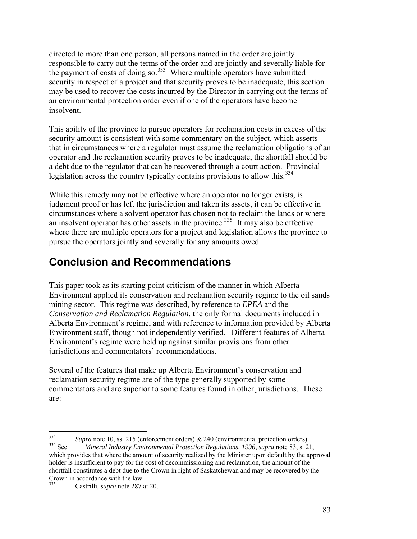directed to more than one person, all persons named in the order are jointly responsible to carry out the terms of the order and are jointly and severally liable for the payment of costs of doing so. $^{333}$  $^{333}$  $^{333}$  Where multiple operators have submitted security in respect of a project and that security proves to be inadequate, this section may be used to recover the costs incurred by the Director in carrying out the terms of an environmental protection order even if one of the operators have become insolvent.

This ability of the province to pursue operators for reclamation costs in excess of the security amount is consistent with some commentary on the subject, which asserts that in circumstances where a regulator must assume the reclamation obligations of an operator and the reclamation security proves to be inadequate, the shortfall should be a debt due to the regulator that can be recovered through a court action. Provincial legislation across the country typically contains provisions to allow this.<sup>[334](#page-82-1)</sup>

While this remedy may not be effective where an operator no longer exists, is judgment proof or has left the jurisdiction and taken its assets, it can be effective in circumstances where a solvent operator has chosen not to reclaim the lands or where an insolvent operator has other assets in the province.<sup>[335](#page-82-2)</sup> It may also be effective where there are multiple operators for a project and legislation allows the province to pursue the operators jointly and severally for any amounts owed.

# **Conclusion and Recommendations**

This paper took as its starting point criticism of the manner in which Alberta Environment applied its conservation and reclamation security regime to the oil sands mining sector. This regime was described, by reference to *EPEA* and the *Conservation and Reclamation Regulation*, the only formal documents included in Alberta Environment's regime, and with reference to information provided by Alberta Environment staff, though not independently verified. Different features of Alberta Environment's regime were held up against similar provisions from other jurisdictions and commentators' recommendations.

Several of the features that make up Alberta Environment's conservation and reclamation security regime are of the type generally supported by some commentators and are superior to some features found in other jurisdictions. These are:

<span id="page-82-1"></span><span id="page-82-0"></span><sup>333</sup> <sup>333</sup> *Supra* note 10, ss. 215 (enforcement orders) & 240 (environmental protection orders).<br><sup>334</sup> See *Mineral Industry Environmental Protection Regulations, 1996, supra* note 83, s. 21 334 See *Mineral Industry Environmental Protection Regulations, 1996*, *supra* note 83, s. 21, which provides that where the amount of security realized by the Minister upon default by the approval holder is insufficient to pay for the cost of decommissioning and reclamation, the amount of the shortfall constitutes a debt due to the Crown in right of Saskatchewan and may be recovered by the Crown in accordance with the law.

<span id="page-82-2"></span><sup>335</sup> Castrilli, *supra* note 287 at 20.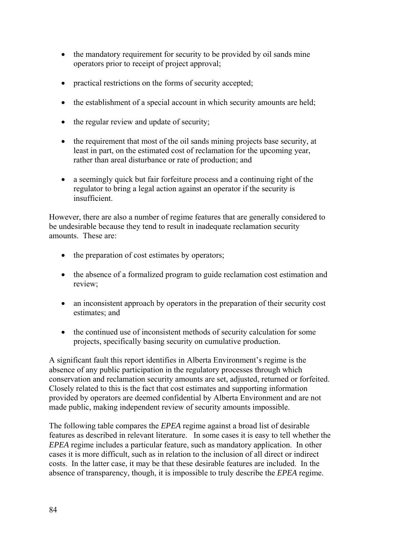- the mandatory requirement for security to be provided by oil sands mine operators prior to receipt of project approval;
- practical restrictions on the forms of security accepted;
- the establishment of a special account in which security amounts are held;
- the regular review and update of security;
- the requirement that most of the oil sands mining projects base security, at least in part, on the estimated cost of reclamation for the upcoming year, rather than areal disturbance or rate of production; and
- a seemingly quick but fair forfeiture process and a continuing right of the regulator to bring a legal action against an operator if the security is insufficient.

However, there are also a number of regime features that are generally considered to be undesirable because they tend to result in inadequate reclamation security amounts. These are:

- the preparation of cost estimates by operators;
- the absence of a formalized program to guide reclamation cost estimation and review;
- an inconsistent approach by operators in the preparation of their security cost estimates; and
- the continued use of inconsistent methods of security calculation for some projects, specifically basing security on cumulative production.

A significant fault this report identifies in Alberta Environment's regime is the absence of any public participation in the regulatory processes through which conservation and reclamation security amounts are set, adjusted, returned or forfeited. Closely related to this is the fact that cost estimates and supporting information provided by operators are deemed confidential by Alberta Environment and are not made public, making independent review of security amounts impossible.

The following table compares the *EPEA* regime against a broad list of desirable features as described in relevant literature. In some cases it is easy to tell whether the *EPEA* regime includes a particular feature, such as mandatory application. In other cases it is more difficult, such as in relation to the inclusion of all direct or indirect costs. In the latter case, it may be that these desirable features are included. In the absence of transparency, though, it is impossible to truly describe the *EPEA* regime.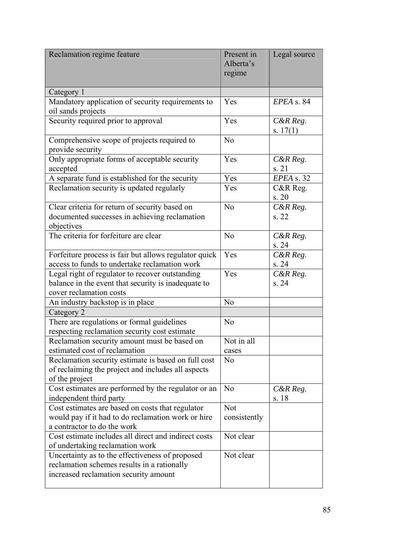| Reclamation regime feature                                                                                                              | Present in<br>Alberta's<br>regime | Legal source                |
|-----------------------------------------------------------------------------------------------------------------------------------------|-----------------------------------|-----------------------------|
| Category 1                                                                                                                              |                                   |                             |
| Mandatory application of security requirements to<br>oil sands projects                                                                 | Yes                               | EPEA s. 84                  |
| Security required prior to approval                                                                                                     | Yes                               | $C\&R$ $Reg.$<br>s. $17(1)$ |
| Comprehensive scope of projects required to<br>provide security                                                                         | N <sub>o</sub>                    |                             |
| Only appropriate forms of acceptable security<br>accepted                                                                               | Yes                               | $C\&R$ $Reg.$<br>s. 21      |
| A separate fund is established for the security                                                                                         | Yes                               | EPEA s. 32                  |
| Reclamation security is updated regularly                                                                                               | Yes                               | $C&R$ Reg.<br>s. 20         |
| Clear criteria for return of security based on<br>documented successes in achieving reclamation<br>objectives                           | N <sub>0</sub>                    | $C\&R$ Reg.<br>s. 22        |
| The criteria for forfeiture are clear                                                                                                   | N <sub>o</sub>                    | $C\&R$ Reg.<br>s. 24        |
| Forfeiture process is fair but allows regulator quick<br>access to funds to undertake reclamation work                                  | Yes                               | $C\&R$ $Reg.$<br>s. 24      |
| Legal right of regulator to recover outstanding<br>balance in the event that security is inadequate to<br>cover reclamation costs       | Yes                               | $C\&R$ $Reg.$<br>s. 24      |
| An industry backstop is in place                                                                                                        | N <sub>o</sub>                    |                             |
| Category 2                                                                                                                              |                                   |                             |
| There are regulations or formal guidelines<br>respecting reclamation security cost estimate                                             | N <sub>0</sub>                    |                             |
| Reclamation security amount must be based on<br>estimated cost of reclamation                                                           | Not in all<br>cases               |                             |
| Reclamation security estimate is based on full cost<br>of reclaiming the project and includes all aspects<br>of the project             | N <sub>0</sub>                    |                             |
| Cost estimates are performed by the regulator or an<br>independent third party                                                          | N <sub>o</sub>                    | $C\&R$ Reg.<br>s. 18        |
| Cost estimates are based on costs that regulator<br>would pay if it had to do reclamation work or hire<br>a contractor to do the work   | Not<br>consistently               |                             |
| Cost estimate includes all direct and indirect costs<br>of undertaking reclamation work                                                 | Not clear                         |                             |
| Uncertainty as to the effectiveness of proposed<br>reclamation schemes results in a rationally<br>increased reclamation security amount | Not clear                         |                             |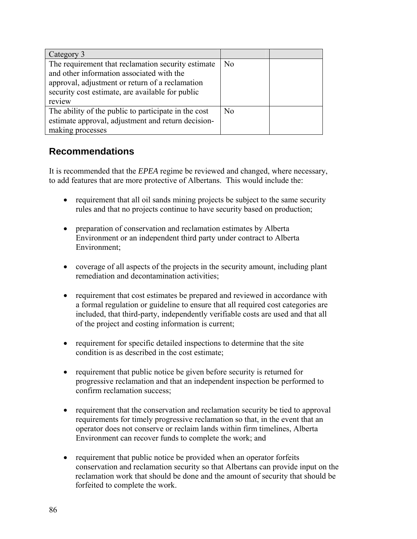| Category 3                                           |                |  |
|------------------------------------------------------|----------------|--|
| The requirement that reclamation security estimate   | N <sub>0</sub> |  |
| and other information associated with the            |                |  |
| approval, adjustment or return of a reclamation      |                |  |
| security cost estimate, are available for public     |                |  |
| review                                               |                |  |
| The ability of the public to participate in the cost | No             |  |
| estimate approval, adjustment and return decision-   |                |  |
| making processes                                     |                |  |

### **Recommendations**

It is recommended that the *EPEA* regime be reviewed and changed, where necessary, to add features that are more protective of Albertans. This would include the:

- requirement that all oil sands mining projects be subject to the same security rules and that no projects continue to have security based on production;
- preparation of conservation and reclamation estimates by Alberta Environment or an independent third party under contract to Alberta Environment;
- coverage of all aspects of the projects in the security amount, including plant remediation and decontamination activities;
- requirement that cost estimates be prepared and reviewed in accordance with a formal regulation or guideline to ensure that all required cost categories are included, that third-party, independently verifiable costs are used and that all of the project and costing information is current;
- requirement for specific detailed inspections to determine that the site condition is as described in the cost estimate;
- requirement that public notice be given before security is returned for progressive reclamation and that an independent inspection be performed to confirm reclamation success;
- requirement that the conservation and reclamation security be tied to approval requirements for timely progressive reclamation so that, in the event that an operator does not conserve or reclaim lands within firm timelines, Alberta Environment can recover funds to complete the work; and
- requirement that public notice be provided when an operator forfeits conservation and reclamation security so that Albertans can provide input on the reclamation work that should be done and the amount of security that should be forfeited to complete the work.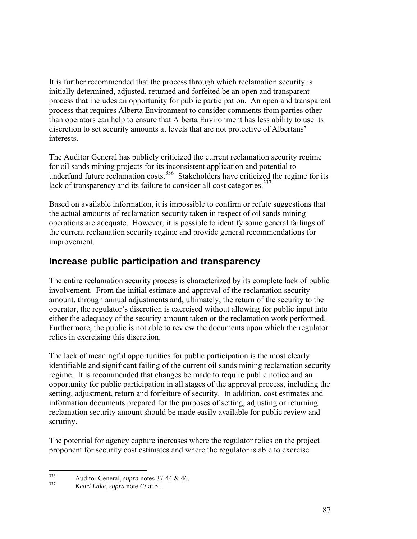It is further recommended that the process through which reclamation security is initially determined, adjusted, returned and forfeited be an open and transparent process that includes an opportunity for public participation. An open and transparent process that requires Alberta Environment to consider comments from parties other than operators can help to ensure that Alberta Environment has less ability to use its discretion to set security amounts at levels that are not protective of Albertans' interests.

The Auditor General has publicly criticized the current reclamation security regime for oil sands mining projects for its inconsistent application and potential to underfund future reclamation costs. $336$  Stakeholders have criticized the regime for its lack of transparency and its failure to consider all cost categories.<sup>[337](#page-86-1)</sup>

Based on available information, it is impossible to confirm or refute suggestions that the actual amounts of reclamation security taken in respect of oil sands mining operations are adequate. However, it is possible to identify some general failings of the current reclamation security regime and provide general recommendations for improvement.

### **Increase public participation and transparency**

The entire reclamation security process is characterized by its complete lack of public involvement. From the initial estimate and approval of the reclamation security amount, through annual adjustments and, ultimately, the return of the security to the operator, the regulator's discretion is exercised without allowing for public input into either the adequacy of the security amount taken or the reclamation work performed. Furthermore, the public is not able to review the documents upon which the regulator relies in exercising this discretion.

The lack of meaningful opportunities for public participation is the most clearly identifiable and significant failing of the current oil sands mining reclamation security regime. It is recommended that changes be made to require public notice and an opportunity for public participation in all stages of the approval process, including the setting, adjustment, return and forfeiture of security. In addition, cost estimates and information documents prepared for the purposes of setting, adjusting or returning reclamation security amount should be made easily available for public review and scrutiny.

The potential for agency capture increases where the regulator relies on the project proponent for security cost estimates and where the regulator is able to exercise

<span id="page-86-1"></span><span id="page-86-0"></span><sup>336</sup>  $\frac{336}{337}$  Auditor General, *supra* notes 37-44 & 46.

<sup>337</sup> *Kearl Lake*, *supra* note 47 at 51.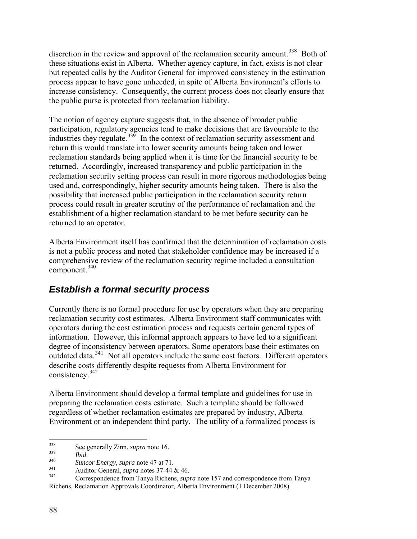discretion in the review and approval of the reclamation security amount.<sup>[338](#page-87-0)</sup> Both of these situations exist in Alberta. Whether agency capture, in fact, exists is not clear but repeated calls by the Auditor General for improved consistency in the estimation process appear to have gone unheeded, in spite of Alberta Environment's efforts to increase consistency. Consequently, the current process does not clearly ensure that the public purse is protected from reclamation liability.

The notion of agency capture suggests that, in the absence of broader public participation, regulatory agencies tend to make decisions that are favourable to the industries they regulate.<sup>[339](#page-87-1)</sup> In the context of reclamation security assessment and return this would translate into lower security amounts being taken and lower reclamation standards being applied when it is time for the financial security to be returned. Accordingly, increased transparency and public participation in the reclamation security setting process can result in more rigorous methodologies being used and, correspondingly, higher security amounts being taken. There is also the possibility that increased public participation in the reclamation security return process could result in greater scrutiny of the performance of reclamation and the establishment of a higher reclamation standard to be met before security can be returned to an operator.

Alberta Environment itself has confirmed that the determination of reclamation costs is not a public process and noted that stakeholder confidence may be increased if a comprehensive review of the reclamation security regime included a consultation component.<sup>[340](#page-87-2)</sup>

### *Establish a formal security process*

Currently there is no formal procedure for use by operators when they are preparing reclamation security cost estimates. Alberta Environment staff communicates with operators during the cost estimation process and requests certain general types of information. However, this informal approach appears to have led to a significant degree of inconsistency between operators. Some operators base their estimates on outdated data.[341](#page-87-3) Not all operators include the same cost factors. Different operators describe costs differently despite requests from Alberta Environment for consistency.[342](#page-87-4)

Alberta Environment should develop a formal template and guidelines for use in preparing the reclamation costs estimate. Such a template should be followed regardless of whether reclamation estimates are prepared by industry, Alberta Environment or an independent third party. The utility of a formalized process is

<span id="page-87-0"></span><sup>338</sup>  $\frac{338}{339}$  See generally Zinn, *supra* note 16.

<span id="page-87-2"></span><span id="page-87-1"></span><sup>339</sup>*Ibid*. 340 *Suncor Energy*, *supra* note 47 at 71.

<span id="page-87-3"></span><sup>341</sup> Auditor General, *supra* notes 37-44 & 46.

<span id="page-87-4"></span>Correspondence from Tanya Richens, *supra* note 157 and correspondence from Tanya Richens, Reclamation Approvals Coordinator, Alberta Environment (1 December 2008).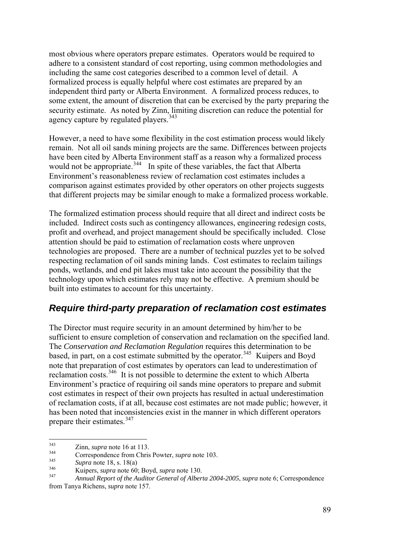most obvious where operators prepare estimates. Operators would be required to adhere to a consistent standard of cost reporting, using common methodologies and including the same cost categories described to a common level of detail. A formalized process is equally helpful where cost estimates are prepared by an independent third party or Alberta Environment. A formalized process reduces, to some extent, the amount of discretion that can be exercised by the party preparing the security estimate. As noted by Zinn, limiting discretion can reduce the potential for agency capture by regulated players.<sup>[343](#page-88-0)</sup>

However, a need to have some flexibility in the cost estimation process would likely remain. Not all oil sands mining projects are the same. Differences between projects have been cited by Alberta Environment staff as a reason why a formalized process would not be appropriate.<sup>[344](#page-88-1)</sup> In spite of these variables, the fact that Alberta Environment's reasonableness review of reclamation cost estimates includes a comparison against estimates provided by other operators on other projects suggests that different projects may be similar enough to make a formalized process workable.

The formalized estimation process should require that all direct and indirect costs be included. Indirect costs such as contingency allowances, engineering redesign costs, profit and overhead, and project management should be specifically included. Close attention should be paid to estimation of reclamation costs where unproven technologies are proposed. There are a number of technical puzzles yet to be solved respecting reclamation of oil sands mining lands. Cost estimates to reclaim tailings ponds, wetlands, and end pit lakes must take into account the possibility that the technology upon which estimates rely may not be effective. A premium should be built into estimates to account for this uncertainty.

### *Require third-party preparation of reclamation cost estimates*

The Director must require security in an amount determined by him/her to be sufficient to ensure completion of conservation and reclamation on the specified land. The *Conservation and Reclamation Regulation* requires this determination to be based, in part, on a cost estimate submitted by the operator.<sup>[345](#page-88-2)</sup> Kuipers and Boyd note that preparation of cost estimates by operators can lead to underestimatio n of reclamation costs.<sup>[346](#page-88-3)</sup> It is not possible to determine the extent to which Alberta Environment's practice of requiring oil sands mine operators to prepare and submit cost estimates in respect of their own projects has resulted in actual underestimation of reclamation costs, if at all, because cost estimates are not made public; however, it has been noted that inconsistencies exist in the manner in which different operators prepare their estimates.<sup>[347](#page-88-4)</sup>

<span id="page-88-0"></span><sup>343</sup>  $\frac{343}{344}$  Zinn, *supra* note 16 at 113.

<span id="page-88-1"></span><sup>&</sup>lt;sup>344</sup> Correspondence from Chris Powter, *supra* note 103.

<span id="page-88-2"></span><sup>345</sup> *Supra* note 18, s. 18(a)

<span id="page-88-3"></span><sup>346</sup> Kuipers, *supra* note 60; Boyd, *supra* note 130.

<span id="page-88-4"></span><sup>347</sup> *Annual Report of the Auditor General of Alberta 2004-2005*, *supra* note 6; Correspondence from Tanya Richens, *supra* note 157.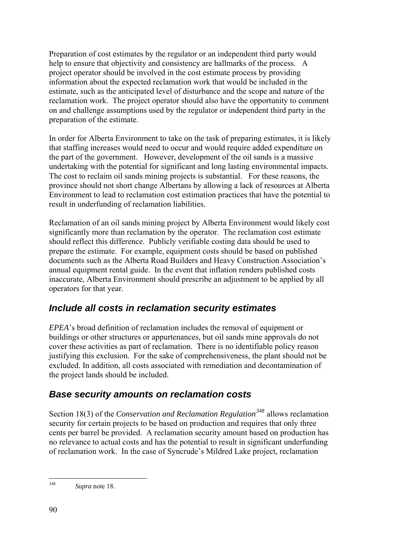Preparation of cost estimates by the regulator or an independent third party would help to ensure that objectivity and consistency are hallmarks of the process. A project operator should be involved in the cost estimate process by providing information about the expected reclamation work that would be included in the estimate, such as the anticipated level of disturbance and the scope and nature of the reclamation work. The project operator should also have the opportunity to comment on and challenge assumptions used by the regulator or independent third party in the preparation of the estimate.

In order for Alberta Environment to take on the task of preparing estimates, it is likely that staffing increases would need to occur and would require added expenditure on the part of the government. However, development of the oil sands is a massive undertaking with the potential for significant and long lasting environmental impacts. The cost to reclaim oil sands mining projects is substantial. For these reasons, the province should not short change Albertans by allowing a lack of resources at Alberta Environment to lead to reclamation cost estimation practices that have the potential to result in underfunding of reclamation liabilities.

Reclamation of an oil sands mining project by Alberta Environment would likely cost significantly more than reclamation by the operator. The reclamation cost estimate should reflect this difference. Publicly verifiable costing data should be used to prepare the estimate. For example, equipment costs should be based on published documents such as the Alberta Road Builders and Heavy Construction Association's annual equipment rental guide. In the event that inflation renders published costs inaccurate, Alberta Environment should prescribe an adjustment to be applied by all operators for that year.

### *Include all costs in reclamation security estimates*

*EPEA*'s broad definition of reclamation includes the removal of equipment or buildings or other structures or appurtenances, but oil sands mine approvals do not cover these activities as part of reclamation. There is no identifiable policy reason justifying this exclusion. For the sake of comprehensiveness, the plant should not be excluded. In addition, all costs associated with remediation and decontamination of the project lands should be included.

### *Base security amounts on reclamation costs*

Section 18(3) of the *Conservation and Reclamation Regulation[348](#page-89-0)* allows reclamation security for certain projects to be based on production and requires that only three cents per barrel be provided. A reclamation security amount based on production has no relevance to actual costs and has the potential to result in significant underfunding of reclamation work. In the case of Syncrude's Mildred Lake project, reclamation

<span id="page-89-0"></span><sup>348</sup> Supra note 18.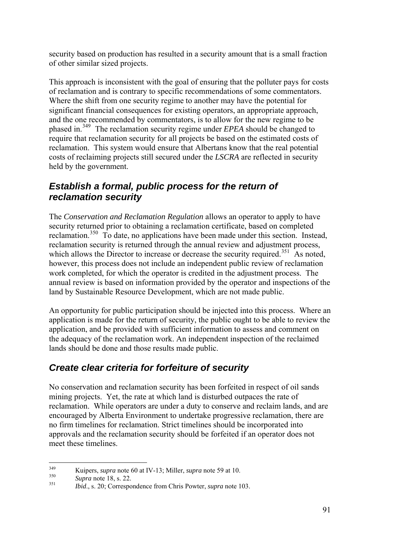security based on production has resulted in a security amount that is a small fraction of other similar sized projects.

This approach is inconsistent with the goal of ensuring that the polluter pays for costs of reclamation and is contrary to specific recommendations of some commentators. Where the shift from one security regime to another may have the potential for significant financial consequences for existing operators, an appropriate approach, and the one recommended by commentators, is to allow for the new regime to be phased in.[349](#page-90-0) The reclamation security regime under *EPEA* should be changed to require that reclamation security for all projects be based on the estimated costs of reclamation. This system would ensure that Albertans know that the real potential costs of reclaiming projects still secured under the *LSCRA* are reflected in security held by the government.

#### *Establish a formal, public process for the return of reclamation security*

The *Conservation and Reclamation Regulation* allows an operator to apply to have security returned prior to obtaining a reclamation certificate, based on completed reclamation.<sup>[350](#page-90-1)</sup> To date, no applications have been made under this section. Instead, reclamation security is returned through the annual review and adjustment process, which allows the Director to increase or decrease the security required.<sup>[351](#page-90-2)</sup> As noted, however, this process does not include an independent public review of reclamation work completed, for which the operator is credited in the adjustment process. The annual review is based on information provided by the operator and inspections of the land by Sustainable Resource Development, which are not made public.

An opportunity for public participation should be injected into this process. Where an application is made for the return of security, the public ought to be able to review the application, and be provided with sufficient information to assess and comment on the adequacy of the reclamation work. An independent inspection of the reclaimed lands should be done and those results made public.

# *Create clear criteria for forfeiture of security*

No conservation and reclamation security has been forfeited in respect of oil sands mining projects. Yet, the rate at which land is disturbed outpaces the rate of reclamation. While operators are under a duty to conserve and reclaim lands, and are encouraged by Alberta Environment to undertake progressive reclamation, there are no firm timelines for reclamation. Strict timelines should be incorporated into approvals and the reclamation security should be forfeited if an operator does not meet these timelines.

<span id="page-90-0"></span><sup>349</sup> 349 Kuipers, *supra* note 60 at IV-13; Miller, *supra* note 59 at 10.

<span id="page-90-1"></span> $\frac{350}{351}$  *Supra* note 18, s. 22.

<span id="page-90-2"></span><sup>351</sup> *Ibid*., s. 20; Correspondence from Chris Powter, *supra* note 103.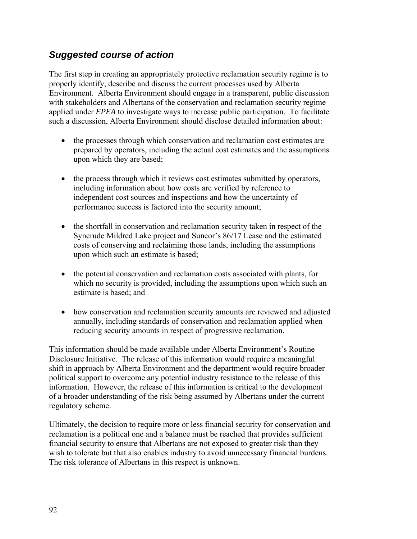#### *Suggested course of action*

The first step in creating an appropriately protective reclamation security regime is to properly identify, describe and discuss the current processes used by Alberta Environment. Alberta Environment should engage in a transparent, public discussion with stakeholders and Albertans of the conservation and reclamation security regime applied under *EPEA* to investigate ways to increase public participation. To facilitate such a discussion, Alberta Environment should disclose detailed information about:

- the processes through which conservation and reclamation cost estimates are prepared by operators, including the actual cost estimates and the assumptions upon which they are based;
- the process through which it reviews cost estimates submitted by operators, including information about how costs are verified by reference to independent cost sources and inspections and how the uncertainty of performance success is factored into the security amount;
- the shortfall in conservation and reclamation security taken in respect of the Syncrude Mildred Lake project and Suncor's 86/17 Lease and the estimated costs of conserving and reclaiming those lands, including the assumptions upon which such an estimate is based;
- the potential conservation and reclamation costs associated with plants, for which no security is provided, including the assumptions upon which such an estimate is based; and
- how conservation and reclamation security amounts are reviewed and adjusted annually, including standards of conservation and reclamation applied when reducing security amounts in respect of progressive reclamation.

This information should be made available under Alberta Environment's Routine Disclosure Initiative. The release of this information would require a meaningful shift in approach by Alberta Environment and the department would require broader political support to overcome any potential industry resistance to the release of this information. However, the release of this information is critical to the development of a broader understanding of the risk being assumed by Albertans under the current regulatory scheme.

Ultimately, the decision to require more or less financial security for conservation and reclamation is a political one and a balance must be reached that provides sufficient financial security to ensure that Albertans are not exposed to greater risk than they wish to tolerate but that also enables industry to avoid unnecessary financial burdens. The risk tolerance of Albertans in this respect is unknown.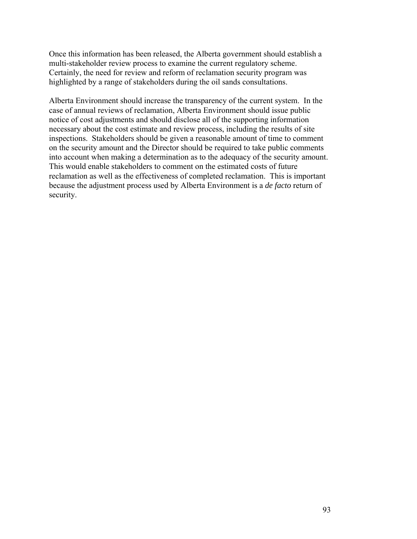Once this information has been released, the Alberta government should establish a multi-stakeholder review process to examine the current regulatory scheme. Certainly, the need for review and reform of reclamation security program was highlighted by a range of stakeholders during the oil sands consultations.

Alberta Environment should increase the transparency of the current system. In the case of annual reviews of reclamation, Alberta Environment should issue public notice of cost adjustments and should disclose all of the supporting information necessary about the cost estimate and review process, including the results of site inspections. Stakeholders should be given a reasonable amount of time to comment on the security amount and the Director should be required to take public comments into account when making a determination as to the adequacy of the security amount. This would enable stakeholders to comment on the estimated costs of future reclamation as well as the effectiveness of completed reclamation. This is important because the adjustment process used by Alberta Environment is a *de facto* return of security.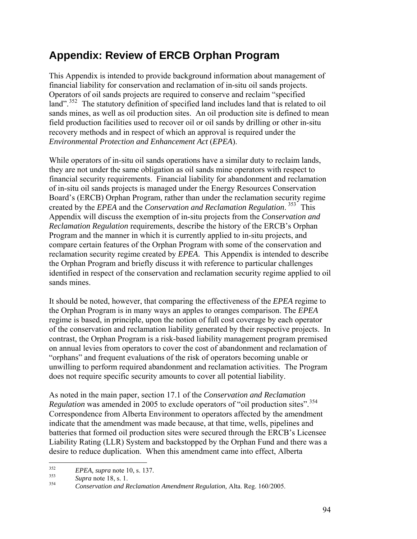# **Appendix: Review of ERCB Orphan Program**

This Appendix is intended to provide background information about management of financial liability for conservation and reclamation of in-situ oil sands projects. Operators of oil sands projects are required to conserve and reclaim "specified land".<sup>[352](#page-93-0)</sup> The statutory definition of specified land includes land that is related to oil sands mines, as well as oil production sites. An oil production site is defined to mean field production facilities used to recover oil or oil sands by drilling or other in-situ recovery methods and in respect of which an approval is required under the *Environmental Protection and Enhancement Act* (*EPEA*).

While operators of in-situ oil sands operations have a similar duty to reclaim lands, they are not under the same obligation as oil sands mine operators with respect to financial security requirements. Financial liability for abandonment and reclamation of in-situ oil sands projects is managed under the Energy Resources Conservation Board's (ERCB) Orphan Program, rather than under the reclamation security regime created by the *EPEA* and the *Conservation and Reclamation Regulation*. [353](#page-93-1) This Appendix will discuss the exemption of in-situ projects from the *Conservation and Reclamation Regulation* requirements, describe the history of the ERCB's Orphan Program and the manner in which it is currently applied to in-situ projects, and compare certain features of the Orphan Program with some of the conservation and reclamation security regime created by *EPEA*. This Appendix is intended to describe the Orphan Program and briefly discuss it with reference to particular challenges identified in respect of the conservation and reclamation security regime applied to oil sands mines.

It should be noted, however, that comparing the effectiveness of the *EPEA* regime to the Orphan Program is in many ways an apples to oranges comparison. The *EPEA* regime is based, in principle, upon the notion of full cost coverage by each operator of the conservation and reclamation liability generated by their respective projects. In contrast, the Orphan Program is a risk-based liability management program premised on annual levies from operators to cover the cost of abandonment and reclamation of "orphans" and frequent evaluations of the risk of operators becoming unable or unwilling to perform required abandonment and reclamation activities. The Program does not require specific security amounts to cover all potential liability.

As noted in the main paper, section 17.1 of the *Conservation and Reclamation Regulation* was amended in 2005 to exclude operators of "oil production sites".<sup>[354](#page-93-2)</sup> Correspondence from Alberta Environment to operators affected by the amendment indicate that the amendment was made because, at that time, wells, pipelines and batteries that formed oil production sites were secured through the ERCB's Licensee Liability Rating (LLR) System and backstopped by the Orphan Fund and there was a desire to reduce duplication. When this amendment came into effect, Alberta

<span id="page-93-0"></span><sup>352</sup>  $352$  *EPEA, supra* note 10, s. 137.

<span id="page-93-2"></span><span id="page-93-1"></span> $\frac{353}{354}$  *Supra* note 18, s. 1.

<sup>354</sup> *Conservation and Reclamation Amendment Regulation,* Alta. Reg. 160/2005.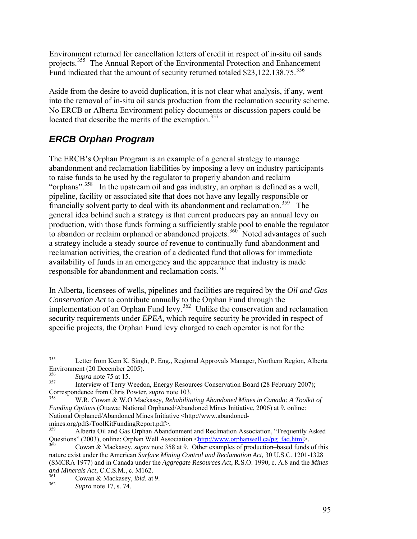Environment returned for cancellation letters of credit in respect of in-situ oil sands projects.[355](#page-94-0) The Annual Report of the Environmental Protection and Enhancement Fund indicated that the amount of security returned totaled \$23,122,138.75.<sup>[356](#page-94-1)</sup>

Aside from the desire to avoid duplication, it is not clear what analysis, if any, went into the removal of in-situ oil sands production from the reclamation security scheme. No ERCB or Alberta Environment policy documents or discussion papers could be located that describe the merits of the exemption.<sup>[357](#page-94-2)</sup>

### *ERCB Orphan Program*

The ERCB's Orphan Program is an example of a general strategy to manage abandonment and reclamation liabilities by imposing a levy on industry participants to raise funds to be used by the regulator to properly abandon and reclaim "orphans".<sup>[358](#page-94-3)</sup> In the upstream oil and gas industry, an orphan is defined as a well, pipeline, facility or associated site that does not have any legally responsible or financially solvent party to deal with its abandonment and reclamation.<sup>[359](#page-94-4)</sup> The general idea behind such a strategy is that current producers pay an annual levy on production, with those funds forming a sufficiently stable pool to enable the regulator to abandon or reclaim orphaned or abandoned projects.<sup>[360](#page-94-5)</sup> Noted advantages of such a strategy include a steady source of revenue to continually fund abandonment and reclamation activities, the creation of a dedicated fund that allows for immediate availability of funds in an emergency and the appearance that industry is made responsible for abandonment and reclamation costs.<sup>[361](#page-94-6)</sup>

In Alberta, licensees of wells, pipelines and facilities are required by the *Oil and Gas Conservation Act* to contribute annually to the Orphan Fund through the implementation of an Orphan Fund levy.<sup>[362](#page-94-7)</sup> Unlike the conservation and reclamation security requirements under *EPEA*, which require security be provided in respect of specific projects, the Orphan Fund levy charged to each operator is not for the

<span id="page-94-0"></span><sup>355</sup> Letter from Kem K. Singh, P. Eng., Regional Approvals Manager, Northern Region, Alberta Environment (20 December 2005).

<span id="page-94-1"></span> $\frac{356}{357}$  *Supra* note 75 at 15.

<span id="page-94-2"></span>Interview of Terry Weedon, Energy Resources Conservation Board (28 February 2007); Correspondence from Chris Powter, *supra* note 103.

<span id="page-94-3"></span><sup>358</sup> W.R. Cowan & W.O Mackasey, *Rehabilitating Abandoned Mines in Canada: A Toolkit of Funding Options* (Ottawa: National Orphaned/Abandoned Mines Initiative, 2006) at 9, online: National Orphaned/Abandoned Mines Initiative <http://www.abandonedmines.org/pdfs/ToolKitFundingReport.pdf>.

<span id="page-94-4"></span><sup>359</sup> Alberta Oil and Gas Orphan Abandonment and Reclmation Association, "Frequently Asked Questions" (2003), online: Orphan Well Association < $\frac{\text{http://www.orphanwell.ca/pg~faq.html}{\text{http://www.orphanwell.ca/pg~faq.html}}$ .

<span id="page-94-5"></span><sup>360</sup> Cowan & Mackasey, *supra* note 358 at 9. Other examples of production–based funds of this nature exist under the American *Surface Mining Control and Reclamation Act,* 30 U.S.C. 1201-1328 (SMCRA 1977) and in Canada under the *Aggregate Resources Act*, R.S.O. 1990, c. A.8 and the *Mines and Minerals Act*, C.C.S.M., c. M162.

<span id="page-94-7"></span><span id="page-94-6"></span> $361$  Cowan & Mackasey, *ibid.* at 9.

<sup>362</sup> *Supra* note 17, s. 74.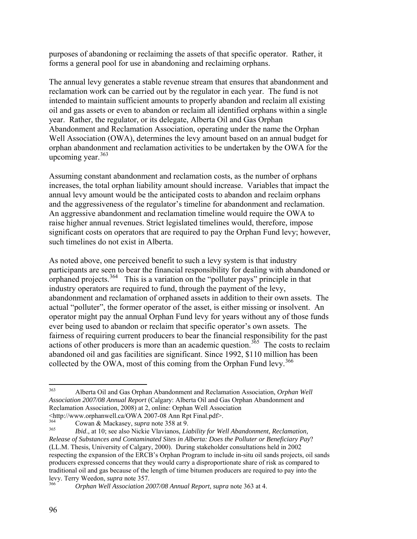purposes of abandoning or reclaiming the assets of that specific operator. Rather, it forms a general pool for use in abandoning and reclaiming orphans.

The annual levy generates a stable revenue stream that ensures that abandonment and reclamation work can be carried out by the regulator in each year. The fund is not intended to maintain sufficient amounts to properly abandon and reclaim all existing oil and gas assets or even to abandon or reclaim all identified orphans within a single year. Rather, the regulator, or its delegate, Alberta Oil and Gas Orphan Abandonment and Reclamation Association, operating under the name the Orphan Well Association (OWA), determines the levy amount based on an annual budget for orphan abandonment and reclamation activities to be undertaken by the OWA for the upcoming year.  $363$ 

Assuming constant abandonment and reclamation costs, as the number of orphans increases, the total orphan liability amount should increase. Variables that impact the annual levy amount would be the anticipated costs to abandon and reclaim orphans and the aggressiveness of the regulator's timeline for abandonment and reclamation. An aggressive abandonment and reclamation timeline would require the OWA to raise higher annual revenues. Strict legislated timelines would, therefore, impose significant costs on operators that are required to pay the Orphan Fund levy; however, such timelines do not exist in Alberta.

As noted above, one perceived benefit to such a levy system is that industry participants are seen to bear the financial responsibility for dealing with abandoned or orphaned projects. $364$  This is a variation on the "polluter pays" principle in that industry operators are required to fund, through the payment of the levy, abandonment and reclamation of orphaned assets in addition to their own assets. The actual "polluter", the former operator of the asset, is either missing or insolvent. An operator might pay the annual Orphan Fund levy for years without any of those funds ever being used to abandon or reclaim that specific operator's own assets. The fairness of requiring current producers to bear the financial responsibility for the past actions of other producers is more than an academic question.<sup>[365](#page-95-2)</sup> The costs to reclaim abandoned oil and gas facilities are significant. Since 1992, \$110 million has been collected by the OWA, most of this coming from the Orphan Fund levy.<sup>[366](#page-95-3)</sup>

<span id="page-95-0"></span><sup>363</sup> 363 Alberta Oil and Gas Orphan Abandonment and Reclamation Association, *Orphan Well Association 2007/08 Annual Report* (Calgary: Alberta Oil and Gas Orphan Abandonment and Reclamation Association, 2008) at 2, online: Orphan Well Association  $\leq$ http://www.orphanwell.ca/OWA 2007-08 Ann Rpt Final.pdf>.

<span id="page-95-1"></span><sup>364</sup> Cowan & Mackasey, *supra* note 358 at 9.

<span id="page-95-2"></span><sup>365</sup> *Ibid*., at 10; see also Nickie Vlavianos, *Liability for Well Abandonment, Reclamation, Release of Substances and Contaminated Sites in Alberta: Does the Polluter or Beneficiary Pay*? (LL.M. Thesis, University of Calgary, 2000). During stakeholder consultations held in 2002 respecting the expansion of the ERCB's Orphan Program to include in-situ oil sands projects, oil sands producers expressed concerns that they would carry a disproportionate share of risk as compared to traditional oil and gas because of the length of time bitumen producers are required to pay into the levy. Terry Weedon, *supra* note 357.

<span id="page-95-3"></span><sup>366</sup> *Orphan Well Association 2007/08 Annual Report*, *supra* note 363 at 4.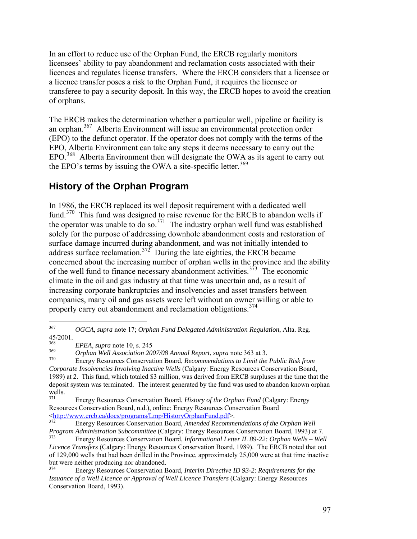In an effort to reduce use of the Orphan Fund, the ERCB regularly monitors licensees' ability to pay abandonment and reclamation costs associated with their licences and regulates license transfers. Where the ERCB considers that a licensee or a licence transfer poses a risk to the Orphan Fund, it requires the licensee or transferee to pay a security deposit. In this way, the ERCB hopes to avoid the creation of orphans.

The ERCB makes the determination whether a particular well, pipeline or facility is an orphan.<sup>[367](#page-96-0)</sup> Alberta Environment will issue an environmental protection order (EPO) to the defunct operator. If the operator does not comply with the terms of the EPO, Alberta Environment can take any steps it deems necessary to carry out the EPO.<sup>[368](#page-96-1)</sup> Alberta Environment then will designate the OWA as its agent to carry out the EPO's terms by issuing the OWA a site-specific letter.<sup>[369](#page-96-2)</sup>

### **History of the Orphan Program**

In 1986, the ERCB replaced its well deposit requirement with a dedicated well fund.<sup>[370](#page-96-3)</sup> This fund was designed to raise revenue for the ERCB to abandon wells if the operator was unable to do so.<sup>[371](#page-96-4)</sup> The industry orphan well fund was established solely for the purpose of addressing downhole abandonment costs and restoration of surface damage incurred during abandonment, and was not initially intended to address surface reclamation. $372$  During the late eighties, the ERCB became concerned about the increasing number of orphan wells in the province and the abi lity of the well fund to finance necessary abandonment activities.<sup>[373](#page-96-6)</sup> The economic properly carry out abandonment and reclamation obligations.<sup>374</sup> climate in the oil and gas industry at that time was uncertain and, as a result of increasing corporate bankruptcies and insolvencies and asset transfers between companies, many oil and gas assets were left without an owner willing or able to

<span id="page-96-0"></span><sup>367</sup> 367 *OGCA*, *supra* note 17; *Orphan Fund Delegated Administration Regulation*, Alta. Reg.  $\frac{45}{2001}$ .

<span id="page-96-1"></span><sup>368</sup> *EPEA*, *supra* note 10, s. 245

<span id="page-96-2"></span><sup>369</sup> *Orphan Well Association 2007/08 Annual Report*, *supra* note 363 at 3.

<span id="page-96-3"></span><sup>370</sup> Energy Resources Conservation Board, *Recommendations to Limit the Public Risk from Corporate Insolvencies Involving Inactive Wells* (Calgary: Energy Resources Conservation Board, 1989) at 2. This fund, which totaled \$3 million, was derived from ERCB surpluses at the time that the deposit system was terminated. The interest generated by the fund was used to abandon known orphan  $wells.$ <sub>371</sub>

<span id="page-96-4"></span><sup>371</sup> Energy Resources Conservation Board, *History of the Orphan Fund* (Calgary: Energy Resources Conservation Board, n.d.), online: Energy Resources Conservation Board <[http://www.ercb.ca/docs/programs/Lmp/HistoryOrphanFund.pdf>](http://www.ercb.ca/docs/programs/Lmp/HistoryOrphanFund.pdf).

<span id="page-96-5"></span><sup>372</sup> Energy Resources Conservation Board, *Amended Recommendations of the Orphan Well Program Administration Subcommittee* (Calgary: Energy Resources Conservation Board, 1993) at 7.

<span id="page-96-6"></span><sup>373</sup> Energy Resources Conservation Board, *Informational Letter IL 89-22: Orphan Wells – Well Licence Transfers* (Calgary: Energy Resources Conservation Board, 1989). The ERCB noted that out of 129,000 wells that had been drilled in the Province, approximately 25,000 were at that time inactive but were neither producing nor abandoned.

<sup>374</sup> Energy Resources Conservation Board, *Interim Directive ID 93-2*: *Requirements for the Issuance of a Well Licence or Approval of Well Licence Transfers* (Calgary: Energy Resources Conservation Board, 1993).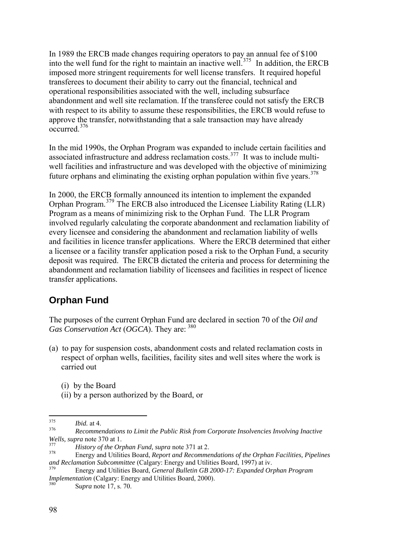In 1989 the ERCB made changes requiring operators to pay an annual fee of \$100 into the well fund for the right to maintain an inactive well.<sup>[375](#page-97-0)</sup> In addition, the ERCB imposed more stringent requirements for well license transfers. It required hopeful transferees to document their ability to carry out the financial, technical and operational responsibilities associated with the well, including subsurface abandonment and well site reclamation. If the transferee could not satisfy the ERCB with respect to its ability to assume these responsibilities, the ERCB would refuse to approve the transfer, notwithstanding that a sale transaction may have already occurred.[376](#page-97-1)

In the mid 1990s, the Orphan Program was expanded to include certain facilities and associated infrastructure and address reclamation costs.<sup>[377](#page-97-2)</sup> It was to include multiwell facilities and infrastructure and was developed with the objective of minimizing future orphans and eliminating the existing orphan population within five years.<sup>[378](#page-97-3)</sup>

In 2000, the ERCB formally announced its intention to implement the expanded Orphan Program.[379](#page-97-4) The ERCB also introduced the Licensee Liability Rating (LLR) Program as a means of minimizing risk to the Orphan Fund. The LLR Program involved regularly calculating the corporate abandonment and reclamation liability of every licensee and considering the abandonment and reclamation liability of wells and facilities in licence transfer applications. Where the ERCB determined that either a licensee or a facility transfer application posed a risk to the Orphan Fund, a security deposit was required. The ERCB dictated the criteria and process for determining the abandonment and reclamation liability of licensees and facilities in respect of licence transfer applications.

### **Orphan Fund**

The purposes of the current Orphan Fund are declared in section 70 of the *Oil and Gas Conservation Act* (*OGCA*). They are: [380](#page-97-5)

- (a) to pay for suspension costs, abandonment costs and related reclamation costs in respect of orphan wells, facilities, facility sites and well sites where the work is carried out
	- (i) by the Board
	- (ii) by a person authorized by the Board, or

<span id="page-97-0"></span><sup>375</sup>  $\frac{375}{376}$  *Ibid.* at 4.

<span id="page-97-1"></span><sup>376</sup> *Recommendations to Limit the Public Risk from Corporate Insolvencies Involving Inactive Wells, supra* note 370 at 1.

<span id="page-97-2"></span><sup>&</sup>lt;sup>377</sup> *History of the Orphan Fund, supra* note 371 at 2.<br><sup>378</sup> **History and Utilities Board, Benewt and Benewurg** 

<span id="page-97-3"></span><sup>378</sup> Energy and Utilities Board, *Report and Recommendations of the Orphan Facilities, Pipelines and Reclamation Subcommittee* (Calgary: Energy and Utilities Board, 1997) at iv.

<span id="page-97-4"></span><sup>379</sup> Energy and Utilities Board, *General Bulletin GB 2000-17: Expanded Orphan Program Implementation* (Calgary: Energy and Utilities Board, 2000).

<span id="page-97-5"></span>Supra note 17, s. 70.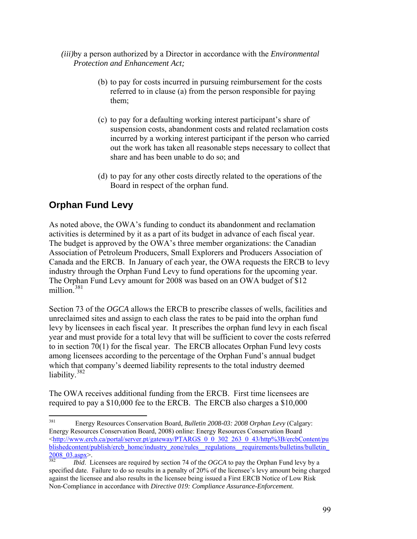*(iii)*by a person authorized by a Director in accordance with the *Environmental Protection and Enhancement Act;* 

- (b) to pay for costs incurred in pursuing reimbursement for the costs referred to in clause (a) from the person responsible for paying them;
- (c) to pay for a defaulting working interest participant's share of suspension costs, abandonment costs and related reclamation costs incurred by a working interest participant if the person who carried out the work has taken all reasonable steps necessary to collect that share and has been unable to do so; and
- (d) to pay for any other costs directly related to the operations of the Board in respect of the orphan fund.

# **Orphan Fund Levy**

As noted above, the OWA's funding to conduct its abandonment and reclamation activities is determined by it as a part of its budget in advance of each fiscal year. The budget is approved by the OWA's three member organizations: the Canadian Association of Petroleum Producers, Small Explorers and Producers Association of Canada and the ERCB. In January of each year, the OWA requests the ERCB to levy industry through the Orphan Fund Levy to fund operations for the upcoming year. The Orphan Fund Levy amount for 2008 was based on an OWA budget of \$12 million.<sup>[381](#page-98-0)</sup>

Section 73 of the *OGCA* allows the ERCB to prescribe classes of wells, facilities and unreclaimed sites and assign to each class the rates to be paid into the orphan fund levy by licensees in each fiscal year. It prescribes the orphan fund levy in each fiscal year and must provide for a total levy that will be sufficient to cover the costs referred to in section 70(1) for the fiscal year. The ERCB allocates Orphan Fund levy costs among licensees according to the percentage of the Orphan Fund's annual budget which that company's deemed liability represents to the total industry deemed liability.<sup>[382](#page-98-1)</sup>

The OWA receives additional funding from the ERCB. First time licensees are required to pay a \$10,000 fee to the ERCB. The ERCB also charges a \$10,000

<span id="page-98-0"></span><sup>381</sup> 381 Energy Resources Conservation Board, *Bulletin 2008-03: 2008 Orphan Levy* (Calgary: Energy Resources Conservation Board, 2008) online: Energy Resources Conservation Board <[http://www.ercb.ca/portal/server.pt/gateway/PTARGS\\_0\\_0\\_302\\_263\\_0\\_43/http%3B/ercbContent/pu](http://www.ercb.ca/portal/server.pt/gateway/PTARGS_0_0_302_263_0_43/http%3B/ercbContent/publishedcontent/publish/ercb_home/industry_zone/rules__regulations__requirements/bulletins/bulletin_2008_03.aspx) blishedcontent/publish/ercb\_home/industry\_zone/rules\_regulations\_requirements/bulletins/bulletin [2008\\_03.aspx>](http://www.ercb.ca/portal/server.pt/gateway/PTARGS_0_0_302_263_0_43/http%3B/ercbContent/publishedcontent/publish/ercb_home/industry_zone/rules__regulations__requirements/bulletins/bulletin_2008_03.aspx).

<span id="page-98-1"></span>*Ibid.* Licensees are required by section 74 of the *OGCA* to pay the Orphan Fund levy by a specified date. Failure to do so results in a penalty of 20% of the licensee's levy amount being charged against the licensee and also results in the licensee being issued a First ERCB Notice of Low Risk Non-Compliance in accordance with *Directive 019: Compliance Assurance-Enforcement*.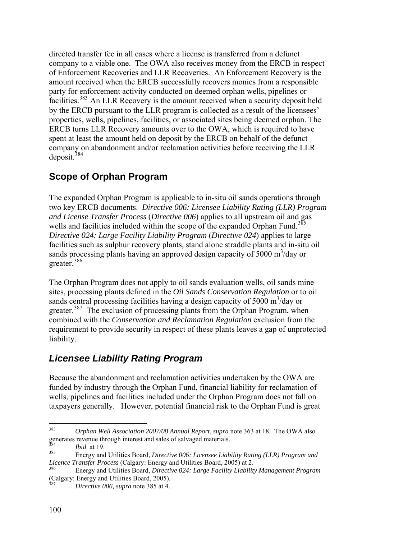directed transfer fee in all cases where a license is transferred from a defunct company to a viable one. The OWA also receives money from the ERCB in respect of Enforcement Recoveries and LLR Recoveries. An Enforcement Recovery is the amount received when the ERCB successfully recovers monies from a responsible party for enforcement activity conducted on deemed orphan wells, pipelines or facilities.<sup>[383](#page-99-0)</sup> An LLR Recovery is the amount received when a security deposit held by the ERCB pursuant to the LLR program is collected as a result of the licensees' properties, wells, pipelines, facilities, or associated sites being deemed orphan. The ERCB turns LLR Recovery amounts over to the OWA, which is required to have spent at least the amount held on deposit by the ERCB on behalf of the defunct company on abandonment and/or reclamation activities before receiving the LLR deposit.[384](#page-99-1)

# **Scope of Orphan Program**

The expanded Orphan Program is applicable to in-situ oil sands operations through two key ERCB documents. *Directive 006: Licensee Liability Rating (LLR) Program and License Transfer Process* (*Directive 006*) applies to all upstream oil and gas wells and facilities included within the scope of the expanded Orphan Fund.<sup>[385](#page-99-2)</sup> *Directive 024: Large Facility Liability Program* (*Directive 024*) applies to large facilities such as sulphur recovery plants, stand alone straddle plants and in-situ oil sands processing plants having an approved design capacity of 5000  $\text{m}^3/\text{day}$  or greater.[386](#page-99-3)

The Orphan Program does not apply to oil sands evaluation wells, oil sands mine sites, processing plants defined in the *Oil Sands Conservation Regulation* or to oil sands central processing facilities having a design capacity of  $5000 \text{ m}^3/\text{day}$  or greater.<sup>[387](#page-99-4)</sup> The exclusion of processing plants from the Orphan Program, when combined with the *Conservation and Reclamation Regulation* exclusion from the requirement to provide security in respect of these plants leaves a gap of unprotected liability.

# *Licensee Liability Rating Program*

Because the abandonment and reclamation activities undertaken by the OWA are funded by industry through the Orphan Fund, financial liability for reclamation of wells, pipelines and facilities included under the Orphan Program does not fall on taxpayers generally. However, potential financial risk to the Orphan Fund is great

<span id="page-99-0"></span><sup>383</sup> 383 *Orphan Well Association 2007/08 Annual Report*, *supra* note 363 at 18. The OWA also generates revenue through interest and sales of salvaged materials.

<sup>384</sup> *Ibid*. at 19.

<span id="page-99-2"></span><span id="page-99-1"></span><sup>385</sup> Energy and Utilities Board, *Directive 006: Licensee Liability Rating (LLR) Program and Licence Transfer Process* (Calgary: Energy and Utilities Board, 2005) at 2.

<span id="page-99-3"></span><sup>386</sup> Energy and Utilities Board, *Directive 024: Large Facility Liability Management Program* (Calgary: Energy and Utilities Board, 2005).

<span id="page-99-4"></span><sup>387</sup> *Directive 006, supra* note 385 at 4.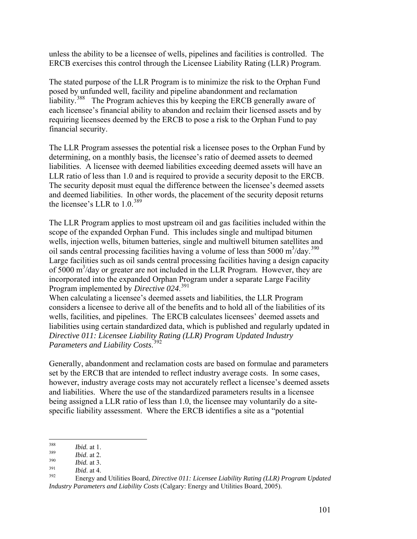unless the ability to be a licensee of wells, pipelines and facilities is controlled. The ERCB exercises this control through the Licensee Liability Rating (LLR) Program.

The stated purpose of the LLR Program is to minimize the risk to the Orphan Fund posed by unfunded well, facility and pipeline abandonment and reclamation liability.<sup>[388](#page-100-0)</sup> The Program achieves this by keeping the ERCB generally aware of each licensee's financial ability to abandon and reclaim their licensed assets and by requiring licensees deemed by the ERCB to pose a risk to the Orphan Fund to pay financial security.

The LLR Program assesses the potential risk a licensee poses to the Orphan Fund by determining, on a monthly basis, the licensee's ratio of deemed assets to deemed liabilities. A licensee with deemed liabilities exceeding deemed assets will have an LLR ratio of less than 1.0 and is required to provide a security deposit to the ERCB. The security deposit must equal the difference between the licensee's deemed assets and deemed liabilities. In other words, the placement of the security deposit returns the licensee's LLR to 1.0.[389](#page-100-1)

The LLR Program applies to most upstream oil and gas facilities included within the scope of the expanded Orphan Fund. This includes single and multipad bitumen wells, injection wells, bitumen batteries, single and multiwell bitumen satellites and oil sands central processing facilities having a volume of less than 5000  $\text{m}^3/\text{day}$ .<sup>[390](#page-100-2)</sup> Large facilities such as oil sands central processing facilities having a design capacity of 5000 m<sup>3</sup>/day or greater are not included in the LLR Program. However, they are incorporated into the expanded Orphan Program under a separate Large Facility Program implemented by *Directive 024*. [391](#page-100-3)

When calculating a licensee's deemed assets and liabilities, the LLR Program considers a licensee to derive all of the benefits and to hold all of the liabilities of its wells, facilities, and pipelines. The ERCB calculates licensees' deemed assets and liabilities using certain standardized data, which is published and regularly updated in *Directive 011: Licensee Liability Rating (LLR) Program Updated Industry Parameters and Liability Costs*. [392](#page-100-4)

Generally, abandonment and reclamation costs are based on formulae and parameters set by the ERCB that are intended to reflect industry average costs. In some cases, however, industry average costs may not accurately reflect a licensee's deemed assets and liabilities. Where the use of the standardized parameters results in a licensee being assigned a LLR ratio of less than 1.0, the licensee may voluntarily do a sitespecific liability assessment. Where the ERCB identifies a site as a "potential

<span id="page-100-0"></span><sup>388</sup>  $\frac{388}{389}$  *Ibid.* at 1.

<span id="page-100-1"></span> $\frac{389}{390}$  *Ibid.* at 2.

<span id="page-100-2"></span> $\frac{390}{391}$  *Ibid.* at 3.

<span id="page-100-3"></span> $\frac{391}{392}$  *Ibid.* at 4.

<span id="page-100-4"></span><sup>392</sup> Energy and Utilities Board, *Directive 011: Licensee Liability Rating (LLR) Program Updated Industry Parameters and Liability Costs* (Calgary: Energy and Utilities Board, 2005).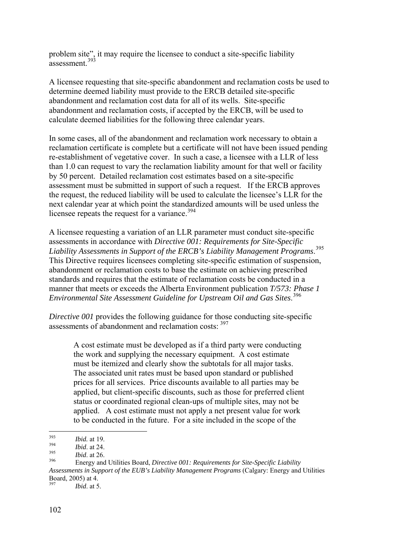problem site", it may require the licensee to conduct a site-specific liability assessment.<sup>[393](#page-101-0)</sup>

A licensee requesting that site-specific abandonment and reclamation costs be used to determine deemed liability must provide to the ERCB detailed site-specific abandonment and reclamation cost data for all of its wells. Site-specific abandonment and reclamation costs, if accepted by the ERCB, will be used to calculate deemed liabilities for the following three calendar years.

In some cases, all of the abandonment and reclamation work necessary to obtain a reclamation certificate is complete but a certificate will not have been issued pending re-establishment of vegetative cover. In such a case, a licensee with a LLR of less than 1.0 can request to vary the reclamation liability amount for that well or facility by 50 percent. Detailed reclamation cost estimates based on a site-specific assessment must be submitted in support of such a request. If the ERCB approves the request, the reduced liability will be used to calculate the licensee's LLR for the next calendar year at which point the standardized amounts will be used unless the licensee repeats the request for a variance.<sup>[394](#page-101-1)</sup>

A licensee requesting a variation of an LLR parameter must conduct site-specific assessments in accordance with *Directive 001: Requirements for Site-Specific Liability Assessments in Support of the ERCB's Liability Management Programs*. [395](#page-101-2) This Directive requires licensees completing site-specific estimation of suspension, abandonment or reclamation costs to base the estimate on achieving prescribed standards and requires that the estimate of reclamation costs be conducted in a manner that meets or exceeds the Alberta Environment publication *T/573: Phase 1 Environmental Site Assessment Guideline for Upstream Oil and Gas Sites*. [396](#page-101-3)

*Directive 001* provides the following guidance for those conducting site-specific assessments of abandonment and reclamation costs:  $397$ 

A cost estimate must be developed as if a third party were conducting the work and supplying the necessary equipment. A cost estimate must be itemized and clearly show the subtotals for all major tasks. The associated unit rates must be based upon standard or published prices for all services. Price discounts available to all parties may be applied, but client-specific discounts, such as those for preferred client status or coordinated regional clean-ups of multiple sites, may not be applied. A cost estimate must not apply a net present value for work to be conducted in the future. For a site included in the scope of the

<span id="page-101-0"></span> $393$  $\frac{393}{394}$  *Ibid.* at 19.

<span id="page-101-1"></span> $\frac{394}{395}$  *Ibid.* at 24.

<span id="page-101-2"></span> $\frac{395}{396}$  *Ibid.* at 26.

<span id="page-101-4"></span><span id="page-101-3"></span><sup>396</sup> Energy and Utilities Board, *Directive 001: Requirements for Site-Specific Liability Assessments in Support of the EUB's Liability Management Programs* (Calgary: Energy and Utilities Board, 2005) at 4.

*Ibid.* at 5.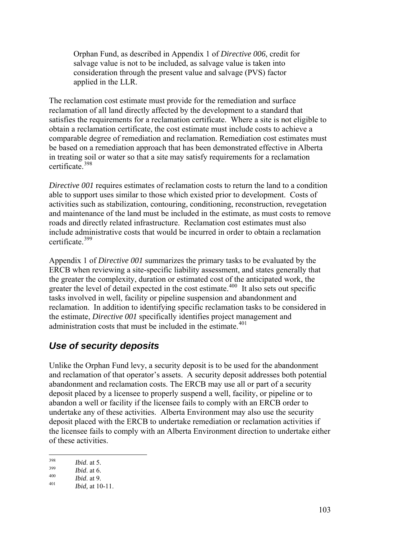Orphan Fund, as described in Appendix 1 of *Directive 006*, credit for salvage value is not to be included, as salvage value is taken into consideration through the present value and salvage (PVS) factor applied in the LLR.

The reclamation cost estimate must provide for the remediation and surface reclamation of all land directly affected by the development to a standard that satisfies the requirements for a reclamation certificate. Where a site is not eligible to obtain a reclamation certificate, the cost estimate must include costs to achieve a comparable degree of remediation and reclamation. Remediation cost estimates must be based on a remediation approach that has been demonstrated effective in Alberta in treating soil or water so that a site may satisfy requirements for a reclamation certificate. $398$ 

*Directive 001* requires estimates of reclamation costs to return the land to a condition able to support uses similar to those which existed prior to development. Costs of activities such as stabilization, contouring, conditioning, reconstruction, revegetation and maintenance of the land must be included in the estimate, as must costs to remove roads and directly related infrastructure. Reclamation cost estimates must also include administrative costs that would be incurred in order to obtain a reclamation certificate.[399](#page-102-1)

Appendix 1 of *Directive 001* summarizes the primary tasks to be evaluated by the ERCB when reviewing a site-specific liability assessment, and states generally that the greater the complexity, duration or estimated cost of the anticipated work, the greater the level of detail expected in the cost estimate.<sup>[400](#page-102-2)</sup> It also sets out specific tasks involved in well, facility or pipeline suspension and abandonment and reclamation. In addition to identifying specific reclamation tasks to be considered in the estimate, *Directive 001* specifically identifies project management and administration costs that must be included in the estimate.<sup>[401](#page-102-3)</sup>

### *Use of security deposits*

Unlike the Orphan Fund levy, a security deposit is to be used for the abandonment and reclamation of that operator's assets. A security deposit addresses both potential abandonment and reclamation costs. The ERCB may use all or part of a security deposit placed by a licensee to properly suspend a well, facility, or pipeline or to abandon a well or facility if the licensee fails to comply with an ERCB order to undertake any of these activities. Alberta Environment may also use the security deposit placed with the ERCB to undertake remediation or reclamation activities if the licensee fails to comply with an Alberta Environment direction to undertake either of these activities.

<span id="page-102-2"></span> $\frac{400}{401}$  *Ibid.* at 9.

<span id="page-102-0"></span><sup>398</sup>  $\frac{398}{399}$  *Ibid.* at 5.

<span id="page-102-1"></span> $\frac{399}{400}$  *Ibid.* at 6.

<span id="page-102-3"></span>*Ibid*, at 10-11.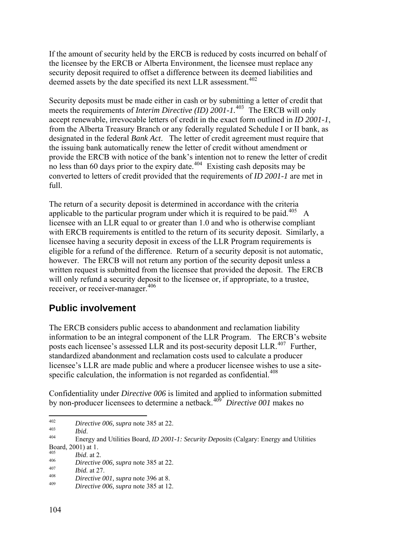If the amount of security held by the ERCB is reduced by costs incurred on behalf of the licensee by the ERCB or Alberta Environment, the licensee must replace any security deposit required to offset a difference between its deemed liabilities and deemed assets by the date specified its next LLR assessment.<sup>[402](#page-103-0)</sup>

Security deposits must be made either in cash or by submitting a letter of credit that meets the requirements of *Interim Directive (ID)* 2001-1.<sup>[403](#page-103-1)</sup> The ERCB will only accept renewable, irrevocable letters of credit in the exact form outlined in *ID 2001-1*, from the Alberta Treasury Branch or any federally regulated Schedule I or II bank, as designated in the federal *Bank Act*. The letter of credit agreement must require that the issuing bank automatically renew the letter of credit without amendment or provide the ERCB with notice of the bank's intention not to renew the letter of credit no less than 60 days prior to the expiry date. $404$  Existing cash deposits may be converted to letters of credit provided that the requirements of *ID 2001-1* are met in full.

The return of a security deposit is determined in accordance with the criteria applicable to the particular program under which it is required to be paid.<sup>[405](#page-103-3)</sup> A licensee with an LLR equal to or greater than 1.0 and who is otherwise compliant with ERCB requirements is entitled to the return of its security deposit. Similarly, a licensee having a security deposit in excess of the LLR Program requirements is eligible for a refund of the difference. Return of a security deposit is not automatic, however. The ERCB will not return any portion of the security deposit unless a written request is submitted from the licensee that provided the deposit. The ERCB will only refund a security deposit to the licensee or, if appropriate, to a trustee, receiver, or receiver-manager.<sup>[406](#page-103-4)</sup>

### **Public involvement**

The ERCB considers public access to abandonment and reclamation liability information to be an integral component of the LLR Program. The ERCB's website posts each licensee's assessed LLR and its post-security deposit LLR.<sup>[407](#page-103-5)</sup> Further, standardized abandonment and reclamation costs used to calculate a producer licensee's LLR are made public and where a producer licensee wishes to use a site-specific calculation, the information is not regarded as confidential.<sup>[408](#page-103-6)</sup>

Confidentiality under *Directive 006* is limited and applied to information submitted by non-producer licensees to determine a netback.<sup>[409](#page-103-7)</sup> *Directive 001* makes no

<span id="page-103-0"></span><sup>402</sup>  $\frac{402}{1403}$  *Directive 006, supra* note 385 at 22.

<span id="page-103-2"></span><span id="page-103-1"></span><sup>403</sup>*Ibid*. 404 Energy and Utilities Board, *ID 2001-1: Security Deposits* (Calgary: Energy and Utilities Board, 2001) at 1.

<span id="page-103-3"></span> $\frac{405}{406}$  *Ibid.* at 2.

<span id="page-103-4"></span><sup>406</sup> *Directive 006, supra* note 385 at 22.

<span id="page-103-5"></span> $\frac{407}{408}$  *Ibid.* at 27.

<span id="page-103-6"></span><sup>408</sup> *Directive 001, supra* note 396 at 8.

<span id="page-103-7"></span><sup>409</sup> *Directive 006, supra* note 385 at 12.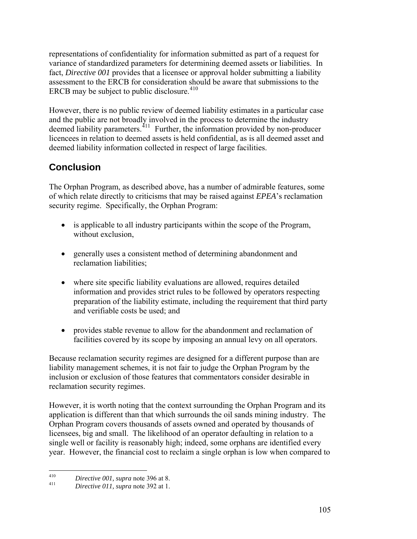representations of confidentiality for information submitted as part of a request for variance of standardized parameters for determining deemed assets or liabilities. In fact, *Directive 001* provides that a licensee or approval holder submitting a liability assessment to the ERCB for consideration should be aware that submissions to the ERCB may be subject to public disclosure. $410$ 

However, there is no public review of deemed liability estimates in a particular case and the public are not broadly involved in the process to determine the industry deemed liability parameters.<sup>[411](#page-104-1)</sup> Further, the information provided by non-producer licencees in relation to deemed assets is held confidential, as is all deemed asset and deemed liability information collected in respect of large facilities.

# **Conclusion**

The Orphan Program, as described above, has a number of admirable features, some of which relate directly to criticisms that may be raised against *EPEA*'s reclamation security regime. Specifically, the Orphan Program:

- is applicable to all industry participants within the scope of the Program, without exclusion,
- generally uses a consistent method of determining abandonment and reclamation liabilities;
- where site specific liability evaluations are allowed, requires detailed information and provides strict rules to be followed by operators respecting preparation of the liability estimate, including the requirement that third party and verifiable costs be used; and
- provides stable revenue to allow for the abandonment and reclamation of facilities covered by its scope by imposing an annual levy on all operators.

Because reclamation security regimes are designed for a different purpose than are liability management schemes, it is not fair to judge the Orphan Program by the inclusion or exclusion of those features that commentators consider desirable in reclamation security regimes.

However, it is worth noting that the context surrounding the Orphan Program and its application is different than that which surrounds the oil sands mining industry. The Orphan Program covers thousands of assets owned and operated by thousands of licensees, big and small. The likelihood of an operator defaulting in relation to a single well or facility is reasonably high; indeed, some orphans are identified every year. However, the financial cost to reclaim a single orphan is low when compared to

<sup>410</sup> 

<span id="page-104-1"></span><span id="page-104-0"></span><sup>410</sup>*Directive 001, supra* note 396 at 8. 411 *Directive 011, supra* note 392 at 1.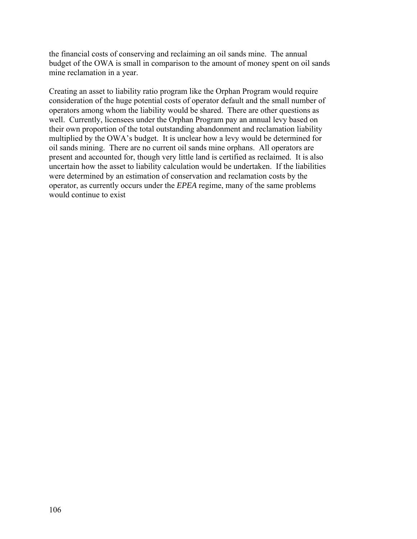the financial costs of conserving and reclaiming an oil sands mine. The annual budget of the OWA is small in comparison to the amount of money spent on oil sands mine reclamation in a year.

Creating an asset to liability ratio program like the Orphan Program would require consideration of the huge potential costs of operator default and the small number of operators among whom the liability would be shared. There are other questions as well. Currently, licensees under the Orphan Program pay an annual levy based on their own proportion of the total outstanding abandonment and reclamation liability multiplied by the OWA's budget. It is unclear how a levy would be determined for oil sands mining. There are no current oil sands mine orphans. All operators are present and accounted for, though very little land is certified as reclaimed. It is also uncertain how the asset to liability calculation would be undertaken. If the liabilities were determined by an estimation of conservation and reclamation costs by the operator, as currently occurs under the *EPEA* regime, many of the same problems would continue to exist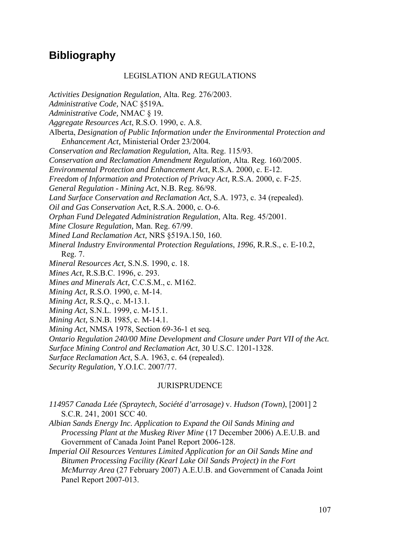#### **Bibliography**

#### LEGISLATION AND REGULATIONS

*Activities Designation Regulation*, Alta. Reg. 276/2003. *Administrative Code,* NAC §519A*. Administrative Code,* NMAC § 19*. Aggregate Resources Act*, R.S.O. 1990, c. A.8. Alberta, *Designation of Public Information under the Environmental Protection and Enhancement Act,* Ministerial Order 23/2004*. Conservation and Reclamation Regulation,* Alta. Reg. 115/93. *Conservation and Reclamation Amendment Regulation,* Alta. Reg. 160/2005. *Environmental Protection and Enhancement Act*, R.S.A. 2000, c. E-12. *Freedom of Information and Protection of Privacy Act,* R.S.A. 2000, c. F-25. *General Regulation* - *Mining Act*, N.B. Reg. 86/98. *Land Surface Conservation and Reclamation Act*, S.A. 1973, c. 34 (repealed). *Oil and Gas Conservation* Act, R.S.A. 2000, c. O-6. *Orphan Fund Delegated Administration Regulation*, Alta. Reg. 45/2001. *Mine Closure Regulation,* Man. Reg. 67/99. *Mined Land Reclamation Act,* NRS §519A.150, 160. *Mineral Industry Environmental Protection Regulations*, *1996,* R.R.S., c. E-10.2, Reg. 7. *Mineral Resources Act,* S.N.S. 1990, c. 18. *Mines Act*, R.S.B.C. 1996, c. 293. *Mines and Minerals Act,* C.C.S.M., c. M162. *Mining Act,* R.S.O. 1990, c. M-14. *Mining Act,* R.S.Q., c. M-13.1. *Mining Act,* S.N.L. 1999, c. M-15.1. *Mining Act,* S.N.B. 1985, c. M-14.1. *Mining Act,* NMSA 1978, Section 69-36-1 et seq*. Ontario Regulation 240/00 Mine Development and Closure under Part VII of the Act. Surface Mining Control and Reclamation Act,* 30 U.S.C. 1201-1328. *Surface Reclamation Act*, S.A. 1963, c. 64 (repealed). *Security Regulation,* Y.O.I.C. 2007/77.

#### JURISPRUDENCE

- *114957 Canada Ltée (Spraytech, Société d'arrosage)* v. *Hudson (Town)*, [2001] 2 S.C.R. 241, 2001 SCC 40.
- *Albian Sands Energy Inc. Application to Expand the Oil Sands Mining and Processing Plant at the Muskeg River Mine* (17 December 2006) A.E.U.B. and Government of Canada Joint Panel Report 2006-128.

*Imperial Oil Resources Ventures Limited Application for an Oil Sands Mine and Bitumen Processing Facility (Kearl Lake Oil Sands Project) in the Fort McMurray Area* (27 February 2007) A.E.U.B. and Government of Canada Joint Panel Report 2007-013.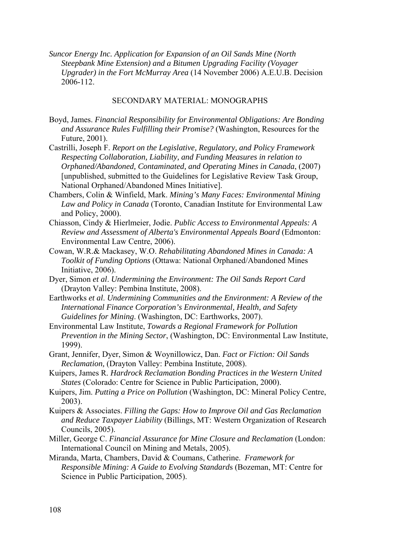*Suncor Energy Inc. Application for Expansion of an Oil Sands Mine (North Steepbank Mine Extension) and a Bitumen Upgrading Facility (Voyager Upgrader) in the Fort McMurray Area* (14 November 2006) A.E.U.B. Decision 2006-112.

#### SECONDARY MATERIAL: MONOGRAPHS

- Boyd, James. *Financial Responsibility for Environmental Obligations: Are Bonding and Assurance Rules Fulfilling their Promise?* (Washington, Resources for the Future, 2001).
- Castrilli, Joseph F. *Report on the Legislative, Regulatory, and Policy Framework Respecting Collaboration, Liability, and Funding Measures in relation to Orphaned/Abandoned, Contaminated, and Operating Mines in Canada*, (2007) [unpublished, submitted to the Guidelines for Legislative Review Task Group, National Orphaned/Abandoned Mines Initiative].
- Chambers, Colin & Winfield, Mark. *Mining's Many Faces: Environmental Mining Law and Policy in Canada* (Toronto, Canadian Institute for Environmental Law and Policy, 2000).
- Chiasson, Cindy & Hierlmeier, Jodie. *Public Access to Environmental Appeals: A Review and Assessment of Alberta's Environmental Appeals Board* (Edmonton: Environmental Law Centre, 2006).
- Cowan, W.R.& Mackasey, W.O. *Rehabilitating Abandoned Mines in Canada: A Toolkit of Funding Options* (Ottawa: National Orphaned/Abandoned Mines Initiative, 2006).
- Dyer, Simon *et al*. *Undermining the Environment: The Oil Sands Report Card* (Drayton Valley: Pembina Institute, 2008).
- Earthworks *et al*. *Undermining Communities and the Environment: A Review of the International Finance Corporation's Environmental, Health, and Safety Guidelines for Mining*. (Washington, DC: Earthworks, 2007).
- Environmental Law Institute, *Towards a Regional Framework for Pollution Prevention in the Mining Sector*, (Washington, DC: Environmental Law Institute, 1999).
- Grant, Jennifer, Dyer, Simon & Woynillowicz, Dan. *Fact or Fiction: Oil Sands Reclamation,* (Drayton Valley: Pembina Institute, 2008).
- Kuipers, James R. *Hardrock Reclamation Bonding Practices in the Western United States* (Colorado: Centre for Science in Public Participation, 2000).
- Kuipers, Jim. *Putting a Price on Pollution* (Washington, DC: Mineral Policy Centre, 2003).
- Kuipers & Associates. *Filling the Gaps: How to Improve Oil and Gas Reclamation and Reduce Taxpayer Liability* (Billings, MT: Western Organization of Research Councils, 2005).
- Miller, George C. *Financial Assurance for Mine Closure and Reclamation* (London: International Council on Mining and Metals, 2005).
- Miranda, Marta, Chambers, David & Coumans, Catherine. *Framework for Responsible Mining: A Guide to Evolving Standard*s (Bozeman, MT: Centre for Science in Public Participation, 2005).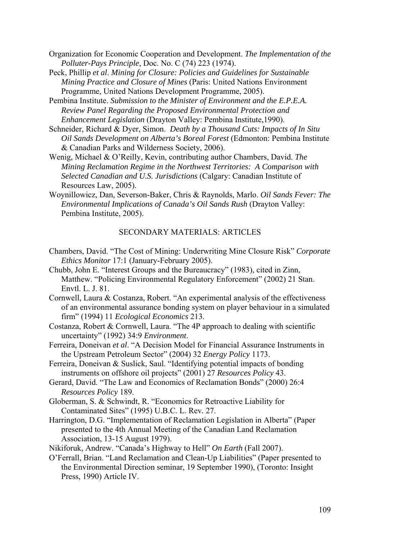- Organization for Economic Cooperation and Development. *The Implementation of the Polluter-Pays Principle*, Doc. No. C (74) 223 (1974).
- Peck, Phillip *et al*. *Mining for Closure: Policies and Guidelines for Sustainable Mining Practice and Closure of Mines* (Paris: United Nations Environment Programme, United Nations Development Programme, 2005).
- Pembina Institute. *Submission to the Minister of Environment and the E.P.E.A. Review Panel Regarding the Proposed Environmental Protection and Enhancement Legislation* (Drayton Valley: Pembina Institute,1990).
- Schneider, Richard & Dyer, Simon. *Death by a Thousand Cuts: Impacts of In Situ Oil Sands Development on Alberta's Boreal Forest* (Edmonton: Pembina Institute & Canadian Parks and Wilderness Society, 2006).
- Wenig, Michael & O'Reilly, Kevin, contributing author Chambers, David. *The Mining Reclamation Regime in the Northwest Territories: A Comparison with Selected Canadian and U.S. Jurisdictions* (Calgary: Canadian Institute of Resources Law, 2005).
- Woynillowicz, Dan, Severson-Baker, Chris & Raynolds, Marlo. *Oil Sands Fever: The Environmental Implications of Canada's Oil Sands Rush* (Drayton Valley: Pembina Institute, 2005).

## SECONDARY MATERIALS: ARTICLES

- Chambers, David. "The Cost of Mining: Underwriting Mine Closure Risk" *Corporate Ethics Monitor* 17:1 (January-February 2005).
- Chubb, John E. "Interest Groups and the Bureaucracy" (1983), cited in Zinn, Matthew. "Policing Environmental Regulatory Enforcement" (2002) 21 Stan. Envtl. L. J. 81.
- Cornwell, Laura & Costanza, Robert. "An experimental analysis of the effectiveness of an environmental assurance bonding system on player behaviour in a simulated firm" (1994) 11 *Ecological Economics* 213.
- Costanza, Robert & Cornwell, Laura. "The 4P approach to dealing with scientific uncertainty" (1992) 34:9 *Environment*.
- Ferreira, Doneivan *et al*. "A Decision Model for Financial Assurance Instruments in the Upstream Petroleum Sector" (2004) 32 *Energy Policy* 1173.
- Ferreira, Doneivan & Suslick, Saul. "Identifying potential impacts of bonding instruments on offshore oil projects" (2001) 27 *Resources Policy* 43.
- Gerard, David. "The Law and Economics of Reclamation Bonds" (2000) 26:4 *Resources Policy* 189.
- Globerman, S. & Schwindt, R. "Economics for Retroactive Liability for Contaminated Sites" (1995) U.B.C. L. Rev*.* 27.
- Harrington, D.G. "Implementation of Reclamation Legislation in Alberta" (Paper presented to the 4th Annual Meeting of the Canadian Land Reclamation Association, 13-15 August 1979).
- Nikiforuk, Andrew. "Canada's Highway to Hell" *On Earth* (Fall 2007).
- O'Ferrall, Brian. "Land Reclamation and Clean-Up Liabilities" (Paper presented to the Environmental Direction seminar, 19 September 1990), (Toronto: Insight Press, 1990) Article IV.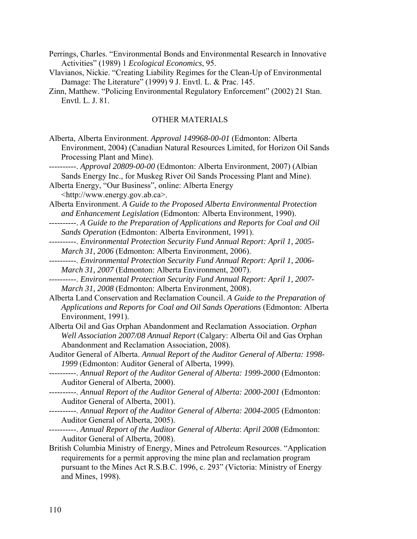- Perrings, Charles. "Environmental Bonds and Environmental Research in Innovative Activities" (1989) 1 *Ecological Economics*, 95.
- Vlavianos, Nickie. "Creating Liability Regimes for the Clean-Up of Environmental Damage: The Literature" (1999) 9 J. Envtl. L. & Prac. 145.
- Zinn, Matthew. "Policing Environmental Regulatory Enforcement" (2002) 21 Stan. Envtl. L. J. 81.

## OTHER MATERIALS

- Alberta, Alberta Environment. *Approval 149968-00-01* (Edmonton: Alberta Environment, 2004) (Canadian Natural Resources Limited, for Horizon Oil Sands Processing Plant and Mine).
- ----------. *Approval 20809-00-00* (Edmonton: Alberta Environment, 2007) (Albian Sands Energy Inc., for Muskeg River Oil Sands Processing Plant and Mine).

Alberta Energy, "Our Business", online: Alberta Energy

<http://www.energy.gov.ab.ca>.

- Alberta Environment. *A Guide to the Proposed Alberta Environmental Protection and Enhancement Legislation* (Edmonton: Alberta Environment, 1990).
- ----------. *A Guide to the Preparation of Applications and Reports for Coal and Oil Sands Operation* (Edmonton: Alberta Environment, 1991).
- ----------. *Environmental Protection Security Fund Annual Report: April 1, 2005- March 31, 2006* (Edmonton: Alberta Environment, 2006).
- ----------. *Environmental Protection Security Fund Annual Report: April 1, 2006- March 31, 2007* (Edmonton: Alberta Environment, 2007).
- ----------. *Environmental Protection Security Fund Annual Report: April 1, 2007- March 31, 2008* (Edmonton: Alberta Environment, 2008).
- Alberta Land Conservation and Reclamation Council. *A Guide to the Preparation of Applications and Reports for Coal and Oil Sands Operations* (Edmonton: Alberta Environment, 1991).
- Alberta Oil and Gas Orphan Abandonment and Reclamation Association. *Orphan Well Association 2007/08 Annual Report* (Calgary: Alberta Oil and Gas Orphan Abandonment and Reclamation Association, 2008).
- Auditor General of Alberta. *Annual Report of the Auditor General of Alberta: 1998- 1999* (Edmonton: Auditor General of Alberta, 1999).
- ----------. *Annual Report of the Auditor General of Alberta: 1999-2000* (Edmonton: Auditor General of Alberta, 2000).
- ----------. *Annual Report of the Auditor General of Alberta: 2000-2001* (Edmonton: Auditor General of Alberta, 2001).
- ----------. *Annual Report of the Auditor General of Alberta: 2004-2005* (Edmonton: Auditor General of Alberta, 2005).
- ----------. *Annual Report of the Auditor General of Alberta*: *April 2008* (Edmonton: Auditor General of Alberta, 2008).
- British Columbia Ministry of Energy, Mines and Petroleum Resources. "Application requirements for a permit approving the mine plan and reclamation program pursuant to the Mines Act R.S.B.C. 1996, c. 293" (Victoria: Ministry of Energy and Mines, 1998).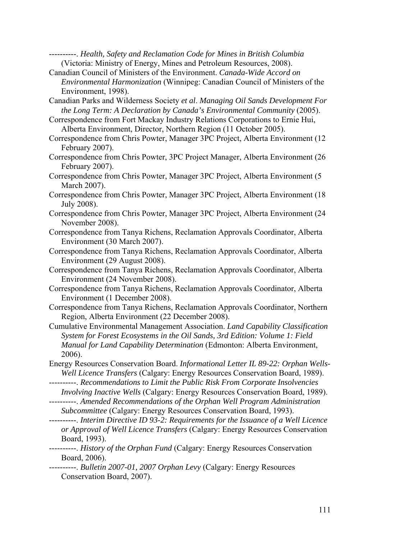----------. *Health, Safety and Reclamation Code for Mines in British Columbia*  (Victoria: Ministry of Energy, Mines and Petroleum Resources, 2008).

- Canadian Council of Ministers of the Environment. *Canada-Wide Accord on Environmental Harmonization* (Winnipeg: Canadian Council of Ministers of the Environment, 1998).
- Canadian Parks and Wilderness Society *et al*. *Managing Oil Sands Development For the Long Term: A Declaration by Canada's Environmental Community* (2005).
- Correspondence from Fort Mackay Industry Relations Corporations to Ernie Hui, Alberta Environment, Director, Northern Region (11 October 2005).
- Correspondence from Chris Powter, Manager 3PC Project, Alberta Environment (12 February 2007).
- Correspondence from Chris Powter, 3PC Project Manager, Alberta Environment (26 February 2007).
- Correspondence from Chris Powter, Manager 3PC Project, Alberta Environment (5 March 2007).
- Correspondence from Chris Powter, Manager 3PC Project, Alberta Environment (18 July 2008).
- Correspondence from Chris Powter, Manager 3PC Project, Alberta Environment (24 November 2008).
- Correspondence from Tanya Richens, Reclamation Approvals Coordinator, Alberta Environment (30 March 2007).
- Correspondence from Tanya Richens, Reclamation Approvals Coordinator, Alberta Environment (29 August 2008).
- Correspondence from Tanya Richens, Reclamation Approvals Coordinator, Alberta Environment (24 November 2008).
- Correspondence from Tanya Richens, Reclamation Approvals Coordinator, Alberta Environment (1 December 2008).
- Correspondence from Tanya Richens, Reclamation Approvals Coordinator, Northern Region, Alberta Environment (22 December 2008).
- Cumulative Environmental Management Association. *Land Capability Classification System for Forest Ecosystems in the Oil Sands, 3rd Edition: Volume 1: Field Manual for Land Capability Determination* (Edmonton: Alberta Environment, 2006).
- Energy Resources Conservation Board. *Informational Letter IL 89-22: Orphan Wells-Well Licence Transfers* (Calgary: Energy Resources Conservation Board, 1989).
- ----------. *Recommendations to Limit the Public Risk From Corporate Insolvencies Involving Inactive Wells* (Calgary: Energy Resources Conservation Board, 1989).
- ----------. *Amended Recommendations of the Orphan Well Program Administration Subcommittee* (Calgary: Energy Resources Conservation Board, 1993).
- ----------. *Interim Directive ID 93-2: Requirements for the Issuance of a Well Licence or Approval of Well Licence Transfers* (Calgary: Energy Resources Conservation Board, 1993).
- ----------. *History of the Orphan Fund* (Calgary: Energy Resources Conservation Board, 2006).
- ----------. *Bulletin 2007-01, 2007 Orphan Levy* (Calgary: Energy Resources Conservation Board, 2007).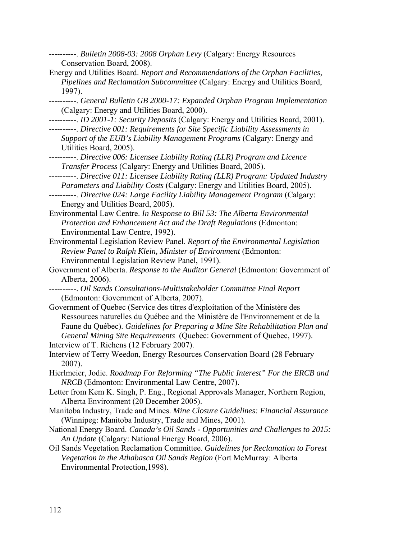----------. *Bulletin 2008-03: 2008 Orphan Levy* (Calgary: Energy Resources Conservation Board, 2008).

- Energy and Utilities Board. *Report and Recommendations of the Orphan Facilities, Pipelines and Reclamation Subcommittee* (Calgary: Energy and Utilities Board, 1997).
- ----------. *General Bulletin GB 2000-17: Expanded Orphan Program Implementation* (Calgary: Energy and Utilities Board, 2000).
- ----------. *ID 2001-1: Security Deposits* (Calgary: Energy and Utilities Board, 2001).
- ----------. *Directive 001: Requirements for Site Specific Liability Assessments in Support of the EUB's Liability Management Programs* (Calgary: Energy and Utilities Board, 2005).
- ----------. *Directive 006: Licensee Liability Rating (LLR) Program and Licence Transfer Process* (Calgary: Energy and Utilities Board, 2005).
- ----------. *Directive 011: Licensee Liability Rating (LLR) Program: Updated Industry Parameters and Liability Costs* (Calgary: Energy and Utilities Board, 2005).
- ----------. *Directive 024: Large Facility Liability Management Program* (Calgary: Energy and Utilities Board, 2005).
- Environmental Law Centre. *In Response to Bill 53: The Alberta Environmental Protection and Enhancement Act and the Draft Regulations* (Edmonton: Environmental Law Centre, 1992).
- Environmental Legislation Review Panel. *Report of the Environmental Legislation Review Panel to Ralph Klein, Minister of Environment* (Edmonton: Environmental Legislation Review Panel, 1991).
- Government of Alberta. *Response to the Auditor General* (Edmonton: Government of Alberta, 2006).
- ----------. *Oil Sands Consultations-Multistakeholder Committee Final Report* (Edmonton: Government of Alberta, 2007).
- Government of Quebec (Service des titres d'exploitation of the Ministère des Ressources naturelles du Québec and the Ministère de l'Environnement et de la Faune du Québec). *Guidelines for Preparing a Mine Site Rehabilitation Plan and General Mining Site Requirements* (Quebec: Government of Quebec, 1997).
- Interview of T. Richens (12 February 2007). Interview of Terry Weedon, Energy Resources Conservation Board (28 February
- 2007). Hierlmeier, Jodie. *Roadmap For Reforming "The Public Interest" For the ERCB and NRCB* (Edmonton: Environmental Law Centre, 2007).
- Letter from Kem K. Singh, P. Eng., Regional Approvals Manager, Northern Region, Alberta Environment (20 December 2005).
- Manitoba Industry, Trade and Mines. *Mine Closure Guidelines: Financial Assurance* (Winnipeg: Manitoba Industry, Trade and Mines, 2001).
- National Energy Board. *Canada's Oil Sands Opportunities and Challenges to 2015: An Update* (Calgary: National Energy Board, 2006).
- Oil Sands Vegetation Reclamation Committee. *Guidelines for Reclamation to Forest Vegetation in the Athabasca Oil Sands Region* (Fort McMurray: Alberta Environmental Protection,1998).